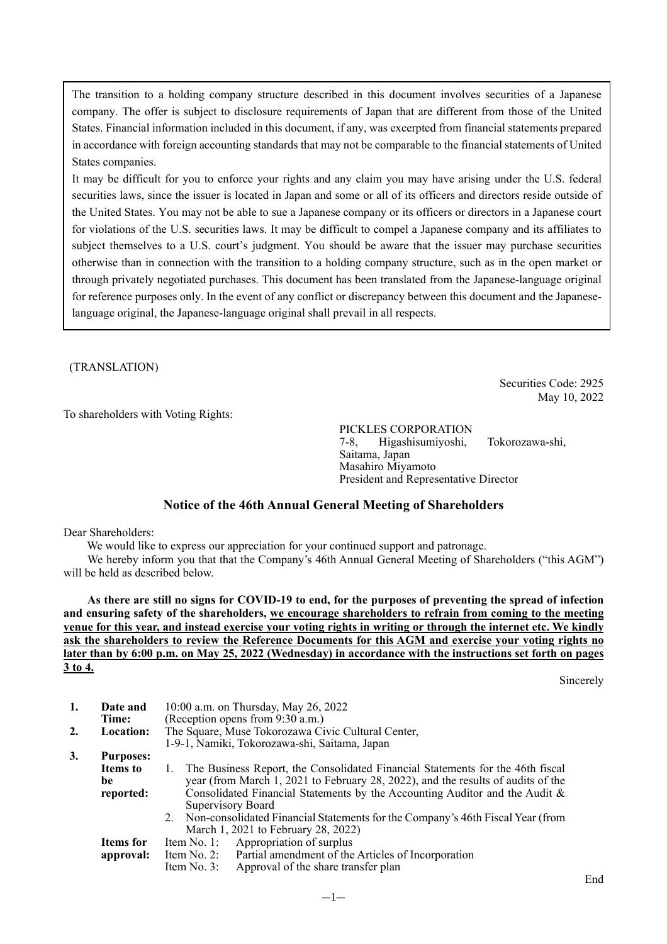The transition to a holding company structure described in this document involves securities of a Japanese company. The offer is subject to disclosure requirements of Japan that are different from those of the United States. Financial information included in this document, if any, was excerpted from financial statements prepared in accordance with foreign accounting standards that may not be comparable to the financial statements of United States companies.

It may be difficult for you to enforce your rights and any claim you may have arising under the U.S. federal securities laws, since the issuer is located in Japan and some or all of its officers and directors reside outside of the United States. You may not be able to sue a Japanese company or its officers or directors in a Japanese court for violations of the U.S. securities laws. It may be difficult to compel a Japanese company and its affiliates to subject themselves to a U.S. court's judgment. You should be aware that the issuer may purchase securities otherwise than in connection with the transition to a holding company structure, such as in the open market or through privately negotiated purchases. This document has been translated from the Japanese-language original for reference purposes only. In the event of any conflict or discrepancy between this document and the Japaneselanguage original, the Japanese-language original shall prevail in all respects.

(TRANSLATION)

To shareholders with Voting Rights:

PICKLES CORPORATION

7-8, Higashisumiyoshi, Tokorozawa-shi, Saitama, Japan Masahiro Miyamoto President and Representative Director

### **Notice of the 46th Annual General Meeting of Shareholders**

Dear Shareholders:

We would like to express our appreciation for your continued support and patronage.

We hereby inform you that that the Company's 46th Annual General Meeting of Shareholders ("this AGM") will be held as described below.

As there are still no signs for COVID-19 to end, for the purposes of preventing the spread of infection **and ensuring safety of the shareholders, we encourage shareholders to refrain from coming to the meeting** venue for this year, and instead exercise your voting rights in writing or through the internet etc. We kindly **ask the shareholders to review the Reference Documents for this AGM and exercise your voting rights no** later than by 6:00 p.m. on May 25, 2022 (Wednesday) in accordance with the instructions set forth on pages **3 to 4.**

Sincerely

Securities Code: 2925

May 10, 2022

| 1.                          | Date and         | 10:00 a.m. on Thursday, May 26, 2022                                                 |  |  |
|-----------------------------|------------------|--------------------------------------------------------------------------------------|--|--|
|                             | Time:            | (Reception opens from 9:30 a.m.)                                                     |  |  |
| 2.                          | Location:        | The Square, Muse Tokorozawa Civic Cultural Center,                                   |  |  |
|                             |                  | 1-9-1, Namiki, Tokorozawa-shi, Saitama, Japan                                        |  |  |
| 3.                          | <b>Purposes:</b> |                                                                                      |  |  |
|                             | Items to         | The Business Report, the Consolidated Financial Statements for the 46th fiscal<br>1. |  |  |
|                             | be               | year (from March 1, 2021 to February 28, 2022), and the results of audits of the     |  |  |
|                             | reported:        | Consolidated Financial Statements by the Accounting Auditor and the Audit &          |  |  |
|                             |                  | Supervisory Board                                                                    |  |  |
|                             |                  | 2. Non-consolidated Financial Statements for the Company's 46th Fiscal Year (from    |  |  |
|                             |                  | March 1, 2021 to February 28, 2022)                                                  |  |  |
|                             | <b>Items</b> for | Appropriation of surplus<br>Item No. 1:                                              |  |  |
| Item No. $2$ :<br>approval: |                  | Partial amendment of the Articles of Incorporation                                   |  |  |
|                             |                  | Item No. 3:<br>Approval of the share transfer plan                                   |  |  |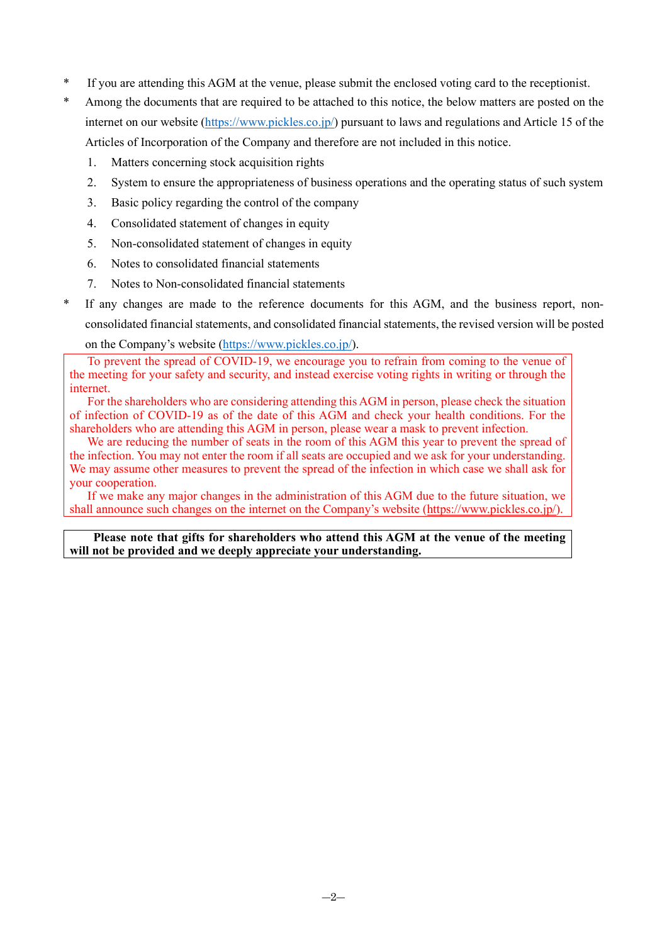- \* If you are attending this AGM at the venue, please submit the enclosed voting card to the receptionist.
- \* Among the documents that are required to be attached to this notice, the below matters are posted on the internet on our website ([https://www.pickles.co.jp/\)](https://www.pickles.co.jp/) pursuant to laws and regulations and Article 15 of the Articles of Incorporation of the Company and therefore are not included in this notice.
	- 1. Matters concerning stock acquisition rights
	- 2. System to ensure the appropriateness of business operations and the operating status of such system
	- 3. Basic policy regarding the control of the company
	- 4. Consolidated statement of changes in equity
	- 5. Non-consolidated statement of changes in equity
	- 6. Notes to consolidated financial statements
	- 7. Notes to Non-consolidated financial statements
- \* If any changes are made to the reference documents for this AGM, and the business report, nonconsolidated financial statements, and consolidated financial statements, the revised version will be posted

on the Company's website ([https://www.pickles.co.jp/\).](https://www.pickles.co.jp/)

To prevent the spread of COVID-19, we encourage you to refrain from coming to the venue of the meeting for your safety and security, and instead exercise voting rights in writing or through the internet.

For the shareholders who are considering attending this AGM in person, please check the situation of infection of COVID-19 as of the date of this AGM and check your health conditions. For the shareholders who are attending this AGM in person, please wear a mask to prevent infection.

We are reducing the number of seats in the room of this AGM this year to prevent the spread of the infection. You may not enter the room if all seats are occupied and we ask for your understanding. We may assume other measures to prevent the spread of the infection in which case we shall ask for your cooperation.

If we make any major changes in the administration of this AGM due to the future situation, we shall announce such changes on the internet on the Company's website ([https://www.pickles.co.jp/\).](https://www.pickles.co.jp/)

### **Please note that gifts for shareholders who attend this AGM at the venue of the meeting will not be provided and we deeply appreciate your understanding.**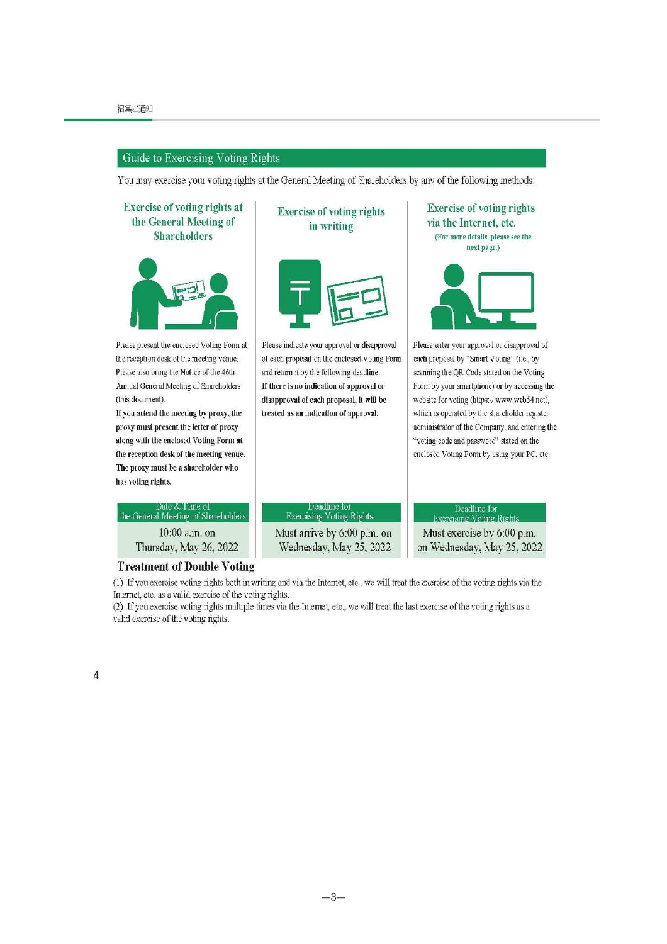#### Guide to Exercising Voting Rights

You may exercise your voting rights at the General Meeting of Shareholders by any of the following methods:



#### **Treatment of Double Voting**

(1) If you exercise voting rights both in writing and via the Internet, etc., we will treat the exercise of the voting rights via the Internet, etc. as a valid exercise of the voting rights.

(2) If you exercise voting rights multiple times via the Internet, etc., we will treat the last exercise of the voting rights as a valid exercise of the voting rights.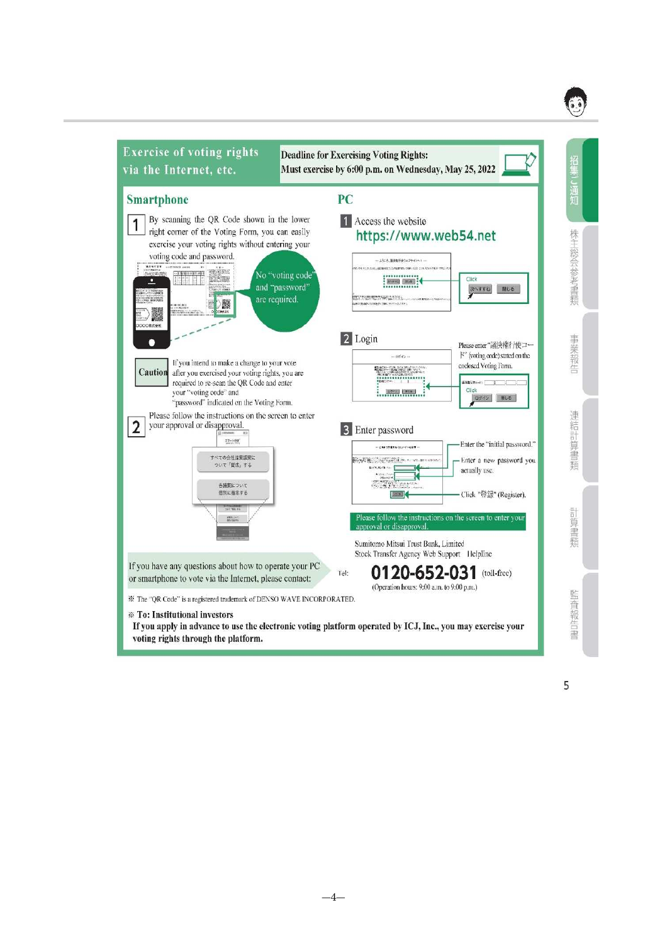

 $-4-$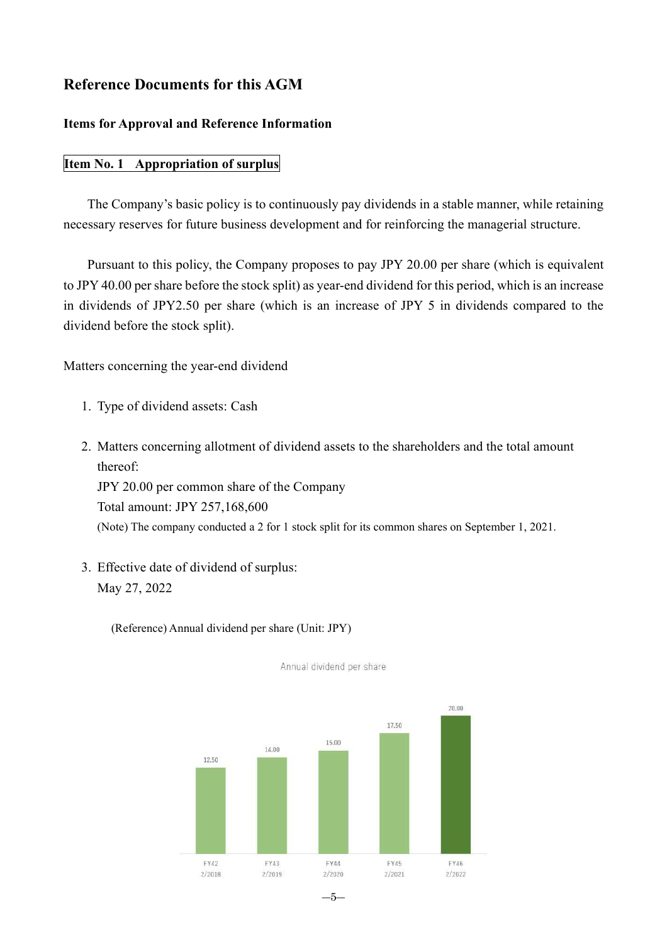# **Reference Documents for this AGM**

## **Items for Approval and Reference Information**

## **Item No. 1 Appropriation of surplus**

The Company's basic policy is to continuously pay dividends in a stable manner, while retaining necessary reserves for future business development and for reinforcing the managerial structure.

Pursuant to this policy, the Company proposes to pay JPY 20.00 per share (which is equivalent to JPY 40.00 per share before the stock split) as year-end dividend for this period, which is an increase in dividends of JPY2.50 per share (which is an increase of JPY 5 in dividends compared to the dividend before the stock split).

Matters concerning the year-end dividend

- 1. Type of dividend assets: Cash
- 2. Matters concerning allotment of dividend assets to the shareholders and the total amount thereof: JPY 20.00 per common share of the Company

Total amount: JPY 257,168,600

(Note) The company conducted a 2 for 1 stock split for its common shares on September 1, 2021.

3. Effective date of dividend of surplus: May 27, 2022

(Reference) Annual dividend per share (Unit: JPY)



Annual dividend per share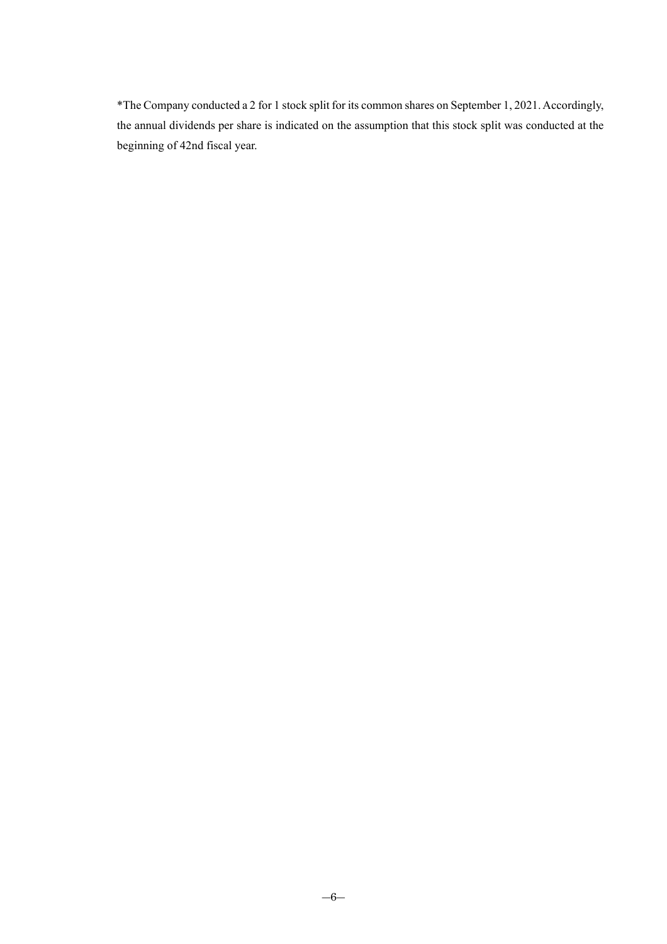\*The Company conducted a 2 for 1 stock split for its common shares on September 1, 2021.Accordingly, the annual dividends per share is indicated on the assumption that this stock split was conducted at the beginning of 42nd fiscal year.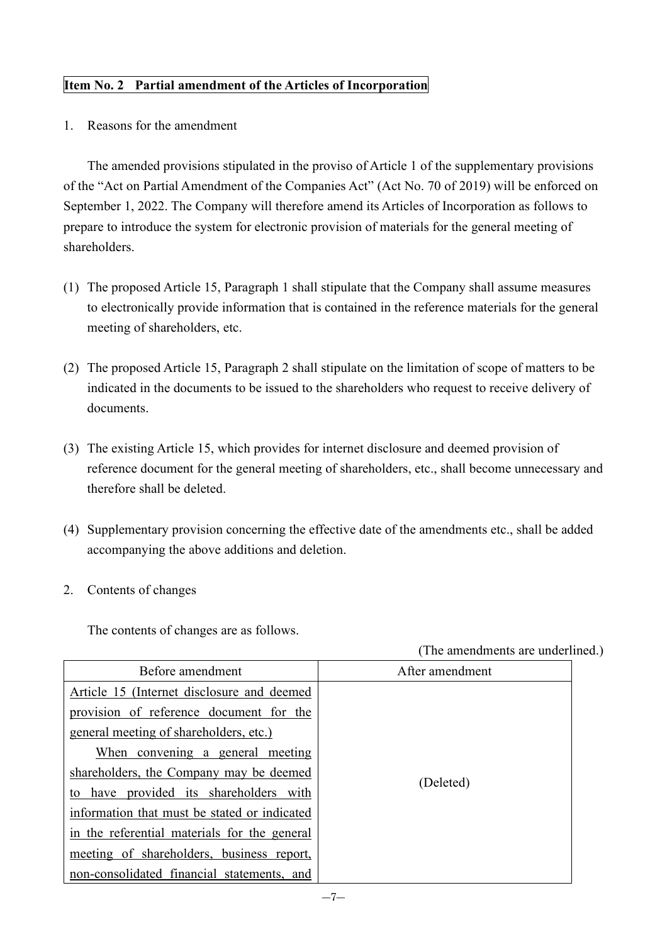## **Item No. 2 Partial amendment of the Articles of Incorporation**

1. Reasons for the amendment

The amended provisions stipulated in the proviso of Article 1 of the supplementary provisions of the "Act on Partial Amendment of the Companies Act" (Act No. 70 of 2019) will be enforced on September 1, 2022. The Company will therefore amend its Articles of Incorporation as follows to prepare to introduce the system for electronic provision of materials for the general meeting of shareholders.

- (1) The proposed Article 15, Paragraph 1 shall stipulate that the Company shall assume measures to electronically provide information that is contained in the reference materials for the general meeting of shareholders, etc.
- (2) The proposed Article 15, Paragraph 2 shall stipulate on the limitation of scope of matters to be indicated in the documents to be issued to the shareholders who request to receive delivery of documents.
- (3) The existing Article 15, which provides for internet disclosure and deemed provision of reference document for the general meeting of shareholders, etc., shall become unnecessary and therefore shall be deleted.
- (4) Supplementary provision concerning the effective date of the amendments etc., shall be added accompanying the above additions and deletion.
- 2. Contents of changes

The contents of changes are as follows.

| Before amendment                             | After amendment |
|----------------------------------------------|-----------------|
| Article 15 (Internet disclosure and deemed   |                 |
| provision of reference document for the      |                 |
| general meeting of shareholders, etc.)       |                 |
| When convening a general meeting             |                 |
| shareholders, the Company may be deemed      | (Deleted)       |
| to have provided its shareholders with       |                 |
| information that must be stated or indicated |                 |
| in the referential materials for the general |                 |
| meeting of shareholders, business report,    |                 |
| non-consolidated financial statements, and   |                 |

(The amendments are underlined.)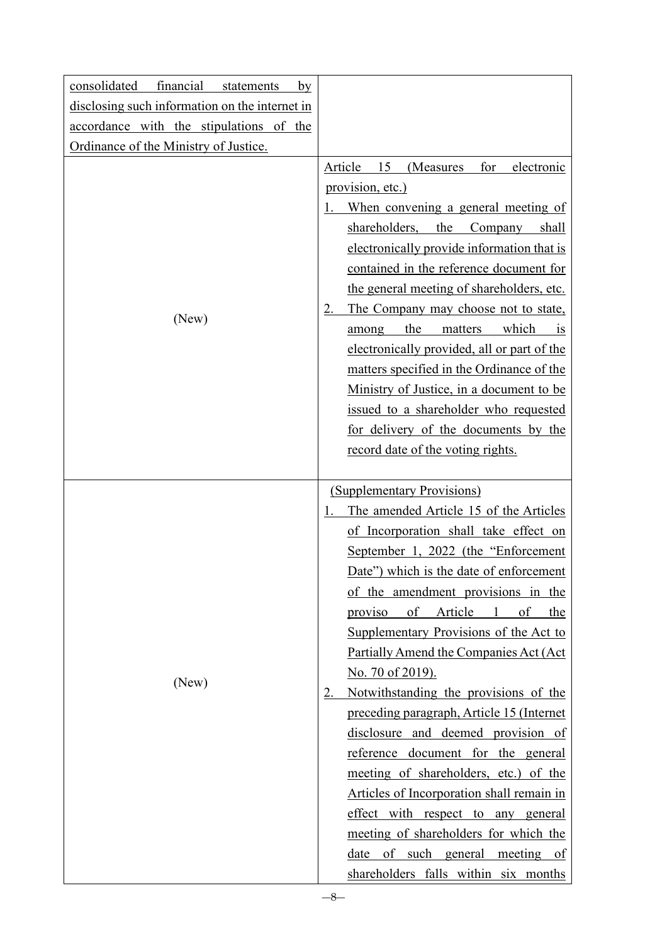| financial<br>consolidated<br>statements<br>by  |                                                                                                                                                                                                                                                                                                                                                                                                                                                                                                                                                                                                                                                                                                                                                                                                           |
|------------------------------------------------|-----------------------------------------------------------------------------------------------------------------------------------------------------------------------------------------------------------------------------------------------------------------------------------------------------------------------------------------------------------------------------------------------------------------------------------------------------------------------------------------------------------------------------------------------------------------------------------------------------------------------------------------------------------------------------------------------------------------------------------------------------------------------------------------------------------|
| disclosing such information on the internet in |                                                                                                                                                                                                                                                                                                                                                                                                                                                                                                                                                                                                                                                                                                                                                                                                           |
| accordance with the stipulations of the        |                                                                                                                                                                                                                                                                                                                                                                                                                                                                                                                                                                                                                                                                                                                                                                                                           |
| Ordinance of the Ministry of Justice.          |                                                                                                                                                                                                                                                                                                                                                                                                                                                                                                                                                                                                                                                                                                                                                                                                           |
| (New)                                          | 15<br>Article<br>(Measures<br>for<br>electronic<br>provision, etc.)<br>When convening a general meeting of<br>shareholders,<br>the<br>Company<br>shall<br>electronically provide information that is<br>contained in the reference document for<br>the general meeting of shareholders, etc.<br>The Company may choose not to state,<br>the<br>which<br>matters<br>among<br><b>1S</b><br>electronically provided, all or part of the<br>matters specified in the Ordinance of the<br>Ministry of Justice, in a document to be<br>issued to a shareholder who requested<br>for delivery of the documents by the<br>record date of the voting rights.                                                                                                                                                       |
| (New)                                          | (Supplementary Provisions)<br>The amended Article 15 of the Articles<br>of Incorporation shall take effect on<br>September 1, 2022 (the "Enforcement"<br>Date") which is the date of enforcement<br>of the amendment provisions in the<br>proviso of Article 1 of<br>the<br>Supplementary Provisions of the Act to<br>Partially Amend the Companies Act (Act<br><u>No. 70 of 2019).</u><br>Notwithstanding the provisions of the<br>preceding paragraph, Article 15 (Internet<br>disclosure and deemed provision of<br>reference document for the general<br>meeting of shareholders, etc.) of the<br>Articles of Incorporation shall remain in<br>effect with respect to any general<br>meeting of shareholders for which the<br>date of such general meeting of<br>shareholders falls within six months |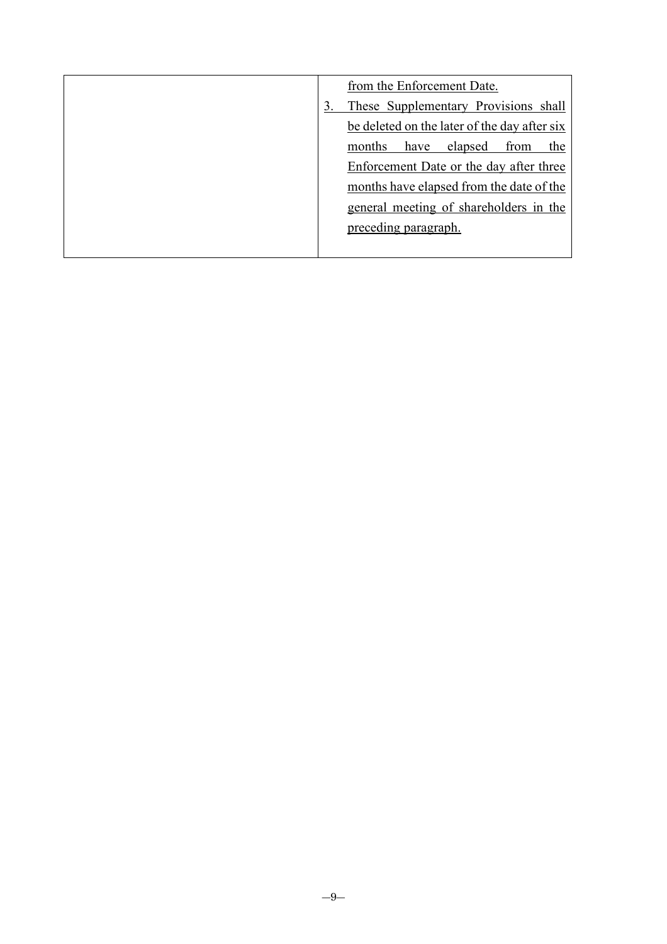|  | from the Enforcement Date.                   |
|--|----------------------------------------------|
|  | These Supplementary Provisions shall         |
|  | be deleted on the later of the day after six |
|  | the<br>elapsed<br>months<br>from<br>have     |
|  | Enforcement Date or the day after three      |
|  | months have elapsed from the date of the     |
|  | general meeting of shareholders in the       |
|  | preceding paragraph.                         |
|  |                                              |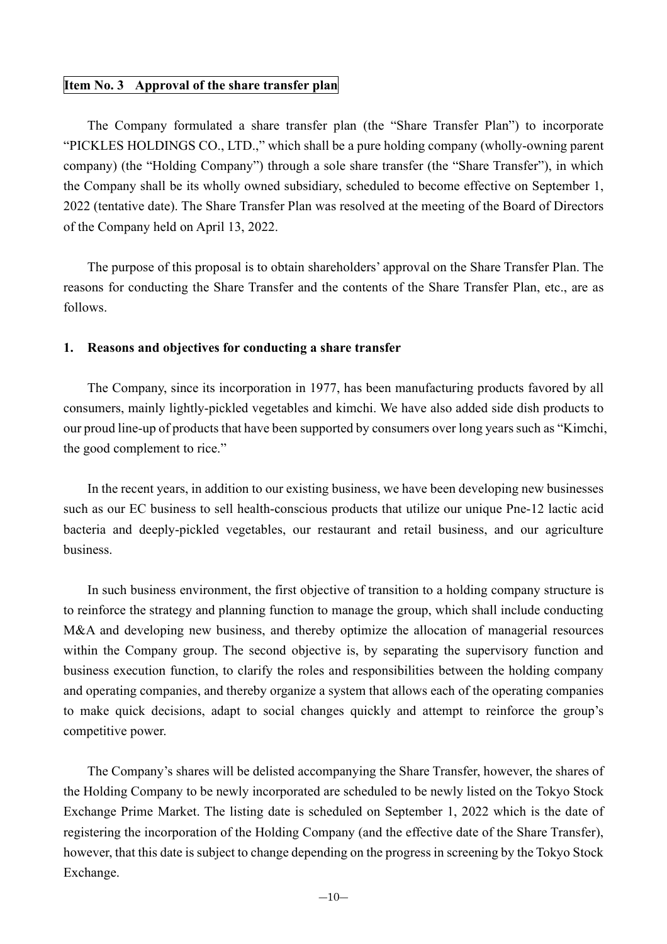## **Item No. 3 Approval of the share transfer plan**

The Company formulated a share transfer plan (the "Share Transfer Plan") to incorporate "PICKLES HOLDINGS CO., LTD.," which shall be a pure holding company (wholly-owning parent company) (the "Holding Company") through a sole share transfer (the "Share Transfer"), in which the Company shall be its wholly owned subsidiary, scheduled to become effective on September 1, 2022 (tentative date). The Share Transfer Plan was resolved at the meeting of the Board of Directors of the Company held on April 13, 2022.

The purpose of this proposal is to obtain shareholders' approval on the Share Transfer Plan. The reasons for conducting the Share Transfer and the contents of the Share Transfer Plan, etc., are as follows.

### **1. Reasons and objectives for conducting a share transfer**

The Company, since its incorporation in 1977, has been manufacturing products favored by all consumers, mainly lightly-pickled vegetables and kimchi. We have also added side dish products to our proud line-up of products that have been supported by consumers over long years such as "Kimchi, the good complement to rice."

In the recent years, in addition to our existing business, we have been developing new businesses such as our EC business to sell health-conscious products that utilize our unique Pne-12 lactic acid bacteria and deeply-pickled vegetables, our restaurant and retail business, and our agriculture business.

In such business environment, the first objective of transition to a holding company structure is to reinforce the strategy and planning function to manage the group, which shall include conducting M&A and developing new business, and thereby optimize the allocation of managerial resources within the Company group. The second objective is, by separating the supervisory function and business execution function, to clarify the roles and responsibilities between the holding company and operating companies, and thereby organize a system that allows each of the operating companies to make quick decisions, adapt to social changes quickly and attempt to reinforce the group's competitive power.

The Company's shares will be delisted accompanying the Share Transfer, however, the shares of the Holding Company to be newly incorporated are scheduled to be newly listed on the Tokyo Stock Exchange Prime Market. The listing date is scheduled on September 1, 2022 which is the date of registering the incorporation of the Holding Company (and the effective date of the Share Transfer), however, that this date is subject to change depending on the progress in screening by the Tokyo Stock Exchange.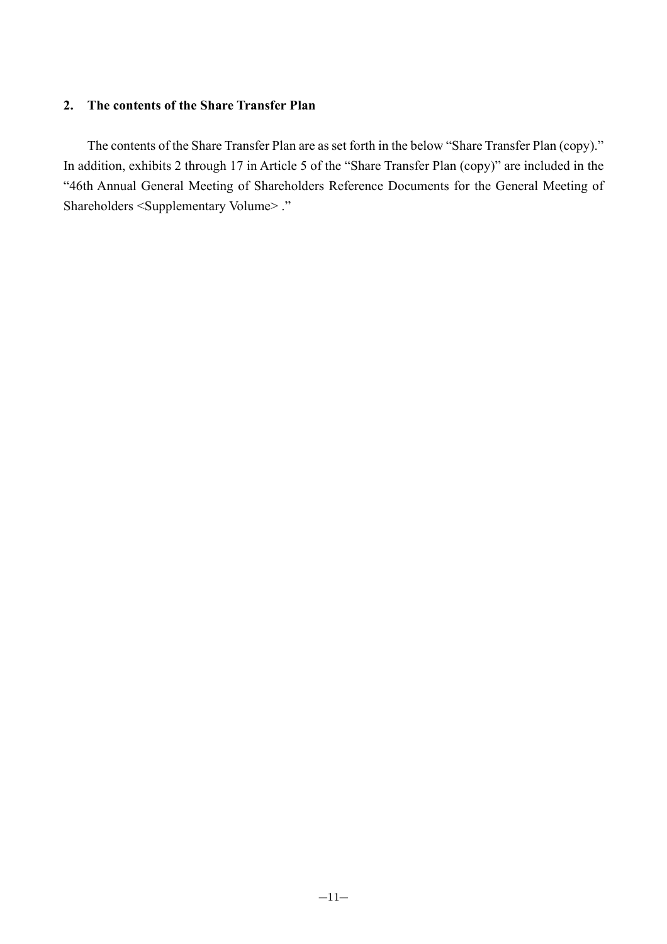# **2. The contents of the Share Transfer Plan**

The contents of the Share Transfer Plan are as set forth in the below "Share Transfer Plan (copy)." In addition, exhibits 2 through 17 in Article 5 of the "Share Transfer Plan (copy)" are included in the "46th Annual General Meeting of Shareholders Reference Documents for the General Meeting of Shareholders <Supplementary Volume> ."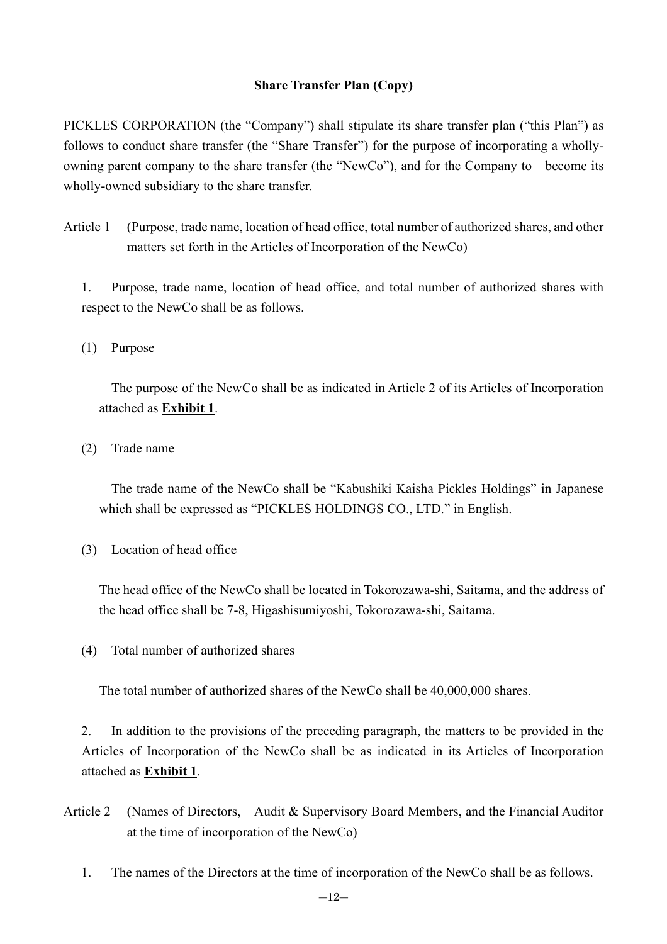## **Share Transfer Plan (Copy)**

PICKLES CORPORATION (the "Company") shall stipulate its share transfer plan ("this Plan") as follows to conduct share transfer (the "Share Transfer") for the purpose of incorporating a whollyowning parent company to the share transfer (the "NewCo"), and for the Company to become its wholly-owned subsidiary to the share transfer.

Article 1 (Purpose, trade name, location of head office, total number of authorized shares, and other matters set forth in the Articles of Incorporation of the NewCo)

1. Purpose, trade name, location of head office, and total number of authorized shares with respect to the NewCo shall be as follows.

(1) Purpose

The purpose of the NewCo shall be as indicated in Article 2 of its Articles of Incorporation attached as **Exhibit 1**.

(2) Trade name

The trade name of the NewCo shall be "Kabushiki Kaisha Pickles Holdings" in Japanese which shall be expressed as "PICKLES HOLDINGS CO., LTD." in English.

(3) Location of head office

The head office of the NewCo shall be located in Tokorozawa-shi, Saitama, and the address of the head office shall be 7-8, Higashisumiyoshi, Tokorozawa-shi, Saitama.

(4) Total number of authorized shares

The total number of authorized shares of the NewCo shall be 40,000,000 shares.

2. In addition to the provisions of the preceding paragraph, the matters to be provided in the Articles of Incorporation of the NewCo shall be as indicated in its Articles of Incorporation attached as **Exhibit 1**.

- Article 2 (Names of Directors, Audit & Supervisory Board Members, and the Financial Auditor at the time of incorporation of the NewCo)
	- 1. The names of the Directors at the time of incorporation of the NewCo shall be as follows.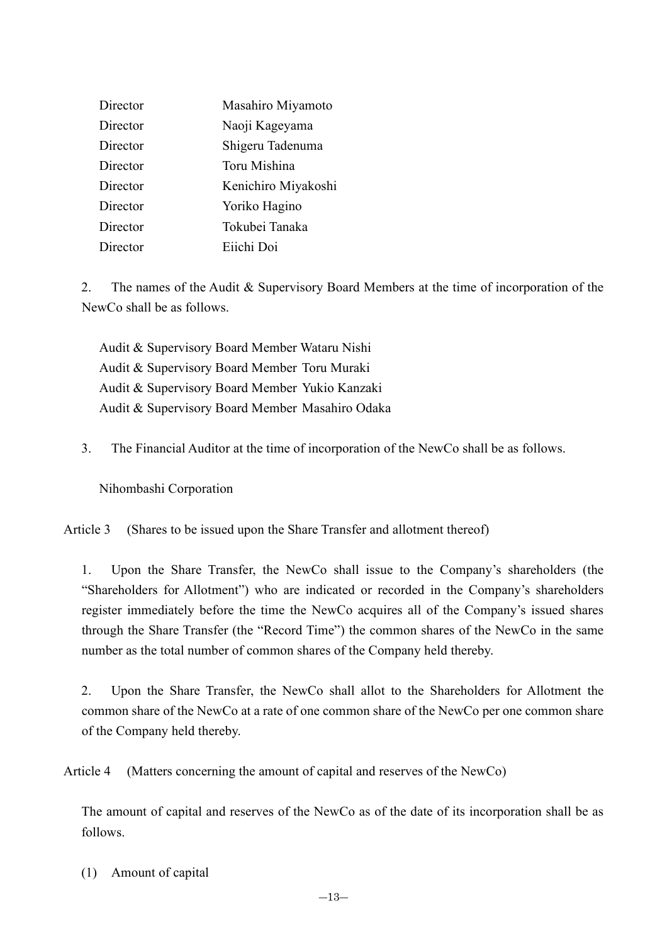| Director | Masahiro Miyamoto   |
|----------|---------------------|
| Director | Naoji Kageyama      |
| Director | Shigeru Tadenuma    |
| Director | Toru Mishina        |
| Director | Kenichiro Miyakoshi |
| Director | Yoriko Hagino       |
| Director | Tokubei Tanaka      |
| Director | Eiichi Doi          |

2. The names of the Audit & Supervisory Board Members at the time of incorporation of the NewCo shall be as follows.

Audit & Supervisory Board Member Wataru Nishi Audit & Supervisory Board Member Toru Muraki Audit & Supervisory Board Member Yukio Kanzaki Audit & Supervisory Board Member Masahiro Odaka

3. The Financial Auditor at the time of incorporation of the NewCo shall be as follows.

Nihombashi Corporation

Article 3 (Shares to be issued upon the Share Transfer and allotment thereof)

1. Upon the Share Transfer, the NewCo shall issue to the Company's shareholders (the "Shareholders for Allotment") who are indicated or recorded in the Company's shareholders register immediately before the time the NewCo acquires all of the Company's issued shares through the Share Transfer (the "Record Time") the common shares of the NewCo in the same number as the total number of common shares of the Company held thereby.

2. Upon the Share Transfer, the NewCo shall allot to the Shareholders for Allotment the common share of the NewCo at a rate of one common share of the NewCo per one common share of the Company held thereby.

Article 4 (Matters concerning the amount of capital and reserves of the NewCo)

The amount of capital and reserves of the NewCo as of the date of its incorporation shall be as follows.

(1) Amount of capital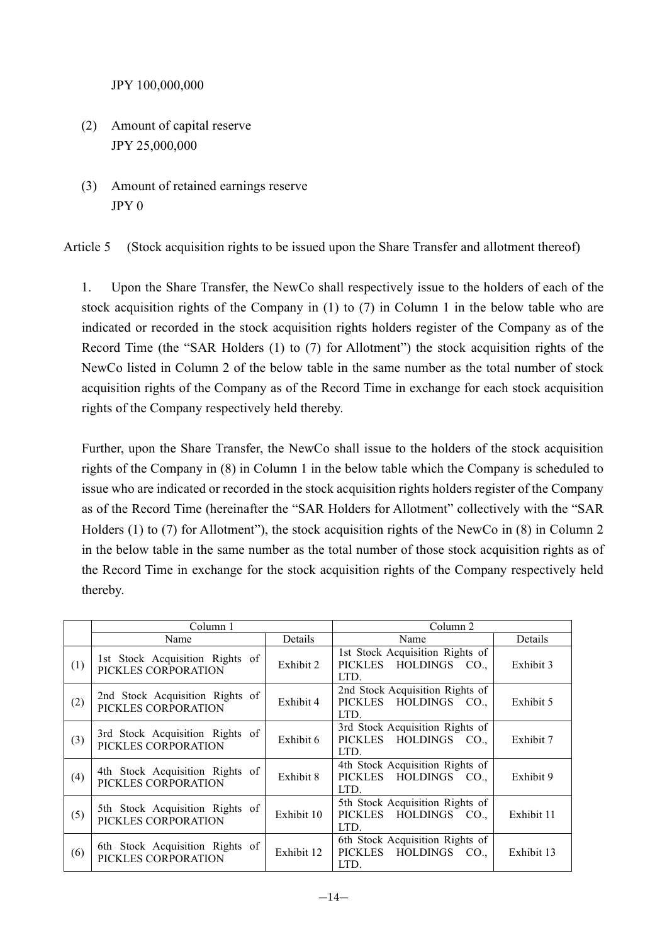JPY 100,000,000

- (2) Amount of capital reserve JPY 25,000,000
- (3) Amount of retained earnings reserve JPY 0

Article 5 (Stock acquisition rights to be issued upon the Share Transfer and allotment thereof)

1. Upon the Share Transfer, the NewCo shall respectively issue to the holders of each of the stock acquisition rights of the Company in (1) to (7) in Column 1 in the below table who are indicated or recorded in the stock acquisition rights holders register of the Company as of the Record Time (the "SAR Holders (1) to (7) for Allotment") the stock acquisition rights of the NewCo listed in Column 2 of the below table in the same number as the total number of stock acquisition rights of the Company as of the Record Time in exchange for each stock acquisition rights of the Company respectively held thereby.

Further, upon the Share Transfer, the NewCo shall issue to the holders of the stock acquisition rights of the Company in (8) in Column 1 in the below table which the Company is scheduled to issue who are indicated or recorded in the stock acquisition rights holders register of the Company as of the Record Time (hereinafter the "SAR Holders for Allotment" collectively with the "SAR Holders (1) to (7) for Allotment"), the stock acquisition rights of the NewCo in (8) in Column 2 in the below table in the same number as the total number of those stock acquisition rights as of the Record Time in exchange for the stock acquisition rights of the Company respectively held thereby.

|     | Column 1                                               |            | Column 2                                                                                        |            |
|-----|--------------------------------------------------------|------------|-------------------------------------------------------------------------------------------------|------------|
|     | Name                                                   | Details    | Name                                                                                            | Details    |
| (1) | 1st Stock Acquisition Rights of<br>PICKLES CORPORATION | Exhibit 2  | 1st Stock Acquisition Rights of<br>PICKLES HOLDINGS CO.,<br>LTD.                                | Exhibit 3  |
| (2) | 2nd Stock Acquisition Rights of<br>PICKLES CORPORATION | Exhibit 4  | 2nd Stock Acquisition Rights of<br>PICKLES HOLDINGS CO.,<br>LTD.                                | Exhibit 5  |
| (3) | 3rd Stock Acquisition Rights of<br>PICKLES CORPORATION | Exhibit 6  | 3rd Stock Acquisition Rights of<br>PICKLES HOLDINGS CO.,<br>LTD.                                | Exhibit 7  |
| (4) | 4th Stock Acquisition Rights of<br>PICKLES CORPORATION | Exhibit 8  | 4th Stock Acquisition Rights of<br>PICKLES HOLDINGS CO.,<br>LTD.                                | Exhibit 9  |
| (5) | 5th Stock Acquisition Rights of<br>PICKLES CORPORATION | Exhibit 10 | 5th Stock Acquisition Rights of<br>PICKLES HOLDINGS<br>CO <sub>1</sub><br>LTD.                  | Exhibit 11 |
| (6) | 6th Stock Acquisition Rights of<br>PICKLES CORPORATION | Exhibit 12 | 6th Stock Acquisition Rights of<br><b>HOLDINGS</b><br><b>PICKLES</b><br>CO <sub>1</sub><br>LTD. | Exhibit 13 |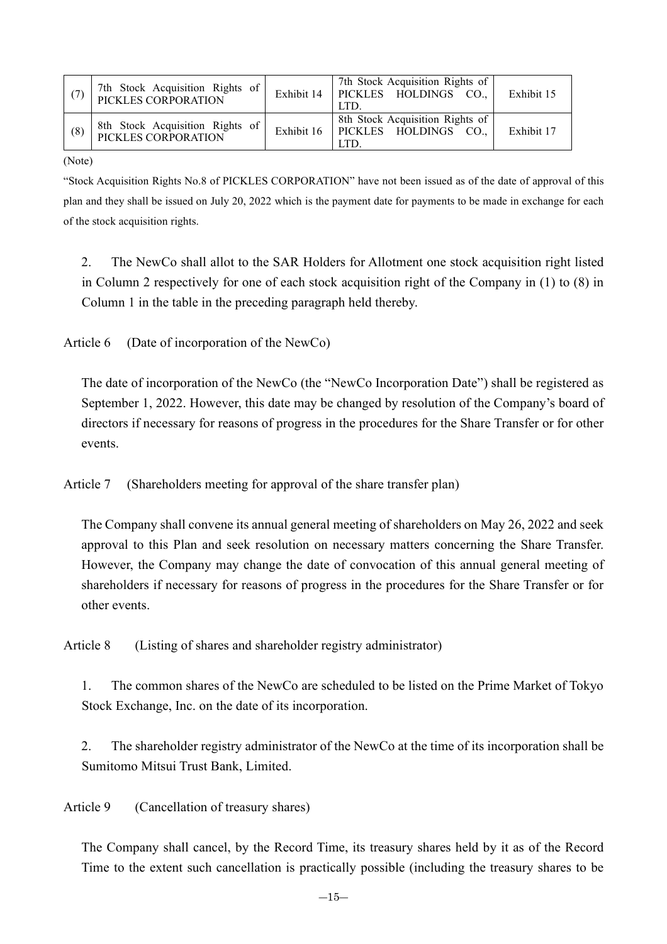|     | 7th Stock Acquisition Rights of<br>PICKLES CORPORATION | Exhibit 14 | 7th Stock Acquisition Rights of<br>PICKLES HOLDINGS CO.,<br>LTD. | Exhibit 15 |
|-----|--------------------------------------------------------|------------|------------------------------------------------------------------|------------|
| (8) | 8th Stock Acquisition Rights of<br>PICKLES CORPORATION | Exhibit 16 | 8th Stock Acquisition Rights of<br>PICKLES HOLDINGS CO.,<br>LTD. | Exhibit 17 |

### (Note)

"Stock Acquisition Rights No.8 of PICKLES CORPORATION" have not been issued as of the date of approval of this plan and they shall be issued on July 20, 2022 which is the payment date for payments to be made in exchange for each of the stock acquisition rights.

2. The NewCo shall allot to the SAR Holders for Allotment one stock acquisition right listed in Column 2 respectively for one of each stock acquisition right of the Company in (1) to (8) in Column 1 in the table in the preceding paragraph held thereby.

Article 6 (Date of incorporation of the NewCo)

The date of incorporation of the NewCo (the "NewCo Incorporation Date") shall be registered as September 1, 2022. However, this date may be changed by resolution of the Company's board of directors if necessary for reasons of progress in the procedures for the Share Transfer or for other events.

Article 7 (Shareholders meeting for approval of the share transfer plan)

The Company shall convene its annual general meeting of shareholders on May 26, 2022 and seek approval to this Plan and seek resolution on necessary matters concerning the Share Transfer. However, the Company may change the date of convocation of this annual general meeting of shareholders if necessary for reasons of progress in the procedures for the Share Transfer or for other events.

Article 8 (Listing of shares and shareholder registry administrator)

1. The common shares of the NewCo are scheduled to be listed on the Prime Market of Tokyo Stock Exchange, Inc. on the date of its incorporation.

2. The shareholder registry administrator of the NewCo at the time of its incorporation shall be Sumitomo Mitsui Trust Bank, Limited.

Article 9 (Cancellation of treasury shares)

The Company shall cancel, by the Record Time, its treasury shares held by it as of the Record Time to the extent such cancellation is practically possible (including the treasury shares to be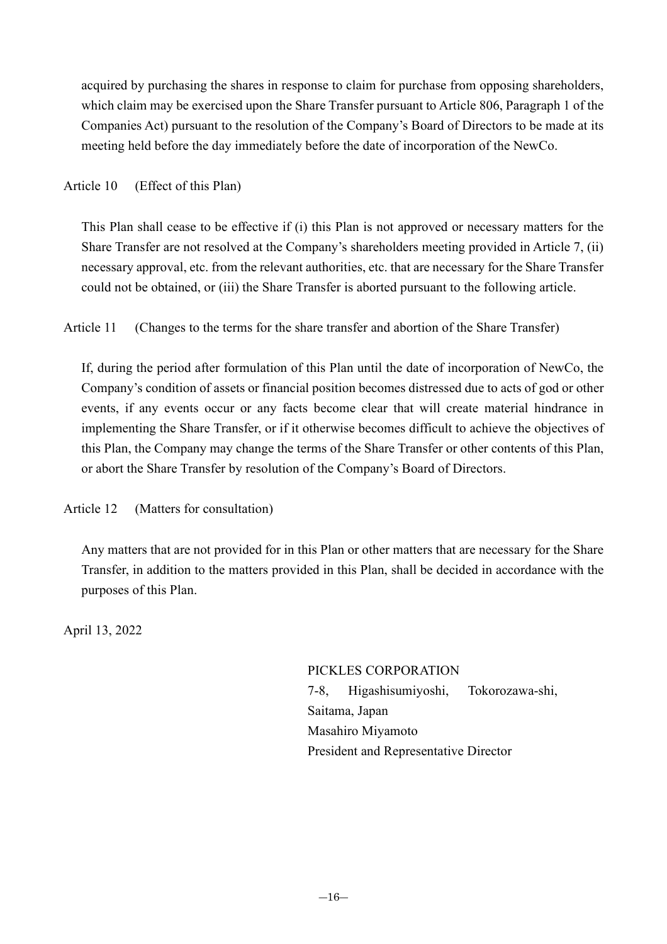acquired by purchasing the shares in response to claim for purchase from opposing shareholders, which claim may be exercised upon the Share Transfer pursuant to Article 806, Paragraph 1 of the Companies Act) pursuant to the resolution of the Company's Board of Directors to be made at its meeting held before the day immediately before the date of incorporation of the NewCo.

Article 10 (Effect of this Plan)

This Plan shall cease to be effective if (i) this Plan is not approved or necessary matters for the Share Transfer are not resolved at the Company's shareholders meeting provided in Article 7, (ii) necessary approval, etc. from the relevant authorities, etc. that are necessary for the Share Transfer could not be obtained, or (iii) the Share Transfer is aborted pursuant to the following article.

Article 11 (Changes to the terms for the share transfer and abortion of the Share Transfer)

If, during the period after formulation of this Plan until the date of incorporation of NewCo, the Company's condition of assets or financial position becomes distressed due to acts of god or other events, if any events occur or any facts become clear that will create material hindrance in implementing the Share Transfer, or if it otherwise becomes difficult to achieve the objectives of this Plan, the Company may change the terms of the Share Transfer or other contents of this Plan, or abort the Share Transfer by resolution of the Company's Board of Directors.

Article 12 (Matters for consultation)

Any matters that are not provided for in this Plan or other matters that are necessary for the Share Transfer, in addition to the matters provided in this Plan, shall be decided in accordance with the purposes of this Plan.

April 13, 2022

PICKLES CORPORATION 7-8, Higashisumiyoshi, Tokorozawa-shi, Saitama, Japan Masahiro Miyamoto President and Representative Director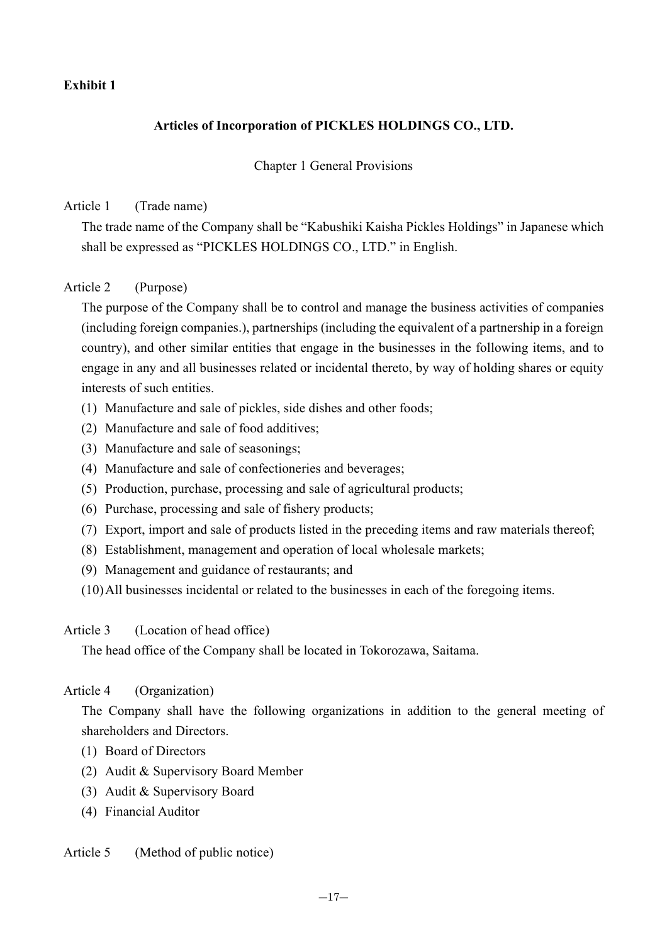## **Exhibit 1**

## **Articles of Incorporation of PICKLES HOLDINGS CO., LTD.**

## Chapter 1 General Provisions

## Article 1 (Trade name)

The trade name of the Company shall be "Kabushiki Kaisha Pickles Holdings" in Japanese which shall be expressed as "PICKLES HOLDINGS CO., LTD." in English.

Article 2 (Purpose)

The purpose of the Company shall be to control and manage the business activities of companies (including foreign companies.), partnerships (including the equivalent of a partnership in a foreign country), and other similar entities that engage in the businesses in the following items, and to engage in any and all businesses related or incidental thereto, by way of holding shares or equity interests of such entities.

- (1) Manufacture and sale of pickles, side dishes and other foods;
- (2) Manufacture and sale of food additives;
- (3) Manufacture and sale of seasonings;
- (4) Manufacture and sale of confectioneries and beverages;
- (5) Production, purchase, processing and sale of agricultural products;
- (6) Purchase, processing and sale of fishery products;
- (7) Export, import and sale of products listed in the preceding items and raw materials thereof;
- (8) Establishment, management and operation of local wholesale markets;
- (9) Management and guidance of restaurants; and
- (10)All businesses incidental or related to the businesses in each of the foregoing items.

Article 3 (Location of head office)

The head office of the Company shall be located in Tokorozawa, Saitama.

Article 4 (Organization)

The Company shall have the following organizations in addition to the general meeting of shareholders and Directors.

- (1) Board of Directors
- (2) Audit & Supervisory Board Member
- (3) Audit & Supervisory Board
- (4) Financial Auditor

## Article 5 (Method of public notice)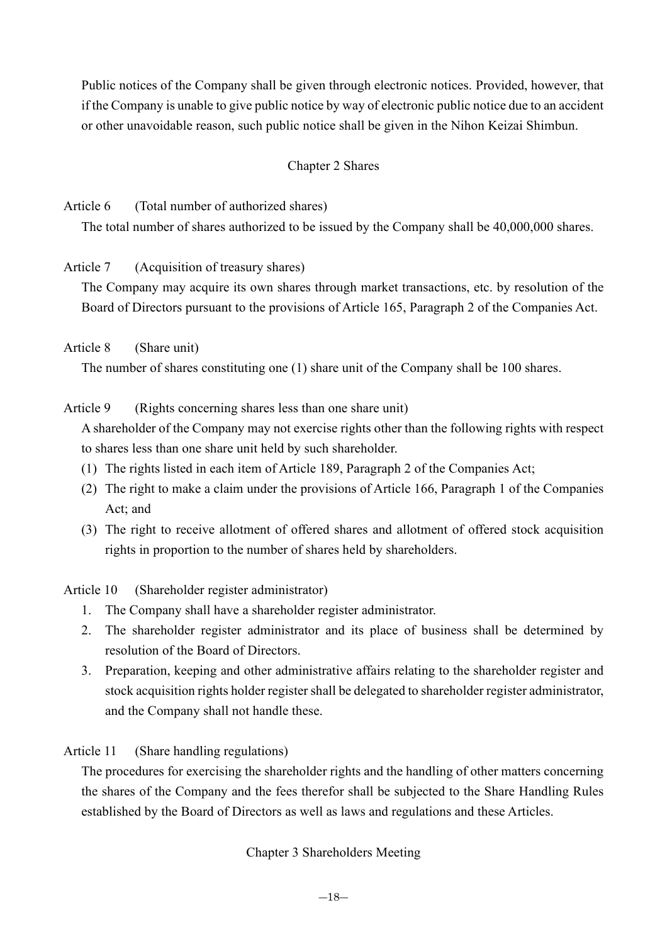Public notices of the Company shall be given through electronic notices. Provided, however, that if the Company is unable to give public notice by way of electronic public notice due to an accident or other unavoidable reason, such public notice shall be given in the Nihon Keizai Shimbun.

# Chapter 2 Shares

Article 6 (Total number of authorized shares)

The total number of shares authorized to be issued by the Company shall be 40,000,000 shares.

Article 7 (Acquisition of treasury shares)

The Company may acquire its own shares through market transactions, etc. by resolution of the Board of Directors pursuant to the provisions of Article 165, Paragraph 2 of the Companies Act.

Article 8 (Share unit)

The number of shares constituting one (1) share unit of the Company shall be 100 shares.

Article 9 (Rights concerning shares less than one share unit)

A shareholder of the Company may not exercise rights other than the following rights with respect to shares less than one share unit held by such shareholder.

- (1) The rights listed in each item of Article 189, Paragraph 2 of the Companies Act;
- (2) The right to make a claim under the provisions of Article 166, Paragraph 1 of the Companies Act; and
- (3) The right to receive allotment of offered shares and allotment of offered stock acquisition rights in proportion to the number of shares held by shareholders.

Article 10 (Shareholder register administrator)

- 1. The Company shall have a shareholder register administrator.
- 2. The shareholder register administrator and its place of business shall be determined by resolution of the Board of Directors.
- 3. Preparation, keeping and other administrative affairs relating to the shareholder register and stock acquisition rights holder register shall be delegated to shareholder register administrator, and the Company shall not handle these.

Article 11 (Share handling regulations)

The procedures for exercising the shareholder rights and the handling of other matters concerning the shares of the Company and the fees therefor shall be subjected to the Share Handling Rules established by the Board of Directors as well as laws and regulations and these Articles.

Chapter 3 Shareholders Meeting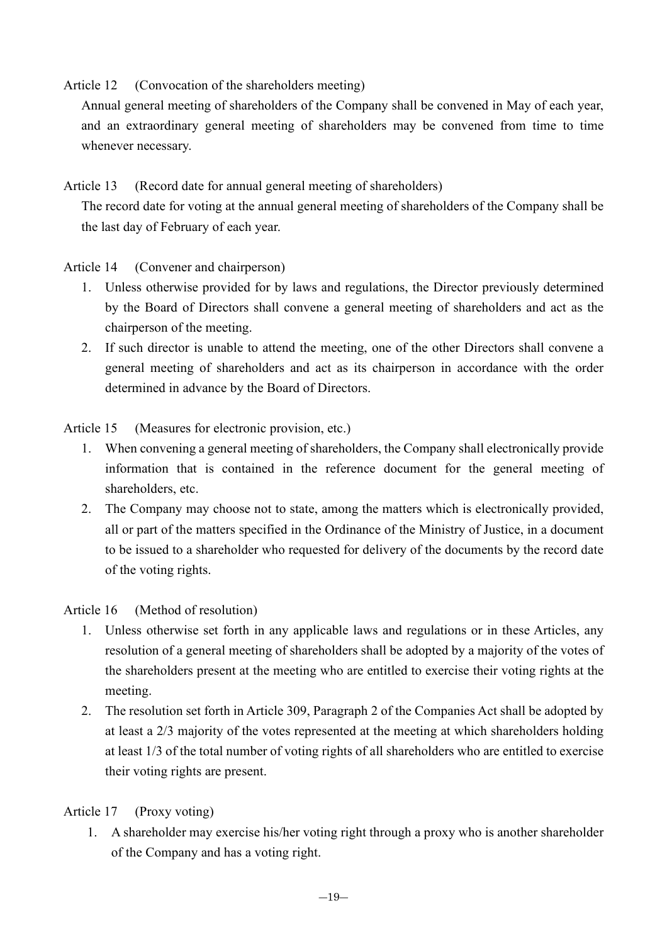Article 12 (Convocation of the shareholders meeting)

Annual general meeting of shareholders of the Company shall be convened in May of each year, and an extraordinary general meeting of shareholders may be convened from time to time whenever necessary.

# Article 13 (Record date for annual general meeting of shareholders)

The record date for voting at the annual general meeting of shareholders of the Company shall be the last day of February of each year.

Article 14 (Convener and chairperson)

- 1. Unless otherwise provided for by laws and regulations, the Director previously determined by the Board of Directors shall convene a general meeting of shareholders and act as the chairperson of the meeting.
- 2. If such director is unable to attend the meeting, one of the other Directors shall convene a general meeting of shareholders and act as its chairperson in accordance with the order determined in advance by the Board of Directors.

Article 15 (Measures for electronic provision, etc.)

- 1. When convening a general meeting of shareholders, the Company shall electronically provide information that is contained in the reference document for the general meeting of shareholders, etc.
- 2. The Company may choose not to state, among the matters which is electronically provided, all or part of the matters specified in the Ordinance of the Ministry of Justice, in a document to be issued to a shareholder who requested for delivery of the documents by the record date of the voting rights.

# Article 16 (Method of resolution)

- 1. Unless otherwise set forth in any applicable laws and regulations or in these Articles, any resolution of a general meeting of shareholders shall be adopted by a majority of the votes of the shareholders present at the meeting who are entitled to exercise their voting rights at the meeting.
- 2. The resolution set forth in Article 309, Paragraph 2 of the Companies Act shall be adopted by at least a 2/3 majority of the votes represented at the meeting at which shareholders holding at least 1/3 of the total number of voting rights of all shareholders who are entitled to exercise their voting rights are present.

# Article 17 (Proxy voting)

1. A shareholder may exercise his/her voting right through a proxy who is another shareholder of the Company and has a voting right.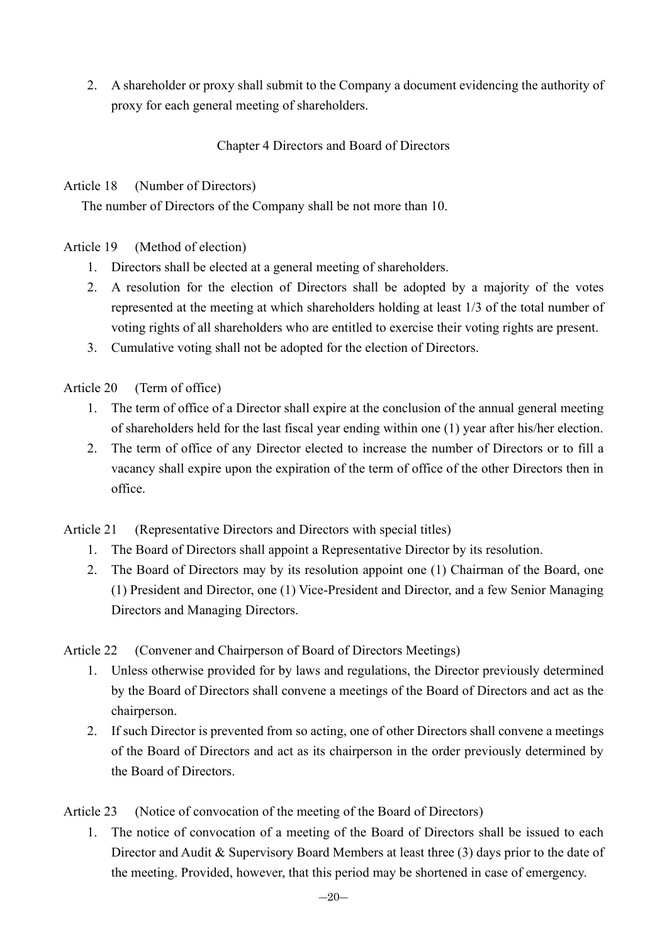2. A shareholder or proxy shall submit to the Company a document evidencing the authority of proxy for each general meeting of shareholders.

Chapter 4 Directors and Board of Directors

Article 18 (Number of Directors)

The number of Directors of the Company shall be not more than 10.

Article 19 (Method of election)

- 1. Directors shall be elected at a general meeting of shareholders.
- 2. A resolution for the election of Directors shall be adopted by a majority of the votes represented at the meeting at which shareholders holding at least 1/3 of the total number of voting rights of all shareholders who are entitled to exercise their voting rights are present.
- 3. Cumulative voting shall not be adopted for the election of Directors.

Article 20 (Term of office)

- 1. The term of office of a Director shall expire at the conclusion of the annual general meeting of shareholders held for the last fiscal year ending within one (1) year after his/her election.
- 2. The term of office of any Director elected to increase the number of Directors or to fill a vacancy shall expire upon the expiration of the term of office of the other Directors then in office.

Article 21 (Representative Directors and Directors with special titles)

- 1. The Board of Directors shall appoint a Representative Director by its resolution.
- 2. The Board of Directors may by its resolution appoint one (1) Chairman of the Board, one (1) President and Director, one (1) Vice-President and Director, and a few Senior Managing Directors and Managing Directors.

Article 22 (Convener and Chairperson of Board of Directors Meetings)

- 1. Unless otherwise provided for by laws and regulations, the Director previously determined by the Board of Directors shall convene a meetings of the Board of Directors and act as the chairperson.
- 2. If such Director is prevented from so acting, one of other Directors shall convene a meetings of the Board of Directors and act as its chairperson in the order previously determined by the Board of Directors.

Article 23 (Notice of convocation of the meeting of the Board of Directors)

1. The notice of convocation of a meeting of the Board of Directors shall be issued to each Director and Audit & Supervisory Board Members at least three (3) days prior to the date of the meeting. Provided, however, that this period may be shortened in case of emergency.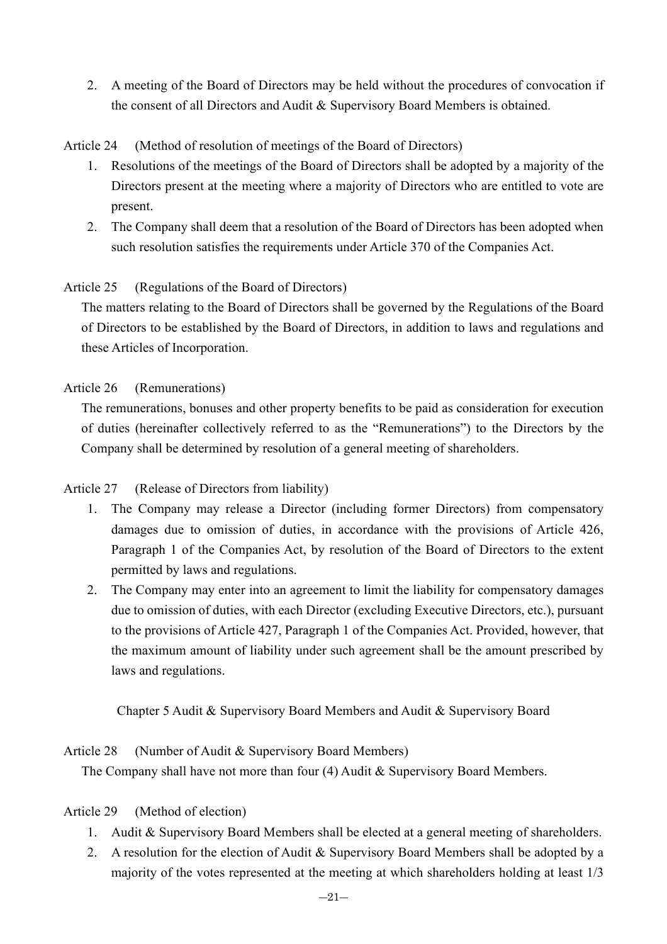2. A meeting of the Board of Directors may be held without the procedures of convocation if the consent of all Directors and Audit & Supervisory Board Members is obtained.

Article 24 (Method of resolution of meetings of the Board of Directors)

- 1. Resolutions of the meetings of the Board of Directors shall be adopted by a majority of the Directors present at the meeting where a majority of Directors who are entitled to vote are present.
- 2. The Company shall deem that a resolution of the Board of Directors has been adopted when such resolution satisfies the requirements under Article 370 of the Companies Act.

# Article 25 (Regulations of the Board of Directors)

The matters relating to the Board of Directors shall be governed by the Regulations of the Board of Directors to be established by the Board of Directors, in addition to laws and regulations and these Articles of Incorporation.

# Article 26 (Remunerations)

The remunerations, bonuses and other property benefits to be paid as consideration for execution of duties (hereinafter collectively referred to as the "Remunerations") to the Directors by the Company shall be determined by resolution of a general meeting of shareholders.

# Article 27 (Release of Directors from liability)

- 1. The Company may release a Director (including former Directors) from compensatory damages due to omission of duties, in accordance with the provisions of Article 426, Paragraph 1 of the Companies Act, by resolution of the Board of Directors to the extent permitted by laws and regulations.
- 2. The Company may enter into an agreement to limit the liability for compensatory damages due to omission of duties, with each Director (excluding Executive Directors, etc.), pursuant to the provisions of Article 427, Paragraph 1 of the Companies Act. Provided, however, that the maximum amount of liability under such agreement shall be the amount prescribed by laws and regulations.

Chapter 5 Audit & Supervisory Board Members and Audit & Supervisory Board

# Article 28 (Number of Audit & Supervisory Board Members)

The Company shall have not more than four (4) Audit & Supervisory Board Members.

# Article 29 (Method of election)

- 1. Audit & Supervisory Board Members shall be elected at a general meeting of shareholders.
- 2. A resolution for the election of Audit & Supervisory Board Members shall be adopted by a majority of the votes represented at the meeting at which shareholders holding at least 1/3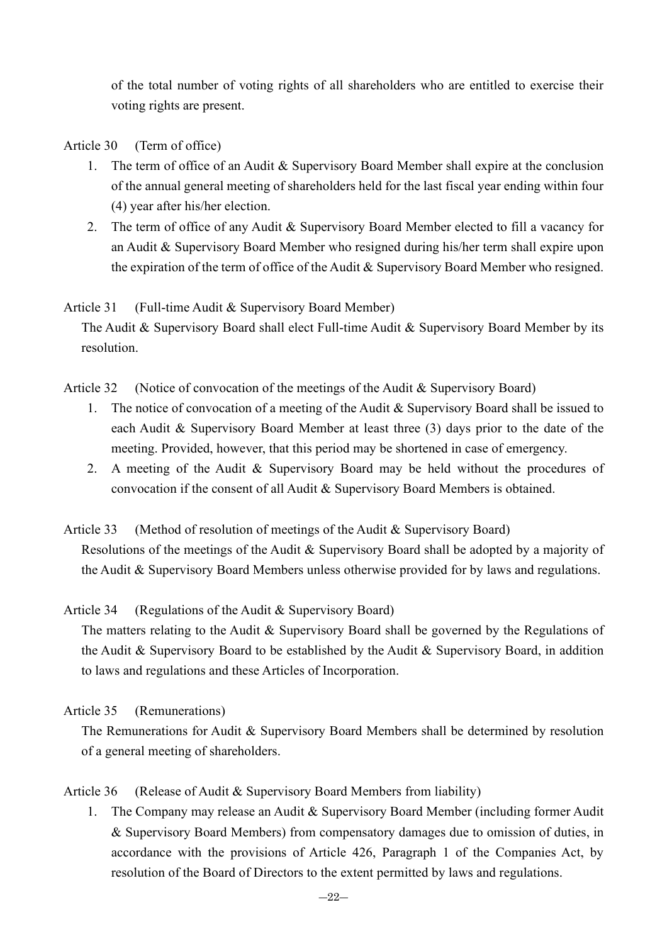of the total number of voting rights of all shareholders who are entitled to exercise their voting rights are present.

Article 30 (Term of office)

- 1. The term of office of an Audit & Supervisory Board Member shall expire at the conclusion of the annual general meeting of shareholders held for the last fiscal year ending within four (4) year after his/her election.
- 2. The term of office of any Audit & Supervisory Board Member elected to fill a vacancy for an Audit & Supervisory Board Member who resigned during his/her term shall expire upon the expiration of the term of office of the Audit & Supervisory Board Member who resigned.

Article 31 (Full-time Audit & Supervisory Board Member) The Audit & Supervisory Board shall elect Full-time Audit & Supervisory Board Member by its resolution.

Article 32 (Notice of convocation of the meetings of the Audit & Supervisory Board)

- 1. The notice of convocation of a meeting of the Audit & Supervisory Board shall be issued to each Audit & Supervisory Board Member at least three (3) days prior to the date of the meeting. Provided, however, that this period may be shortened in case of emergency.
- 2. A meeting of the Audit & Supervisory Board may be held without the procedures of convocation if the consent of all Audit & Supervisory Board Members is obtained.
- Article 33 (Method of resolution of meetings of the Audit & Supervisory Board) Resolutions of the meetings of the Audit & Supervisory Board shall be adopted by a majority of the Audit & Supervisory Board Members unless otherwise provided for by laws and regulations.

Article 34 (Regulations of the Audit & Supervisory Board)

The matters relating to the Audit & Supervisory Board shall be governed by the Regulations of the Audit & Supervisory Board to be established by the Audit & Supervisory Board, in addition to laws and regulations and these Articles of Incorporation.

Article 35 (Remunerations)

The Remunerations for Audit & Supervisory Board Members shall be determined by resolution of a general meeting of shareholders.

Article 36 (Release of Audit & Supervisory Board Members from liability)

1. The Company may release an Audit & Supervisory Board Member (including former Audit & Supervisory Board Members) from compensatory damages due to omission of duties, in accordance with the provisions of Article 426, Paragraph 1 of the Companies Act, by resolution of the Board of Directors to the extent permitted by laws and regulations.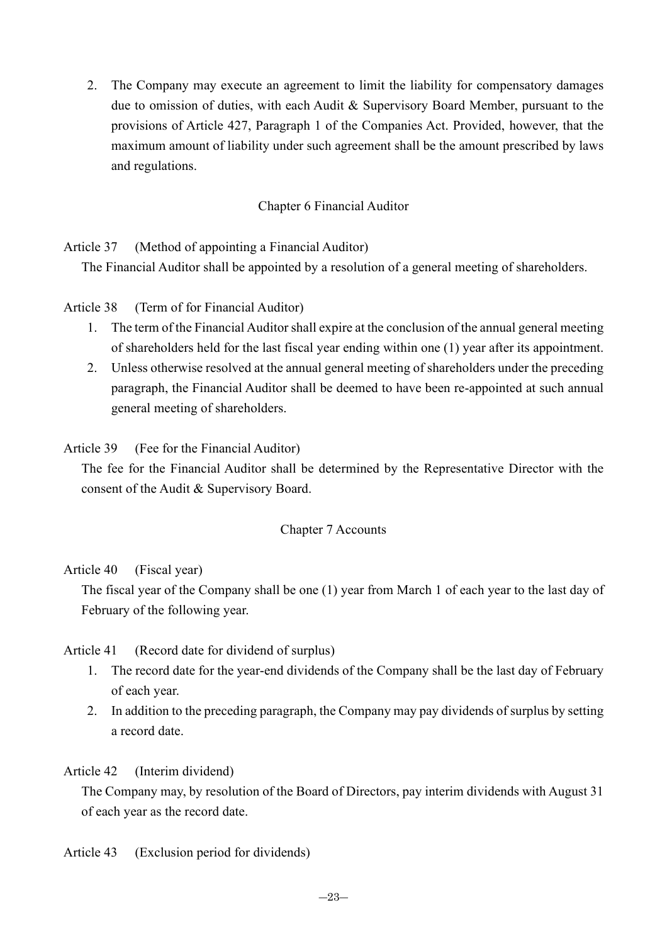2. The Company may execute an agreement to limit the liability for compensatory damages due to omission of duties, with each Audit & Supervisory Board Member, pursuant to the provisions of Article 427, Paragraph 1 of the Companies Act. Provided, however, that the maximum amount of liability under such agreement shall be the amount prescribed by laws and regulations.

# Chapter 6 Financial Auditor

Article 37 (Method of appointing a Financial Auditor)

The Financial Auditor shall be appointed by a resolution of a general meeting of shareholders.

Article 38 (Term of for Financial Auditor)

- 1. The term of the Financial Auditorshall expire at the conclusion of the annual general meeting of shareholders held for the last fiscal year ending within one (1) year after its appointment.
- 2. Unless otherwise resolved at the annual general meeting of shareholders under the preceding paragraph, the Financial Auditor shall be deemed to have been re-appointed at such annual general meeting of shareholders.

Article 39 (Fee for the Financial Auditor)

The fee for the Financial Auditor shall be determined by the Representative Director with the consent of the Audit & Supervisory Board.

## Chapter 7 Accounts

Article 40 (Fiscal year)

The fiscal year of the Company shall be one (1) year from March 1 of each year to the last day of February of the following year.

Article 41 (Record date for dividend of surplus)

- 1. The record date for the year-end dividends of the Company shall be the last day of February of each year.
- 2. In addition to the preceding paragraph, the Company may pay dividends of surplus by setting a record date.

Article 42 (Interim dividend)

The Company may, by resolution of the Board of Directors, pay interim dividends with August 31 of each year as the record date.

Article 43 (Exclusion period for dividends)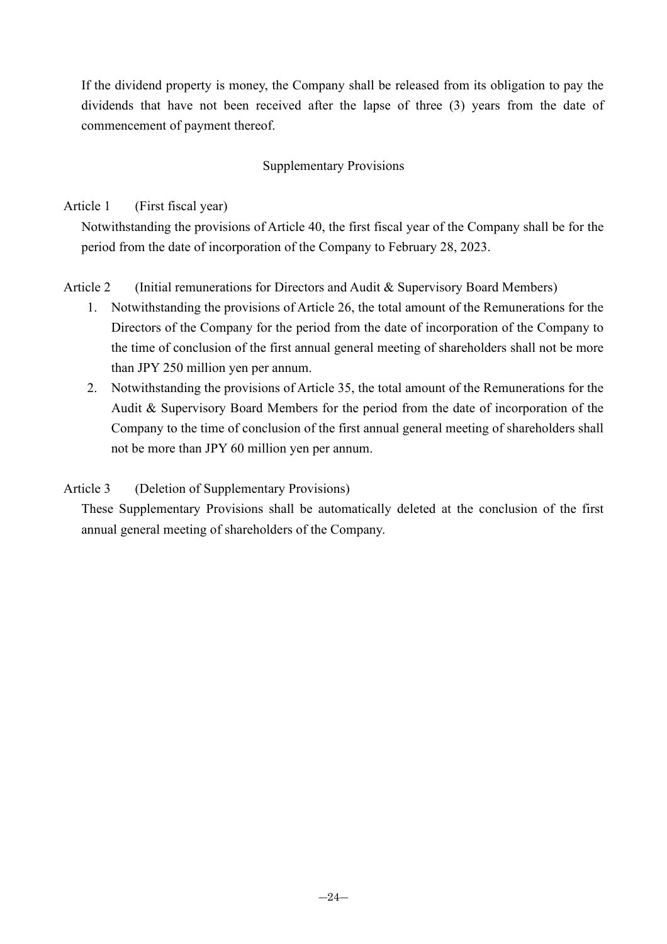If the dividend property is money, the Company shall be released from its obligation to pay the dividends that have not been received after the lapse of three (3) years from the date of commencement of payment thereof.

# Supplementary Provisions

# Article 1 (First fiscal year)

Notwithstanding the provisions of Article 40, the first fiscal year of the Company shall be for the period from the date of incorporation of the Company to February 28, 2023.

Article 2 (Initial remunerations for Directors and Audit & Supervisory Board Members)

- 1. Notwithstanding the provisions of Article 26, the total amount of the Remunerations for the Directors of the Company for the period from the date of incorporation of the Company to the time of conclusion of the first annual general meeting of shareholders shall not be more than JPY 250 million yen per annum.
- 2. Notwithstanding the provisions of Article 35, the total amount of the Remunerations for the Audit & Supervisory Board Members for the period from the date of incorporation of the Company to the time of conclusion of the first annual general meeting of shareholders shall not be more than JPY 60 million yen per annum.

# Article 3 (Deletion of Supplementary Provisions)

These Supplementary Provisions shall be automatically deleted at the conclusion of the first annual general meeting of shareholders of the Company.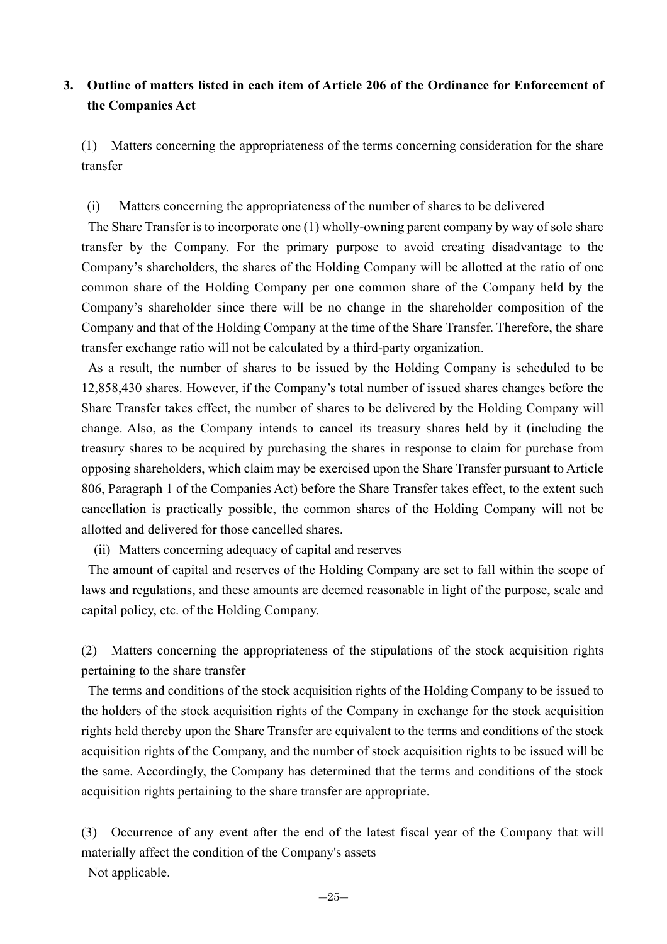# **3. Outline of matters listed in each item of Article 206 of the Ordinance for Enforcement of the Companies Act**

(1) Matters concerning the appropriateness of the terms concerning consideration for the share transfer

## (i) Matters concerning the appropriateness of the number of shares to be delivered

The Share Transfer is to incorporate one (1) wholly-owning parent company by way of sole share transfer by the Company. For the primary purpose to avoid creating disadvantage to the Company's shareholders, the shares of the Holding Company will be allotted at the ratio of one common share of the Holding Company per one common share of the Company held by the Company's shareholder since there will be no change in the shareholder composition of the Company and that of the Holding Company at the time of the Share Transfer. Therefore, the share transfer exchange ratio will not be calculated by a third-party organization.

As a result, the number of shares to be issued by the Holding Company is scheduled to be 12,858,430 shares. However, if the Company's total number of issued shares changes before the Share Transfer takes effect, the number of shares to be delivered by the Holding Company will change. Also, as the Company intends to cancel its treasury shares held by it (including the treasury shares to be acquired by purchasing the shares in response to claim for purchase from opposing shareholders, which claim may be exercised upon the Share Transfer pursuant to Article 806, Paragraph 1 of the Companies Act) before the Share Transfer takes effect, to the extent such cancellation is practically possible, the common shares of the Holding Company will not be allotted and delivered for those cancelled shares.

(ii) Matters concerning adequacy of capital and reserves

The amount of capital and reserves of the Holding Company are set to fall within the scope of laws and regulations, and these amounts are deemed reasonable in light of the purpose, scale and capital policy, etc. of the Holding Company.

(2) Matters concerning the appropriateness of the stipulations of the stock acquisition rights pertaining to the share transfer

The terms and conditions of the stock acquisition rights of the Holding Company to be issued to the holders of the stock acquisition rights of the Company in exchange for the stock acquisition rights held thereby upon the Share Transfer are equivalent to the terms and conditions of the stock acquisition rights of the Company, and the number of stock acquisition rights to be issued will be the same. Accordingly, the Company has determined that the terms and conditions of the stock acquisition rights pertaining to the share transfer are appropriate.

(3) Occurrence of any event after the end of the latest fiscal year of the Company that will materially affect the condition of the Company's assets

Not applicable.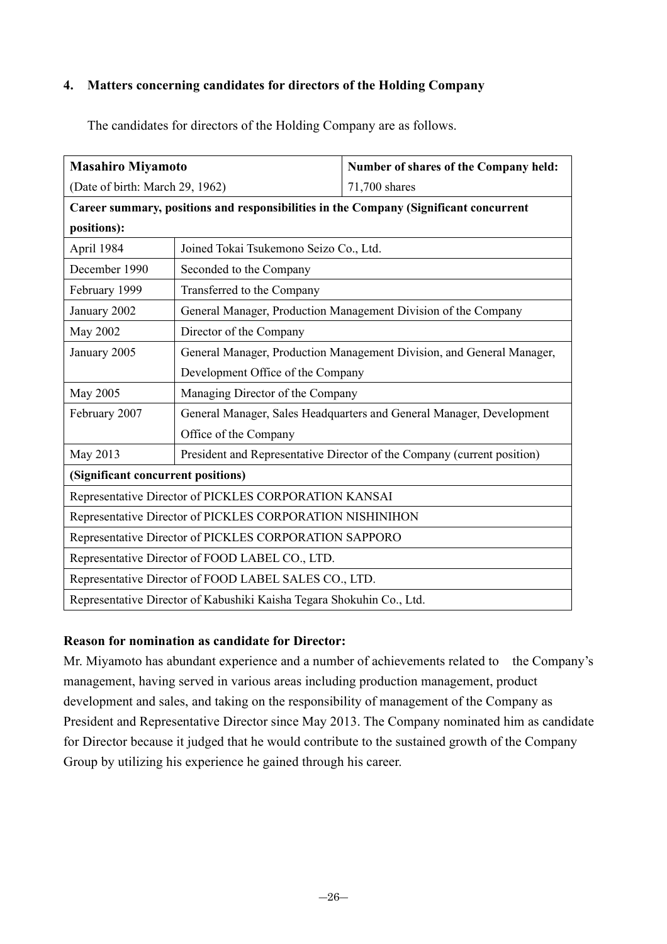## **4. Matters concerning candidates for directors of the Holding Company**

The candidates for directors of the Holding Company are as follows.

| <b>Masahiro Miyamoto</b>                                              |                                                                                       | Number of shares of the Company held:                          |  |  |  |
|-----------------------------------------------------------------------|---------------------------------------------------------------------------------------|----------------------------------------------------------------|--|--|--|
| (Date of birth: March 29, 1962)                                       |                                                                                       | 71,700 shares                                                  |  |  |  |
|                                                                       | Career summary, positions and responsibilities in the Company (Significant concurrent |                                                                |  |  |  |
| positions):                                                           |                                                                                       |                                                                |  |  |  |
| April 1984                                                            | Joined Tokai Tsukemono Seizo Co., Ltd.                                                |                                                                |  |  |  |
| December 1990                                                         | Seconded to the Company                                                               |                                                                |  |  |  |
| February 1999                                                         | Transferred to the Company                                                            |                                                                |  |  |  |
| January 2002                                                          |                                                                                       | General Manager, Production Management Division of the Company |  |  |  |
| <b>May 2002</b>                                                       | Director of the Company                                                               |                                                                |  |  |  |
| January 2005                                                          | General Manager, Production Management Division, and General Manager,                 |                                                                |  |  |  |
|                                                                       | Development Office of the Company                                                     |                                                                |  |  |  |
| May 2005                                                              | Managing Director of the Company                                                      |                                                                |  |  |  |
| February 2007                                                         | General Manager, Sales Headquarters and General Manager, Development                  |                                                                |  |  |  |
|                                                                       | Office of the Company                                                                 |                                                                |  |  |  |
| May 2013                                                              | President and Representative Director of the Company (current position)               |                                                                |  |  |  |
| (Significant concurrent positions)                                    |                                                                                       |                                                                |  |  |  |
| Representative Director of PICKLES CORPORATION KANSAI                 |                                                                                       |                                                                |  |  |  |
| Representative Director of PICKLES CORPORATION NISHINIHON             |                                                                                       |                                                                |  |  |  |
| Representative Director of PICKLES CORPORATION SAPPORO                |                                                                                       |                                                                |  |  |  |
| Representative Director of FOOD LABEL CO., LTD.                       |                                                                                       |                                                                |  |  |  |
| Representative Director of FOOD LABEL SALES CO., LTD.                 |                                                                                       |                                                                |  |  |  |
| Representative Director of Kabushiki Kaisha Tegara Shokuhin Co., Ltd. |                                                                                       |                                                                |  |  |  |

## **Reason for nomination as candidate for Director:**

Mr. Miyamoto has abundant experience and a number of achievements related to the Company's management, having served in various areas including production management, product development and sales, and taking on the responsibility of management of the Company as President and Representative Director since May 2013. The Company nominated him as candidate for Director because it judged that he would contribute to the sustained growth of the Company Group by utilizing his experience he gained through his career.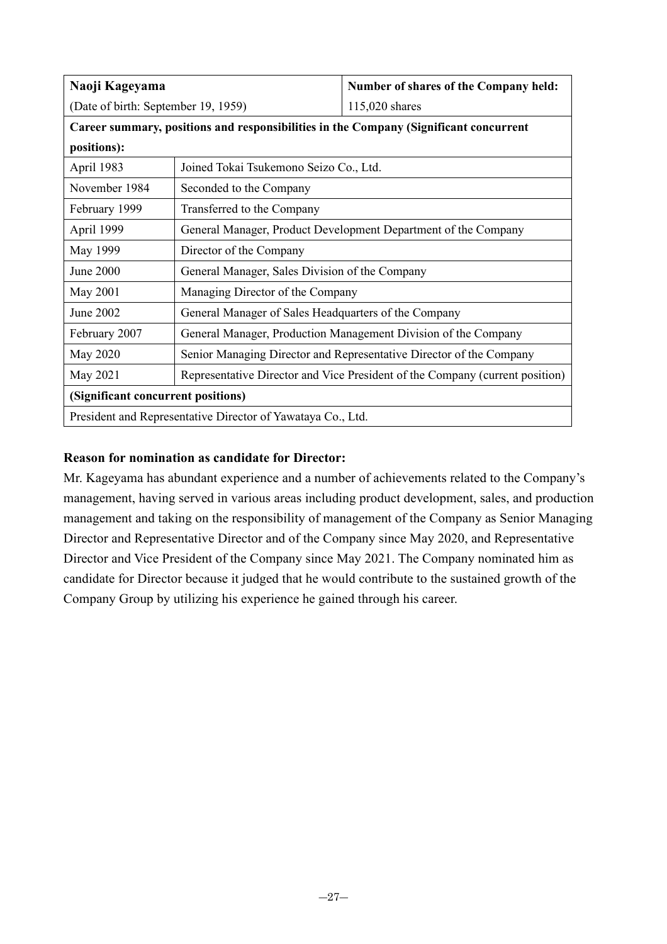| Naoji Kageyama                                                                        |                                                                              | Number of shares of the Company held: |
|---------------------------------------------------------------------------------------|------------------------------------------------------------------------------|---------------------------------------|
| (Date of birth: September 19, 1959)                                                   |                                                                              | 115,020 shares                        |
| Career summary, positions and responsibilities in the Company (Significant concurrent |                                                                              |                                       |
| positions):                                                                           |                                                                              |                                       |
| April 1983                                                                            | Joined Tokai Tsukemono Seizo Co., Ltd.                                       |                                       |
| November 1984                                                                         | Seconded to the Company                                                      |                                       |
| February 1999                                                                         | Transferred to the Company                                                   |                                       |
| April 1999                                                                            | General Manager, Product Development Department of the Company               |                                       |
| May 1999                                                                              | Director of the Company                                                      |                                       |
| June 2000                                                                             | General Manager, Sales Division of the Company                               |                                       |
| May 2001                                                                              | Managing Director of the Company                                             |                                       |
| June 2002                                                                             | General Manager of Sales Headquarters of the Company                         |                                       |
| February 2007                                                                         | General Manager, Production Management Division of the Company               |                                       |
| May 2020                                                                              | Senior Managing Director and Representative Director of the Company          |                                       |
| May 2021                                                                              | Representative Director and Vice President of the Company (current position) |                                       |
| (Significant concurrent positions)                                                    |                                                                              |                                       |
|                                                                                       | President and Representative Director of Yawataya Co., Ltd.                  |                                       |

Mr. Kageyama has abundant experience and a number of achievements related to the Company's management, having served in various areas including product development, sales, and production management and taking on the responsibility of management of the Company as Senior Managing Director and Representative Director and of the Company since May 2020, and Representative Director and Vice President of the Company since May 2021. The Company nominated him as candidate for Director because it judged that he would contribute to the sustained growth of the Company Group by utilizing his experience he gained through his career.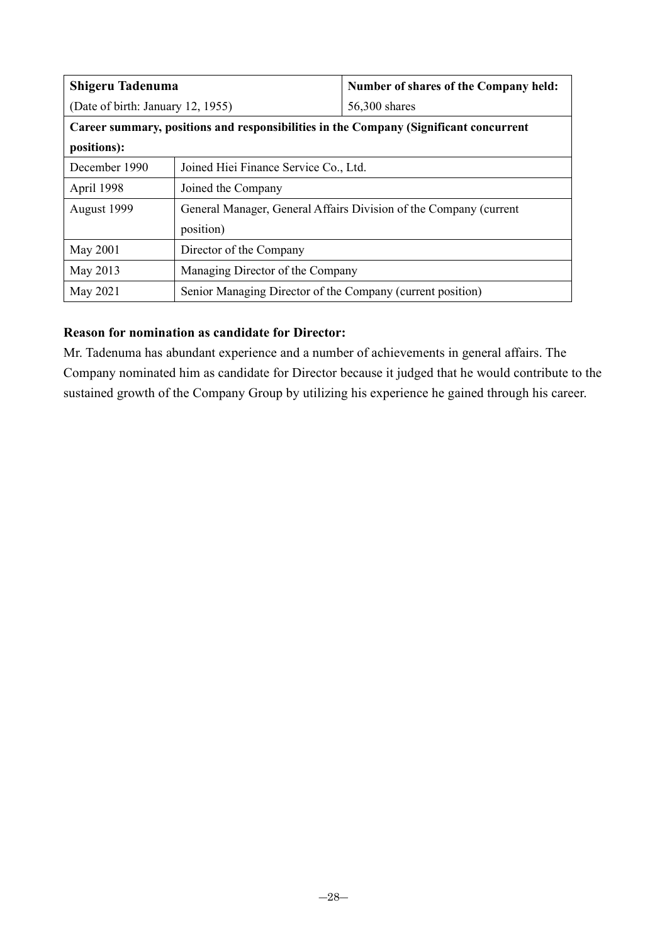| Shigeru Tadenuma                  |                                                                   | Number of shares of the Company held:                                                 |  |
|-----------------------------------|-------------------------------------------------------------------|---------------------------------------------------------------------------------------|--|
| (Date of birth: January 12, 1955) |                                                                   | 56,300 shares                                                                         |  |
|                                   |                                                                   | Career summary, positions and responsibilities in the Company (Significant concurrent |  |
| positions):                       |                                                                   |                                                                                       |  |
| December 1990                     | Joined Hiei Finance Service Co., Ltd.                             |                                                                                       |  |
| April 1998                        | Joined the Company                                                |                                                                                       |  |
| August 1999                       | General Manager, General Affairs Division of the Company (current |                                                                                       |  |
|                                   | position)                                                         |                                                                                       |  |
| May 2001                          | Director of the Company                                           |                                                                                       |  |
| May 2013                          | Managing Director of the Company                                  |                                                                                       |  |
| May 2021                          | Senior Managing Director of the Company (current position)        |                                                                                       |  |

Mr. Tadenuma has abundant experience and a number of achievements in general affairs. The Company nominated him as candidate for Director because it judged that he would contribute to the sustained growth of the Company Group by utilizing his experience he gained through his career.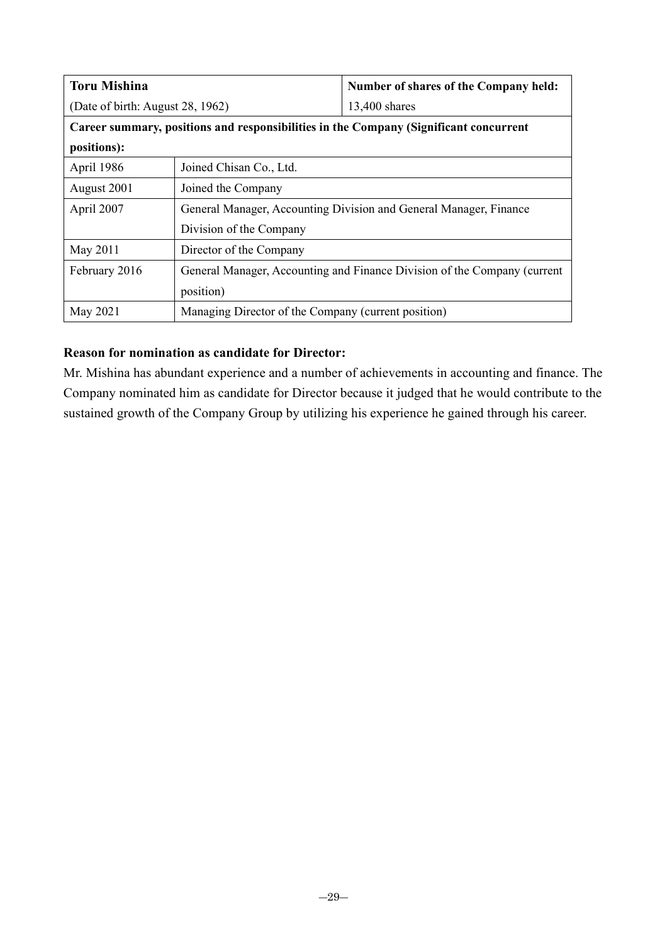| <b>Toru Mishina</b>              |                                                                          | Number of shares of the Company held:                                                 |  |
|----------------------------------|--------------------------------------------------------------------------|---------------------------------------------------------------------------------------|--|
| (Date of birth: August 28, 1962) |                                                                          | 13,400 shares                                                                         |  |
|                                  |                                                                          | Career summary, positions and responsibilities in the Company (Significant concurrent |  |
| positions):                      |                                                                          |                                                                                       |  |
| April 1986                       | Joined Chisan Co., Ltd.                                                  |                                                                                       |  |
| August 2001                      | Joined the Company                                                       |                                                                                       |  |
| April 2007                       | General Manager, Accounting Division and General Manager, Finance        |                                                                                       |  |
| Division of the Company          |                                                                          |                                                                                       |  |
| May 2011                         | Director of the Company                                                  |                                                                                       |  |
| February 2016                    | General Manager, Accounting and Finance Division of the Company (current |                                                                                       |  |
|                                  | position)                                                                |                                                                                       |  |
| May 2021                         | Managing Director of the Company (current position)                      |                                                                                       |  |

Mr. Mishina has abundant experience and a number of achievements in accounting and finance. The Company nominated him as candidate for Director because it judged that he would contribute to the sustained growth of the Company Group by utilizing his experience he gained through his career.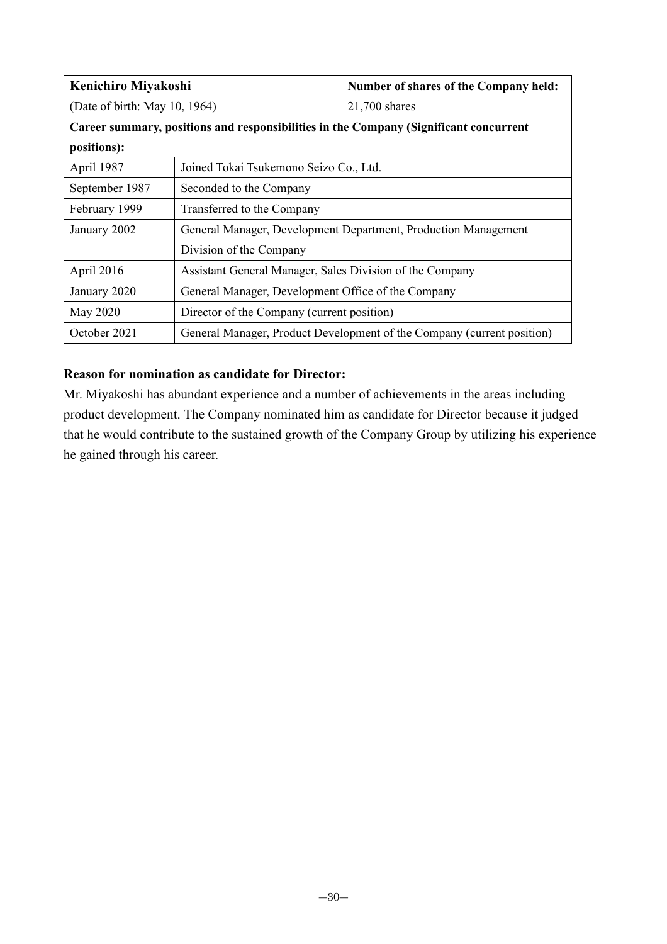| Kenichiro Miyakoshi           |                                                                        | Number of shares of the Company held:                                                 |  |
|-------------------------------|------------------------------------------------------------------------|---------------------------------------------------------------------------------------|--|
| (Date of birth: May 10, 1964) |                                                                        | 21,700 shares                                                                         |  |
|                               |                                                                        | Career summary, positions and responsibilities in the Company (Significant concurrent |  |
| positions):                   |                                                                        |                                                                                       |  |
| April 1987                    | Joined Tokai Tsukemono Seizo Co., Ltd.                                 |                                                                                       |  |
| September 1987                | Seconded to the Company                                                |                                                                                       |  |
| February 1999                 | Transferred to the Company                                             |                                                                                       |  |
| January 2002                  | General Manager, Development Department, Production Management         |                                                                                       |  |
| Division of the Company       |                                                                        |                                                                                       |  |
| April 2016                    | Assistant General Manager, Sales Division of the Company               |                                                                                       |  |
| January 2020                  | General Manager, Development Office of the Company                     |                                                                                       |  |
| May 2020                      | Director of the Company (current position)                             |                                                                                       |  |
| October 2021                  | General Manager, Product Development of the Company (current position) |                                                                                       |  |

Mr. Miyakoshi has abundant experience and a number of achievements in the areas including product development. The Company nominated him as candidate for Director because it judged that he would contribute to the sustained growth of the Company Group by utilizing his experience he gained through his career.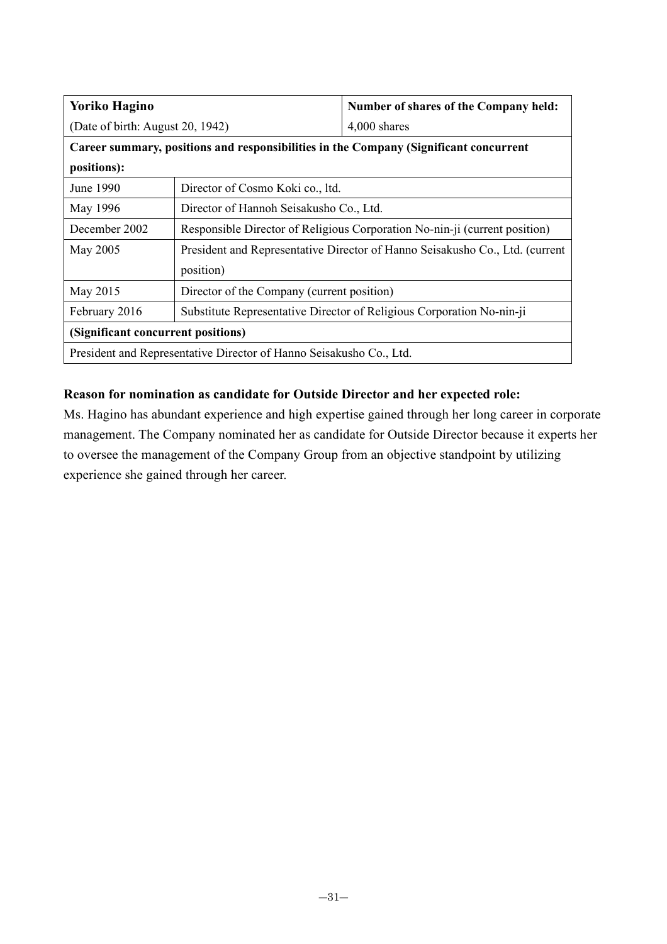| <b>Yoriko Hagino</b>                             |                                                                       | Number of shares of the Company held:                                                 |  |  |
|--------------------------------------------------|-----------------------------------------------------------------------|---------------------------------------------------------------------------------------|--|--|
| (Date of birth: August 20, 1942)<br>4,000 shares |                                                                       |                                                                                       |  |  |
|                                                  |                                                                       | Career summary, positions and responsibilities in the Company (Significant concurrent |  |  |
| positions):                                      |                                                                       |                                                                                       |  |  |
| June 1990                                        | Director of Cosmo Koki co., ltd.                                      |                                                                                       |  |  |
| May 1996                                         |                                                                       | Director of Hannoh Seisakusho Co., Ltd.                                               |  |  |
| December 2002                                    |                                                                       | Responsible Director of Religious Corporation No-nin-ji (current position)            |  |  |
| May 2005                                         |                                                                       | President and Representative Director of Hanno Seisakusho Co., Ltd. (current          |  |  |
|                                                  | position)                                                             |                                                                                       |  |  |
| May 2015                                         | Director of the Company (current position)                            |                                                                                       |  |  |
| February 2016                                    | Substitute Representative Director of Religious Corporation No-nin-ji |                                                                                       |  |  |
| (Significant concurrent positions)               |                                                                       |                                                                                       |  |  |
|                                                  | President and Representative Director of Hanno Seisakusho Co., Ltd.   |                                                                                       |  |  |

# **Reason for nomination as candidate for Outside Director and her expected role:**

Ms. Hagino has abundant experience and high expertise gained through her long career in corporate management. The Company nominated her as candidate for Outside Director because it experts her to oversee the management of the Company Group from an objective standpoint by utilizing experience she gained through her career.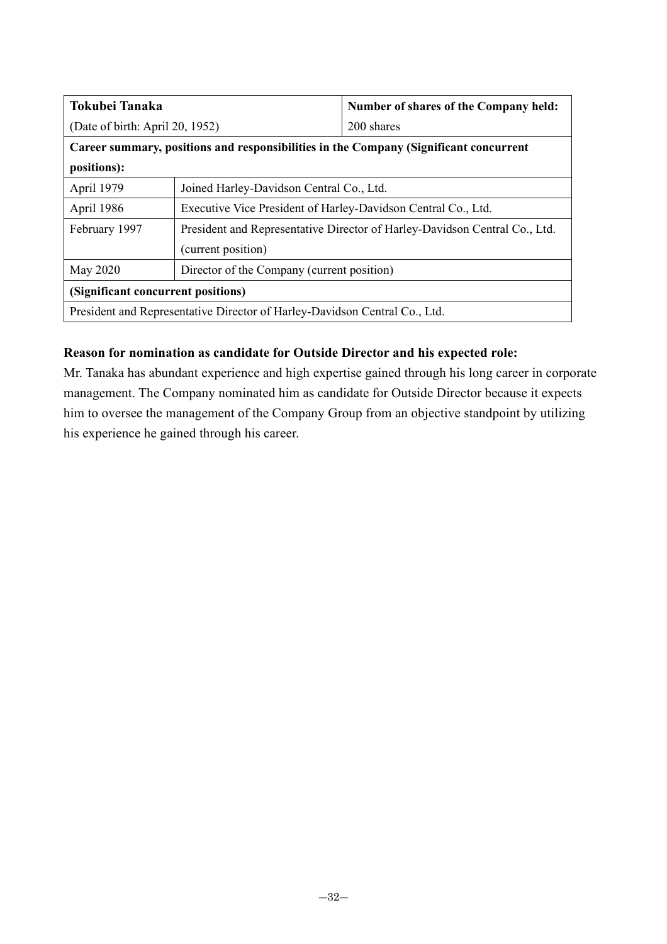| Tokubei Tanaka                                                             |                                                                            | Number of shares of the Company held:                                                 |  |
|----------------------------------------------------------------------------|----------------------------------------------------------------------------|---------------------------------------------------------------------------------------|--|
| 200 shares<br>(Date of birth: April 20, 1952)                              |                                                                            |                                                                                       |  |
|                                                                            |                                                                            | Career summary, positions and responsibilities in the Company (Significant concurrent |  |
| positions):                                                                |                                                                            |                                                                                       |  |
| April 1979                                                                 | Joined Harley-Davidson Central Co., Ltd.                                   |                                                                                       |  |
| April 1986                                                                 | Executive Vice President of Harley-Davidson Central Co., Ltd.              |                                                                                       |  |
| February 1997                                                              | President and Representative Director of Harley-Davidson Central Co., Ltd. |                                                                                       |  |
|                                                                            | (current position)                                                         |                                                                                       |  |
| May 2020                                                                   | Director of the Company (current position)                                 |                                                                                       |  |
| (Significant concurrent positions)                                         |                                                                            |                                                                                       |  |
| President and Representative Director of Harley-Davidson Central Co., Ltd. |                                                                            |                                                                                       |  |

# **Reason for nomination as candidate for Outside Director and his expected role:**

Mr. Tanaka has abundant experience and high expertise gained through his long career in corporate management. The Company nominated him as candidate for Outside Director because it expects him to oversee the management of the Company Group from an objective standpoint by utilizing his experience he gained through his career.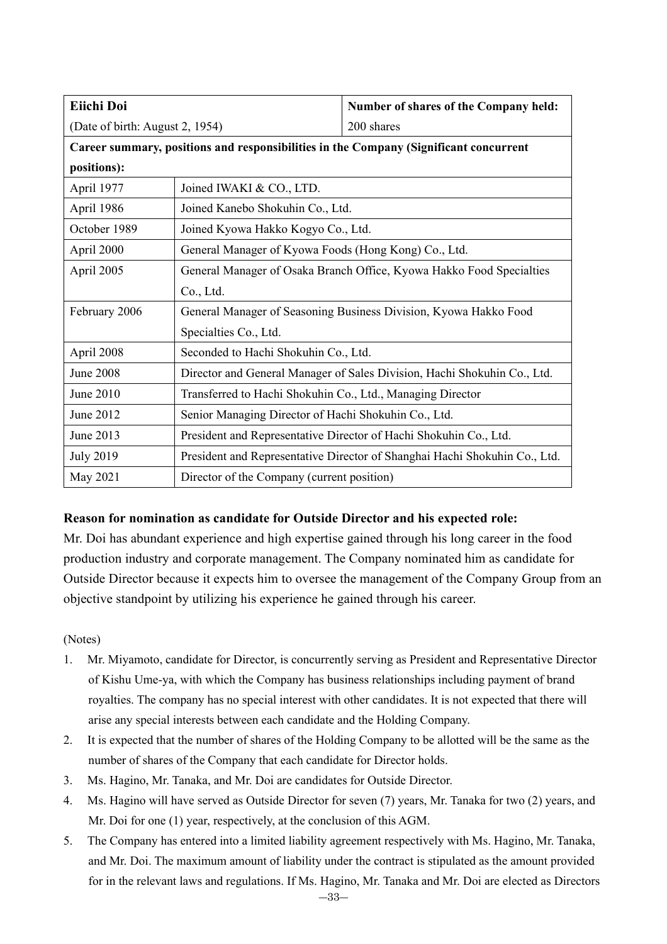| Eiichi Doi                      |                                                                            | Number of shares of the Company held:                                                 |  |
|---------------------------------|----------------------------------------------------------------------------|---------------------------------------------------------------------------------------|--|
| (Date of birth: August 2, 1954) |                                                                            | 200 shares                                                                            |  |
|                                 |                                                                            | Career summary, positions and responsibilities in the Company (Significant concurrent |  |
| positions):                     |                                                                            |                                                                                       |  |
| April 1977                      | Joined IWAKI & CO., LTD.                                                   |                                                                                       |  |
| April 1986                      | Joined Kanebo Shokuhin Co., Ltd.                                           |                                                                                       |  |
| October 1989                    | Joined Kyowa Hakko Kogyo Co., Ltd.                                         |                                                                                       |  |
| April 2000                      | General Manager of Kyowa Foods (Hong Kong) Co., Ltd.                       |                                                                                       |  |
| April 2005                      | General Manager of Osaka Branch Office, Kyowa Hakko Food Specialties       |                                                                                       |  |
|                                 | Co., Ltd.                                                                  |                                                                                       |  |
| February 2006                   | General Manager of Seasoning Business Division, Kyowa Hakko Food           |                                                                                       |  |
|                                 | Specialties Co., Ltd.                                                      |                                                                                       |  |
| April 2008                      | Seconded to Hachi Shokuhin Co., Ltd.                                       |                                                                                       |  |
| <b>June 2008</b>                |                                                                            | Director and General Manager of Sales Division, Hachi Shokuhin Co., Ltd.              |  |
| June 2010                       | Transferred to Hachi Shokuhin Co., Ltd., Managing Director                 |                                                                                       |  |
| June 2012                       | Senior Managing Director of Hachi Shokuhin Co., Ltd.                       |                                                                                       |  |
| June 2013                       |                                                                            | President and Representative Director of Hachi Shokuhin Co., Ltd.                     |  |
| <b>July 2019</b>                | President and Representative Director of Shanghai Hachi Shokuhin Co., Ltd. |                                                                                       |  |
| May 2021                        | Director of the Company (current position)                                 |                                                                                       |  |

## **Reason for nomination as candidate for Outside Director and his expected role:**

Mr. Doi has abundant experience and high expertise gained through his long career in the food production industry and corporate management. The Company nominated him as candidate for Outside Director because it expects him to oversee the management of the Company Group from an objective standpoint by utilizing his experience he gained through his career.

(Notes)

- 1. Mr. Miyamoto, candidate for Director, is concurrently serving as President and Representative Director of Kishu Ume-ya, with which the Company has business relationships including payment of brand royalties. The company has no special interest with other candidates. It is not expected that there will arise any special interests between each candidate and the Holding Company.
- 2. It is expected that the number of shares of the Holding Company to be allotted will be the same as the number of shares of the Company that each candidate for Director holds.
- 3. Ms. Hagino, Mr. Tanaka, and Mr. Doi are candidates for Outside Director.
- 4. Ms. Hagino will have served as Outside Director for seven (7) years, Mr. Tanaka for two (2) years, and Mr. Doi for one (1) year, respectively, at the conclusion of this AGM.
- 5. The Company has entered into a limited liability agreement respectively with Ms. Hagino, Mr. Tanaka, and Mr. Doi. The maximum amount of liability under the contract is stipulated as the amount provided for in the relevant laws and regulations. If Ms. Hagino, Mr. Tanaka and Mr. Doi are elected as Directors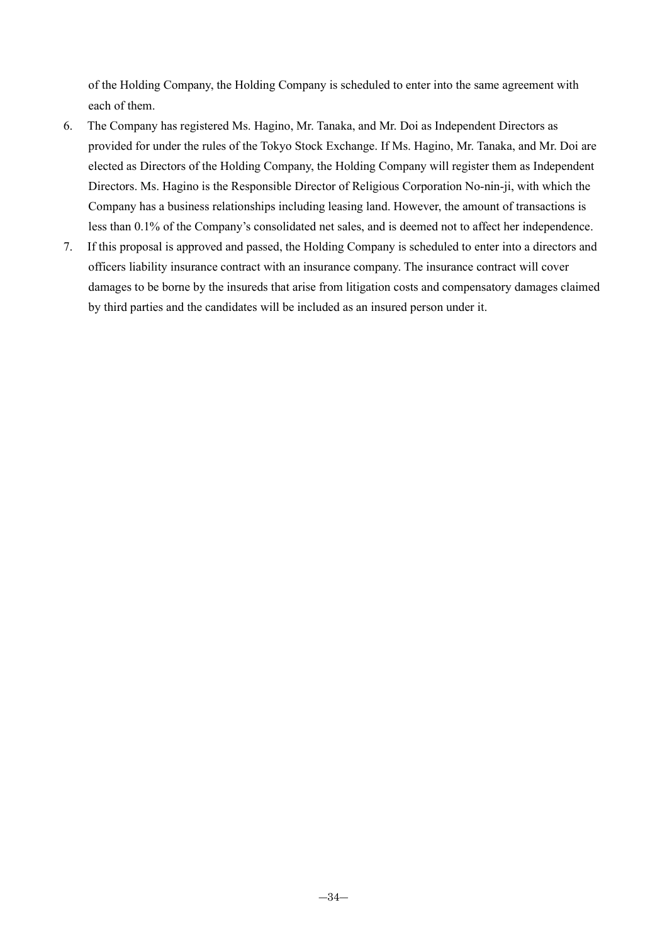of the Holding Company, the Holding Company is scheduled to enter into the same agreement with each of them.

- 6. The Company has registered Ms. Hagino, Mr. Tanaka, and Mr. Doi as Independent Directors as provided for under the rules of the Tokyo Stock Exchange. If Ms. Hagino, Mr. Tanaka, and Mr. Doi are elected as Directors of the Holding Company, the Holding Company will register them as Independent Directors. Ms. Hagino is the Responsible Director of Religious Corporation No-nin-ji, with which the Company has a business relationships including leasing land. However, the amount of transactions is less than 0.1% of the Company's consolidated net sales, and is deemed not to affect her independence.
- 7. If this proposal is approved and passed, the Holding Company is scheduled to enter into a directors and officers liability insurance contract with an insurance company. The insurance contract will cover damages to be borne by the insureds that arise from litigation costs and compensatory damages claimed by third parties and the candidates will be included as an insured person under it.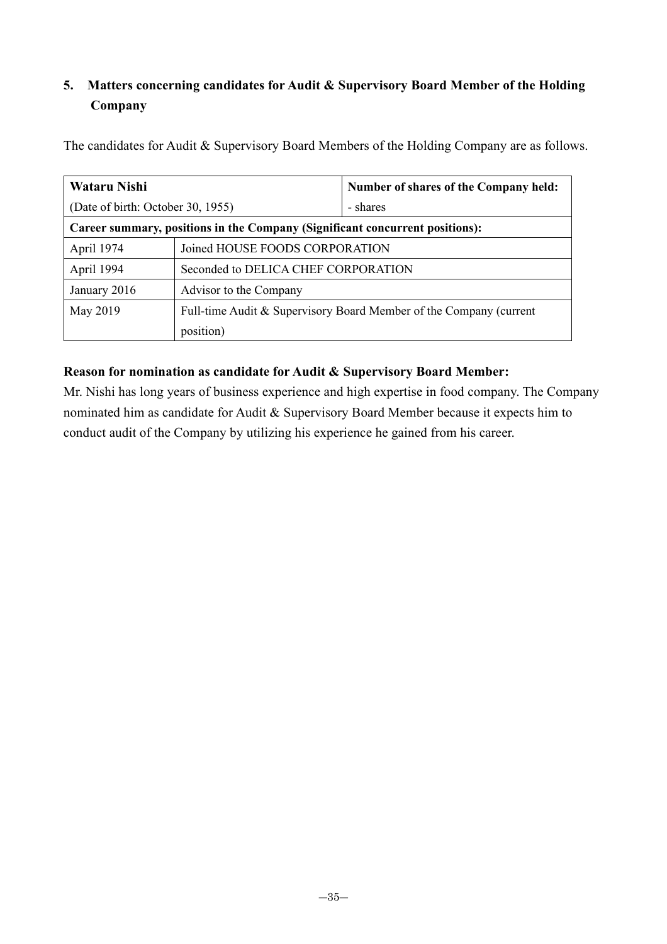# **5. Matters concerning candidates for Audit & Supervisory Board Member of the Holding Company**

The candidates for Audit & Supervisory Board Members of the Holding Company are as follows.

| Wataru Nishi                      |                                                                              | Number of shares of the Company held: |
|-----------------------------------|------------------------------------------------------------------------------|---------------------------------------|
| (Date of birth: October 30, 1955) |                                                                              | - shares                              |
|                                   | Career summary, positions in the Company (Significant concurrent positions): |                                       |
| April 1974                        | Joined HOUSE FOODS CORPORATION                                               |                                       |
| April 1994                        | Seconded to DELICA CHEF CORPORATION                                          |                                       |
| January 2016                      | Advisor to the Company                                                       |                                       |
| May 2019                          | Full-time Audit & Supervisory Board Member of the Company (current           |                                       |
|                                   | position)                                                                    |                                       |

# **Reason for nomination as candidate for Audit & Supervisory Board Member:**

Mr. Nishi has long years of business experience and high expertise in food company. The Company nominated him as candidate for Audit & Supervisory Board Member because it expects him to conduct audit of the Company by utilizing his experience he gained from his career.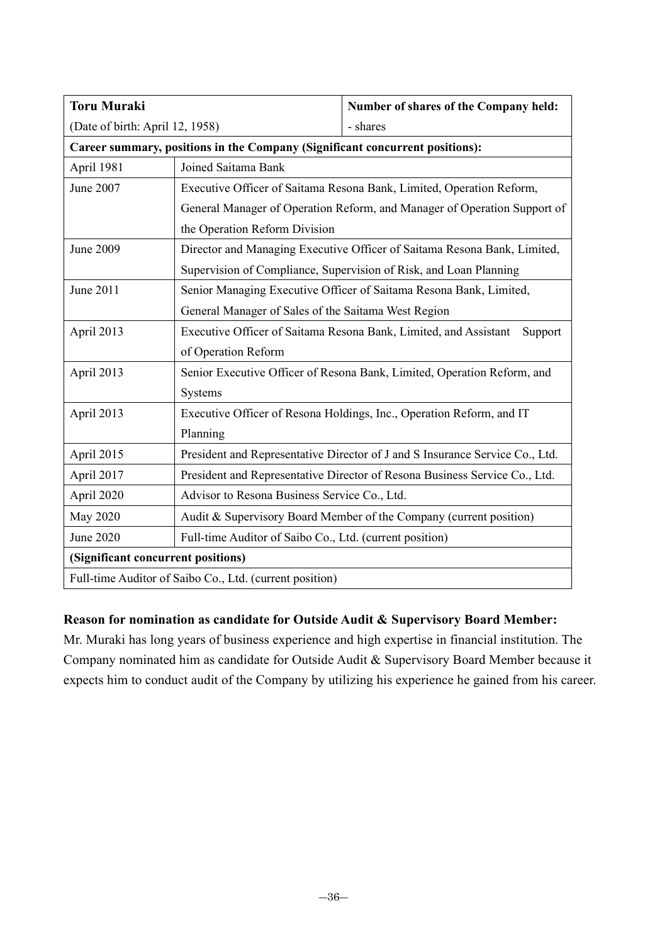| <b>Toru Muraki</b>                 |                                                                              | Number of shares of the Company held:                                        |  |
|------------------------------------|------------------------------------------------------------------------------|------------------------------------------------------------------------------|--|
| (Date of birth: April 12, 1958)    |                                                                              | - shares                                                                     |  |
|                                    | Career summary, positions in the Company (Significant concurrent positions): |                                                                              |  |
| April 1981                         | Joined Saitama Bank                                                          |                                                                              |  |
| June 2007                          |                                                                              | Executive Officer of Saitama Resona Bank, Limited, Operation Reform,         |  |
|                                    |                                                                              | General Manager of Operation Reform, and Manager of Operation Support of     |  |
|                                    | the Operation Reform Division                                                |                                                                              |  |
| June 2009                          |                                                                              | Director and Managing Executive Officer of Saitama Resona Bank, Limited,     |  |
|                                    |                                                                              | Supervision of Compliance, Supervision of Risk, and Loan Planning            |  |
| June 2011                          | Senior Managing Executive Officer of Saitama Resona Bank, Limited,           |                                                                              |  |
|                                    | General Manager of Sales of the Saitama West Region                          |                                                                              |  |
| April 2013                         | Executive Officer of Saitama Resona Bank, Limited, and Assistant<br>Support  |                                                                              |  |
|                                    | of Operation Reform                                                          |                                                                              |  |
| April 2013                         | Senior Executive Officer of Resona Bank, Limited, Operation Reform, and      |                                                                              |  |
|                                    | Systems                                                                      |                                                                              |  |
| April 2013                         | Executive Officer of Resona Holdings, Inc., Operation Reform, and IT         |                                                                              |  |
|                                    | Planning                                                                     |                                                                              |  |
| April 2015                         |                                                                              | President and Representative Director of J and S Insurance Service Co., Ltd. |  |
| April 2017                         |                                                                              | President and Representative Director of Resona Business Service Co., Ltd.   |  |
| April 2020                         | Advisor to Resona Business Service Co., Ltd.                                 |                                                                              |  |
| <b>May 2020</b>                    |                                                                              | Audit & Supervisory Board Member of the Company (current position)           |  |
| June 2020                          | Full-time Auditor of Saibo Co., Ltd. (current position)                      |                                                                              |  |
| (Significant concurrent positions) |                                                                              |                                                                              |  |
|                                    | Full-time Auditor of Saibo Co., Ltd. (current position)                      |                                                                              |  |

## **Reason for nomination as candidate for Outside Audit & Supervisory Board Member:**

Mr. Muraki has long years of business experience and high expertise in financial institution. The Company nominated him as candidate for Outside Audit & Supervisory Board Member because it expects him to conduct audit of the Company by utilizing his experience he gained from his career.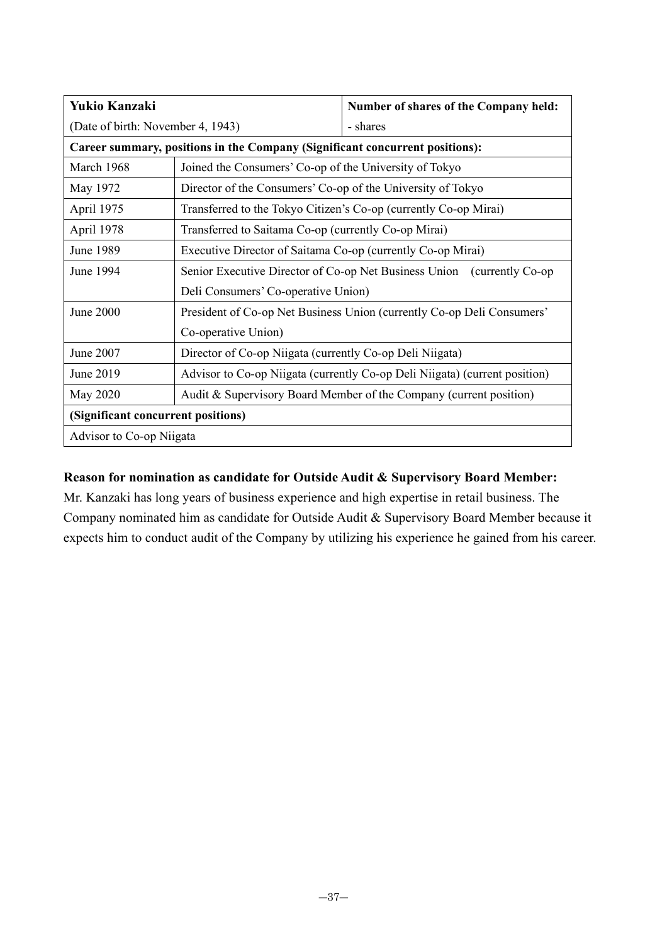| Yukio Kanzaki                                                                |                                                                            | Number of shares of the Company held:                            |  |
|------------------------------------------------------------------------------|----------------------------------------------------------------------------|------------------------------------------------------------------|--|
| (Date of birth: November 4, 1943)                                            |                                                                            | - shares                                                         |  |
| Career summary, positions in the Company (Significant concurrent positions): |                                                                            |                                                                  |  |
| March 1968                                                                   | Joined the Consumers' Co-op of the University of Tokyo                     |                                                                  |  |
| May 1972                                                                     | Director of the Consumers' Co-op of the University of Tokyo                |                                                                  |  |
| April 1975                                                                   |                                                                            | Transferred to the Tokyo Citizen's Co-op (currently Co-op Mirai) |  |
| April 1978                                                                   | Transferred to Saitama Co-op (currently Co-op Mirai)                       |                                                                  |  |
| June 1989                                                                    | Executive Director of Saitama Co-op (currently Co-op Mirai)                |                                                                  |  |
| June 1994                                                                    | Senior Executive Director of Co-op Net Business Union (currently Co-op)    |                                                                  |  |
|                                                                              | Deli Consumers' Co-operative Union)                                        |                                                                  |  |
| June 2000                                                                    | President of Co-op Net Business Union (currently Co-op Deli Consumers'     |                                                                  |  |
|                                                                              | Co-operative Union)                                                        |                                                                  |  |
| June 2007                                                                    | Director of Co-op Niigata (currently Co-op Deli Niigata)                   |                                                                  |  |
| June 2019                                                                    | Advisor to Co-op Niigata (currently Co-op Deli Niigata) (current position) |                                                                  |  |
| May 2020                                                                     | Audit & Supervisory Board Member of the Company (current position)         |                                                                  |  |
| (Significant concurrent positions)                                           |                                                                            |                                                                  |  |
| Advisor to Co-op Niigata                                                     |                                                                            |                                                                  |  |

# **Reason for nomination as candidate for Outside Audit & Supervisory Board Member:**

Mr. Kanzaki has long years of business experience and high expertise in retail business. The Company nominated him as candidate for Outside Audit & Supervisory Board Member because it expects him to conduct audit of the Company by utilizing his experience he gained from his career.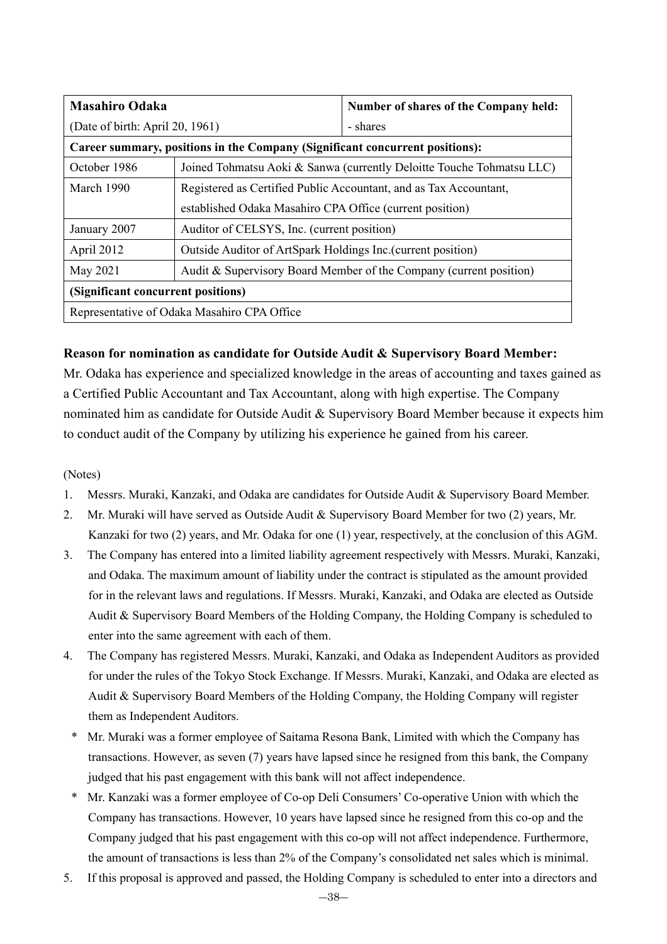| <b>Masahiro Odaka</b><br>Number of shares of the Company held:               |                                                                    |                                                                       |  |
|------------------------------------------------------------------------------|--------------------------------------------------------------------|-----------------------------------------------------------------------|--|
| (Date of birth: April 20, 1961)<br>- shares                                  |                                                                    |                                                                       |  |
| Career summary, positions in the Company (Significant concurrent positions): |                                                                    |                                                                       |  |
| October 1986                                                                 |                                                                    | Joined Tohmatsu Aoki & Sanwa (currently Deloitte Touche Tohmatsu LLC) |  |
| March 1990                                                                   | Registered as Certified Public Accountant, and as Tax Accountant,  |                                                                       |  |
|                                                                              | established Odaka Masahiro CPA Office (current position)           |                                                                       |  |
| January 2007                                                                 | Auditor of CELSYS, Inc. (current position)                         |                                                                       |  |
| April 2012                                                                   | Outside Auditor of ArtSpark Holdings Inc. (current position)       |                                                                       |  |
| May 2021                                                                     | Audit & Supervisory Board Member of the Company (current position) |                                                                       |  |
| (Significant concurrent positions)                                           |                                                                    |                                                                       |  |
| Representative of Odaka Masahiro CPA Office                                  |                                                                    |                                                                       |  |

## **Reason for nomination as candidate for Outside Audit & Supervisory Board Member:**

Mr. Odaka has experience and specialized knowledge in the areas of accounting and taxes gained as a Certified Public Accountant and Tax Accountant, along with high expertise. The Company nominated him as candidate for Outside Audit & Supervisory Board Member because it expects him to conduct audit of the Company by utilizing his experience he gained from his career.

## (Notes)

- 1. Messrs. Muraki, Kanzaki, and Odaka are candidates for Outside Audit & Supervisory Board Member.
- 2. Mr. Muraki will have served as Outside Audit & Supervisory Board Member for two (2) years, Mr. Kanzaki for two (2) years, and Mr. Odaka for one (1) year, respectively, at the conclusion of this AGM.
- 3. The Company has entered into a limited liability agreement respectively with Messrs. Muraki, Kanzaki, and Odaka. The maximum amount of liability under the contract is stipulated as the amount provided for in the relevant laws and regulations. If Messrs. Muraki, Kanzaki, and Odaka are elected as Outside Audit & Supervisory Board Members of the Holding Company, the Holding Company is scheduled to enter into the same agreement with each of them.
- 4. The Company has registered Messrs. Muraki, Kanzaki, and Odaka as Independent Auditors as provided for under the rules of the Tokyo Stock Exchange. If Messrs. Muraki, Kanzaki, and Odaka are elected as Audit & Supervisory Board Members of the Holding Company, the Holding Company will register them as Independent Auditors.
	- Mr. Muraki was a former employee of Saitama Resona Bank, Limited with which the Company has transactions. However, as seven (7) years have lapsed since he resigned from this bank, the Company judged that his past engagement with this bank will not affect independence.
	- \* Mr. Kanzaki was a former employee of Co-op Deli Consumers' Co-operative Union with which the Company has transactions. However, 10 years have lapsed since he resigned from this co-op and the Company judged that his past engagement with this co-op will not affect independence. Furthermore, the amount of transactions is less than 2% of the Company's consolidated net sales which is minimal.
- 5. If this proposal is approved and passed, the Holding Company is scheduled to enter into a directors and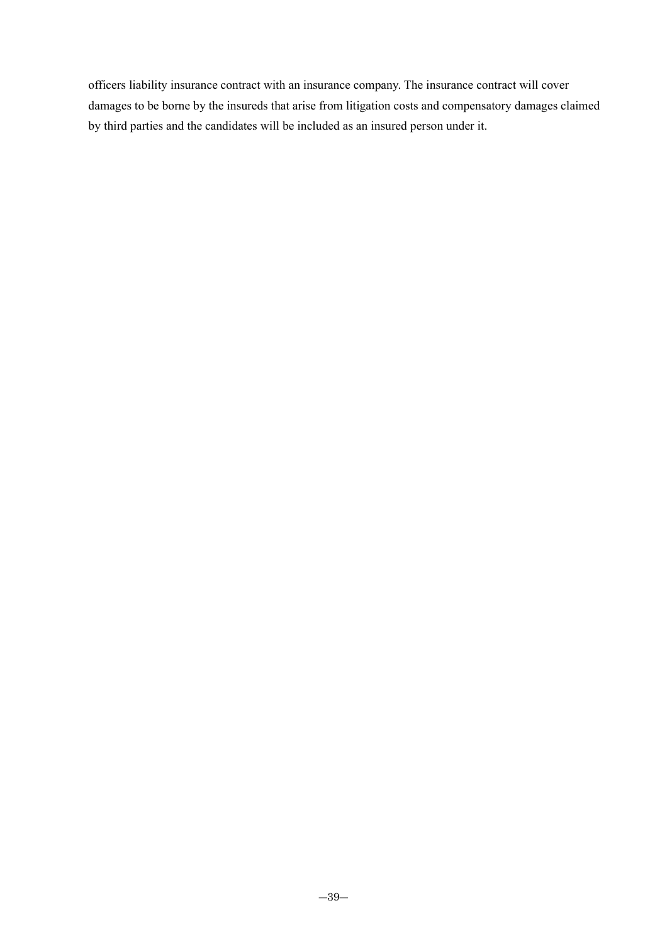officers liability insurance contract with an insurance company. The insurance contract will cover damages to be borne by the insureds that arise from litigation costs and compensatory damages claimed by third parties and the candidates will be included as an insured person under it.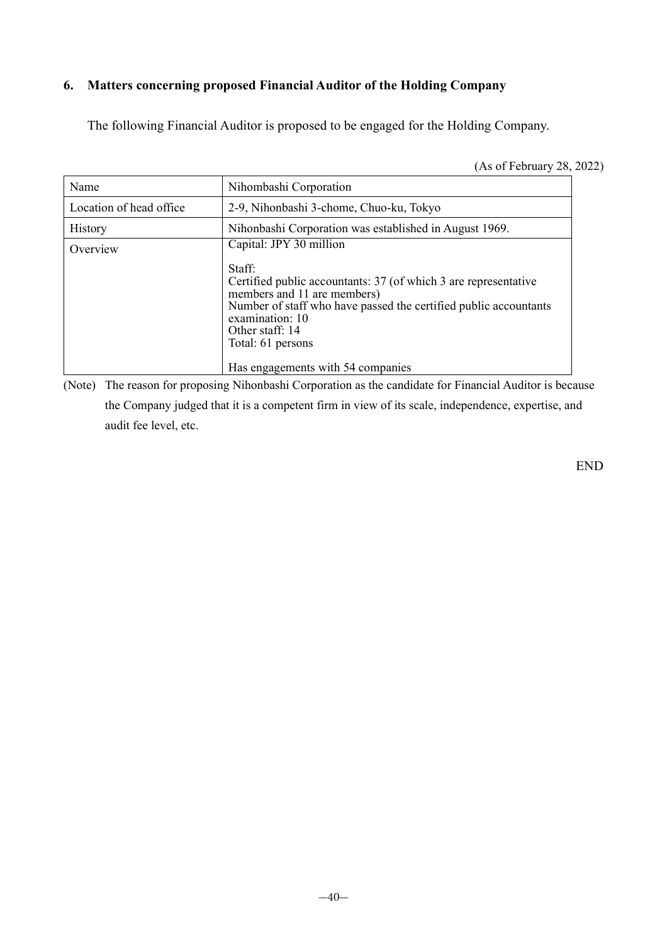# **6. Matters concerning proposed Financial Auditor of the Holding Company**

The following Financial Auditor is proposed to be engaged for the Holding Company.

(As of February 28, 2022)

| Name                    | Nihombashi Corporation                                                                                                                                                                                                                  |
|-------------------------|-----------------------------------------------------------------------------------------------------------------------------------------------------------------------------------------------------------------------------------------|
| Location of head office | 2-9, Nihonbashi 3-chome, Chuo-ku, Tokyo                                                                                                                                                                                                 |
| <b>History</b>          | Nihonbashi Corporation was established in August 1969.                                                                                                                                                                                  |
| Overview                | Capital: JPY 30 million                                                                                                                                                                                                                 |
|                         | Staff:<br>Certified public accountants: 37 (of which 3 are representative<br>members and 11 are members)<br>Number of staff who have passed the certified public accountants<br>examination: 10<br>Other staff: 14<br>Total: 61 persons |
|                         | Has engagements with 54 companies                                                                                                                                                                                                       |

(Note) The reason for proposing Nihonbashi Corporation as the candidate for Financial Auditor is because the Company judged that it is a competent firm in view of its scale, independence, expertise, and audit fee level, etc.

END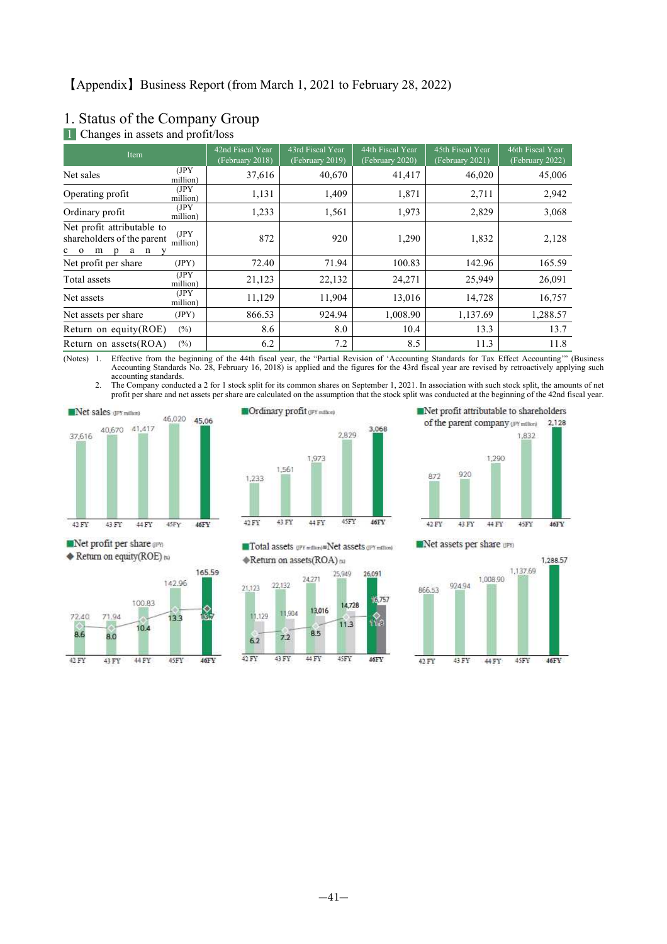# 1. Status of the Company Group

1 Changes in assets and profit/loss

| Item                                                                                     |                   | 42nd Fiscal Year<br>(February 2018) | 43rd Fiscal Year<br>(February 2019) | 44th Fiscal Year<br>(February 2020) | 45th Fiscal Year<br>(February 2021) | 46th Fiscal Year<br>(February 2022) |
|------------------------------------------------------------------------------------------|-------------------|-------------------------------------|-------------------------------------|-------------------------------------|-------------------------------------|-------------------------------------|
| Net sales                                                                                | (JPY<br>million)  | 37,616                              | 40,670                              | 41,417                              | 46,020                              | 45,006                              |
| Operating profit                                                                         | (JPY<br>million)  | 1,131                               | 1,409                               | 1,871                               | 2,711                               | 2,942                               |
| Ordinary profit                                                                          | (JPY<br>million)  | 1,233                               | 1,561                               | 1,973                               | 2,829                               | 3,068                               |
| Net profit attributable to<br>shareholders of the parent<br>m<br>$c \quad o$<br>a n<br>p | (JPY)<br>million) | 872                                 | 920                                 | 1,290                               | 1,832                               | 2,128                               |
| Net profit per share                                                                     | (JPY)             | 72.40                               | 71.94                               | 100.83                              | 142.96                              | 165.59                              |
| Total assets                                                                             | (JPY<br>million)  | 21,123                              | 22,132                              | 24,271                              | 25,949                              | 26,091                              |
| Net assets                                                                               | (JPY<br>million)  | 11,129                              | 11,904                              | 13,016                              | 14,728                              | 16,757                              |
| Net assets per share                                                                     | (JPY)             | 866.53                              | 924.94                              | 1,008.90                            | 1,137.69                            | 1,288.57                            |
| Return on equity(ROE)                                                                    | $(\%)$            | 8.6                                 | 8.0                                 | 10.4                                | 13.3                                | 13.7                                |
| Return on assets (ROA)                                                                   | $(\% )$           | 6.2                                 | 7.2                                 | 8.5                                 | 11.3                                | 11.8                                |

(Notes) 1. Effective from the beginning of the 44th fiscal year, the "Partial Revision of 'Accounting Standards for Tax Effect Accounting'" (Business Accounting Standards No. 28, February 16, 2018) is applied and the figures for the 43rd fiscal year are revised by retroactively applying such accounting standards.

2. The Company conducted a 2 for 1 stock split for its common shares on September 1, 2021. In association with such stock split, the amounts of net profit per share and net assets per share are calculated on the assumption that the stock split was conducted at the beginning of the 42nd fiscal year.







Net profit per share over

◆ Return on equity(ROE) m



Total assets gry million) Net assets gry million) ◆Return on assets(ROA) nu



Net assets per share (JPY)



 $-41-$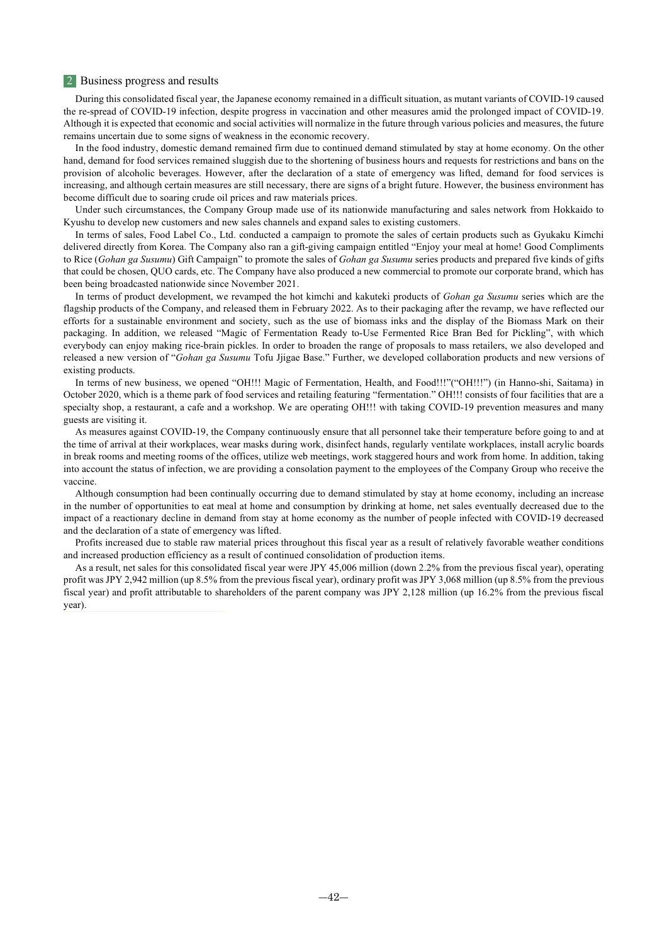#### 2 Business progress and results

During this consolidated fiscal year, the Japanese economy remained in a difficult situation, as mutant variants of COVID-19 caused the re-spread of COVID-19 infection, despite progress in vaccination and other measures amid the prolonged impact of COVID-19. Although it is expected that economic and social activities will normalize in the future through various policies and measures, the future remains uncertain due to some signs of weakness in the economic recovery.

In the food industry, domestic demand remained firm due to continued demand stimulated by stay at home economy. On the other hand, demand for food services remained sluggish due to the shortening of business hours and requests for restrictions and bans on the provision of alcoholic beverages. However, after the declaration of a state of emergency was lifted, demand for food services is increasing, and although certain measures are still necessary, there are signs of a bright future. However, the business environment has become difficult due to soaring crude oil prices and raw materials prices.

Under such circumstances, the Company Group made use of its nationwide manufacturing and sales network from Hokkaido to Kyushu to develop new customers and new sales channels and expand sales to existing customers.

In terms of sales, Food Label Co., Ltd. conducted a campaign to promote the sales of certain products such as Gyukaku Kimchi delivered directly from Korea. The Company also ran a gift-giving campaign entitled "Enjoy your meal at home! Good Compliments to Rice (*Gohan ga Susumu*) Gift Campaign" to promote the sales of *Gohan ga Susumu* series products and prepared five kinds of gifts that could be chosen, QUO cards, etc. The Company have also produced a new commercial to promote our corporate brand, which has been being broadcasted nationwide since November 2021.

In terms of product development, we revamped the hot kimchi and kakuteki products of *Gohan ga Susumu* series which are the flagship products of the Company, and released them in February 2022. As to their packaging after the revamp, we have reflected our efforts for a sustainable environment and society, such as the use of biomass inks and the display of the Biomass Mark on their packaging. In addition, we released "Magic of Fermentation Ready to-Use Fermented Rice Bran Bed for Pickling", with which everybody can enjoy making rice-brain pickles. In order to broaden the range of proposals to mass retailers, we also developed and released a new version of "*Gohan ga Susumu* Tofu Jjigae Base." Further, we developed collaboration products and new versions of existing products.

In terms of new business, we opened "OH!!! Magic of Fermentation, Health, and Food!!!"("OH!!!") (in Hanno-shi, Saitama) in October 2020, which is a theme park of food services and retailing featuring "fermentation." OH!!! consists of four facilities that are a specialty shop, a restaurant, a cafe and a workshop. We are operating OH!!! with taking COVID-19 prevention measures and many guests are visiting it.

As measures against COVID-19, the Company continuously ensure that all personnel take their temperature before going to and at the time of arrival at their workplaces, wear masks during work, disinfect hands, regularly ventilate workplaces, install acrylic boards in break rooms and meeting rooms of the offices, utilize web meetings, work staggered hours and work from home. In addition, taking into account the status of infection, we are providing a consolation payment to the employees of the Company Group who receive the vaccine.

Although consumption had been continually occurring due to demand stimulated by stay at home economy, including an increase in the number of opportunities to eat meal at home and consumption by drinking at home, net sales eventually decreased due to the impact of a reactionary decline in demand from stay at home economy as the number of people infected with COVID-19 decreased and the declaration of a state of emergency was lifted.

Profits increased due to stable raw material prices throughout this fiscal year as a result of relatively favorable weather conditions and increased production efficiency as a result of continued consolidation of production items.

As a result, net sales for this consolidated fiscal year were JPY 45,006 million (down 2.2% from the previous fiscal year), operating profit was JPY 2,942 million (up 8.5% from the previous fiscal year), ordinary profit was JPY 3,068 million (up 8.5% from the previous fiscal year) and profit attributable to shareholders of the parent company was JPY 2,128 million (up 16.2% from the previous fiscal year).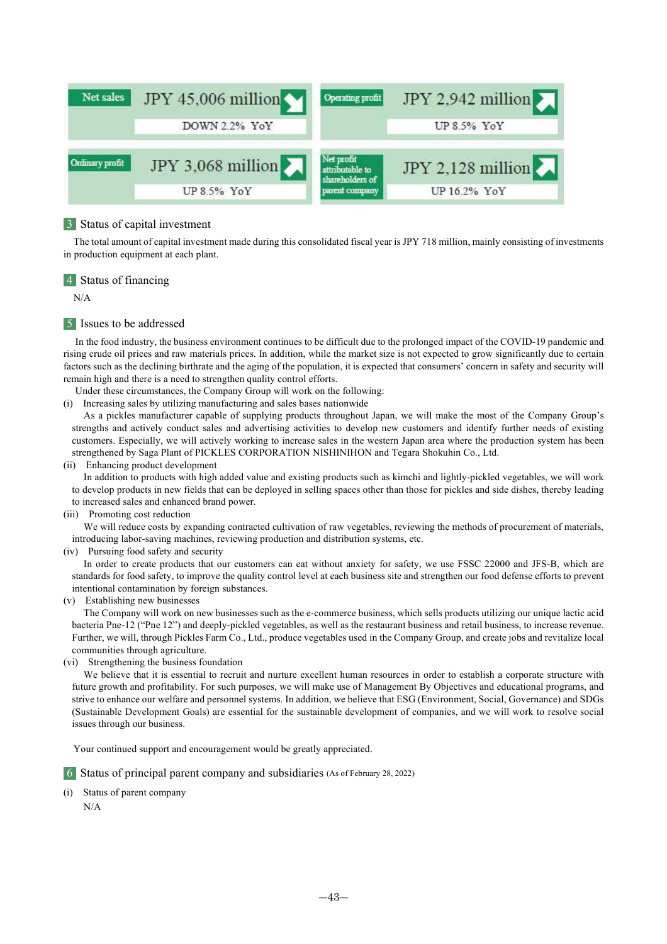| Net sales       | $JPY 45,006$ million<br>Operating profit |                                                                    | $JPY 2,942$ million |
|-----------------|------------------------------------------|--------------------------------------------------------------------|---------------------|
|                 | DOWN 2.2% YoY                            |                                                                    | UP 8.5% YoY         |
| Ordinary profit | $JPY3,068$ million                       | Net profit<br>attributable to<br>shareholders of<br>parent company | JPY 2,128 million   |
|                 | UP 8.5% YoY                              |                                                                    | UP 16.2% YoY        |

### 3 Status of capital investment

The total amount of capital investment made during this consolidated fiscal year is JPY 718 million, mainly consisting of investments in production equipment at each plant.

#### 4 Status of financing

N/A

### 5 Issues to be addressed

In the food industry, the business environment continues to be difficult due to the prolonged impact of the COVID-19 pandemic and rising crude oil prices and raw materials prices. In addition, while the market size is not expected to grow significantly due to certain factors such as the declining birthrate and the aging of the population, it is expected that consumers' concern in safety and security will remain high and there is a need to strengthen quality control efforts.

Under these circumstances, the Company Group will work on the following:

(i) Increasing sales by utilizing manufacturing and sales bases nationwide

As a pickles manufacturer capable of supplying products throughout Japan, we will make the most of the Company Group's strengths and actively conduct sales and advertising activities to develop new customers and identify further needs of existing customers. Especially, we will actively working to increase sales in the western Japan area where the production system has been strengthened by Saga Plant of PICKLES CORPORATION NISHINIHON and Tegara Shokuhin Co., Ltd.

(ii) Enhancing product development

In addition to products with high added value and existing products such as kimchi and lightly-pickled vegetables, we will work to develop products in new fields that can be deployed in selling spaces other than those for pickles and side dishes, thereby leading to increased sales and enhanced brand power.

(iii) Promoting cost reduction

We will reduce costs by expanding contracted cultivation of raw vegetables, reviewing the methods of procurement of materials, introducing labor-saving machines, reviewing production and distribution systems, etc.

(iv) Pursuing food safety and security

In order to create products that our customers can eat without anxiety for safety, we use FSSC 22000 and JFS-B, which are standards for food safety, to improve the quality control level at each business site and strengthen our food defense efforts to prevent intentional contamination by foreign substances.

(v) Establishing new businesses

The Company will work on new businesses such as the e-commerce business, which sells products utilizing our unique lactic acid bacteria Pne-12 ("Pne 12") and deeply-pickled vegetables, as well as the restaurant business and retail business, to increase revenue. Further, we will, through Pickles Farm Co., Ltd., produce vegetables used in the Company Group, and create jobs and revitalize local communities through agriculture.

(vi) Strengthening the business foundation

We believe that it is essential to recruit and nurture excellent human resources in order to establish a corporate structure with future growth and profitability. For such purposes, we will make use of Management By Objectives and educational programs, and strive to enhance our welfare and personnel systems. In addition, we believe that ESG (Environment, Social, Governance) and SDGs (Sustainable Development Goals) are essential for the sustainable development of companies, and we will work to resolve social issues through our business.

Your continued support and encouragement would be greatly appreciated.

6 Status of principal parent company and subsidiaries (As of February 28, 2022)

(i) Status of parent company

N/A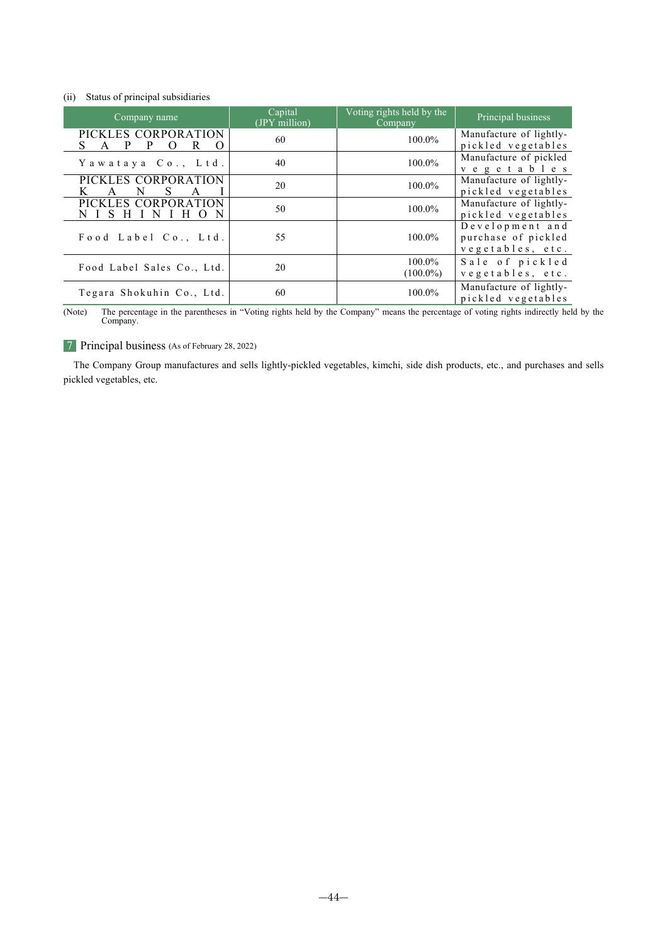#### (ii) Status of principal subsidiaries

| Company name                                       | Capital<br>(JPY million) | Voting rights held by the<br>Company | Principal business                                         |
|----------------------------------------------------|--------------------------|--------------------------------------|------------------------------------------------------------|
| PICKLES CORPORATION<br>P<br>R<br>P<br>A            | 60                       | 100.0%                               | Manufacture of lightly-<br>pickled vegetables              |
| Yawataya Co., Ltd.                                 | 40                       | 100.0%                               | Manufacture of pickled<br>vegetables                       |
| PICKLES CORPORATION<br>N<br>S<br>A<br>A            | 20                       | 100.0%                               | Manufacture of lightly-<br>pickled vegetables              |
| PICKLES CORPORATION<br>NISHINIH<br>- N<br>$\Omega$ | 50                       | 100.0%                               | Manufacture of lightly-<br>pickled vegetables              |
| Food Label Co., Ltd.                               | 55                       | 100.0%                               | Development and<br>purchase of pickled<br>vegetables, etc. |
| Food Label Sales Co., Ltd.                         | 20                       | 100.0%<br>$(100.0\%)$                | Sale of pickled<br>vegetables, etc.                        |
| Tegara Shokuhin Co., Ltd.                          | 60                       | 100.0%                               | Manufacture of lightly-<br>pickled vegetables              |

(Note) The percentage in the parentheses in "Voting rights held by the Company" means the percentage of voting rights indirectly held by the Company.

### 7 Principal business (As of February 28, 2022)

The Company Group manufactures and sells lightly-pickled vegetables, kimchi, side dish products, etc., and purchases and sells pickled vegetables, etc.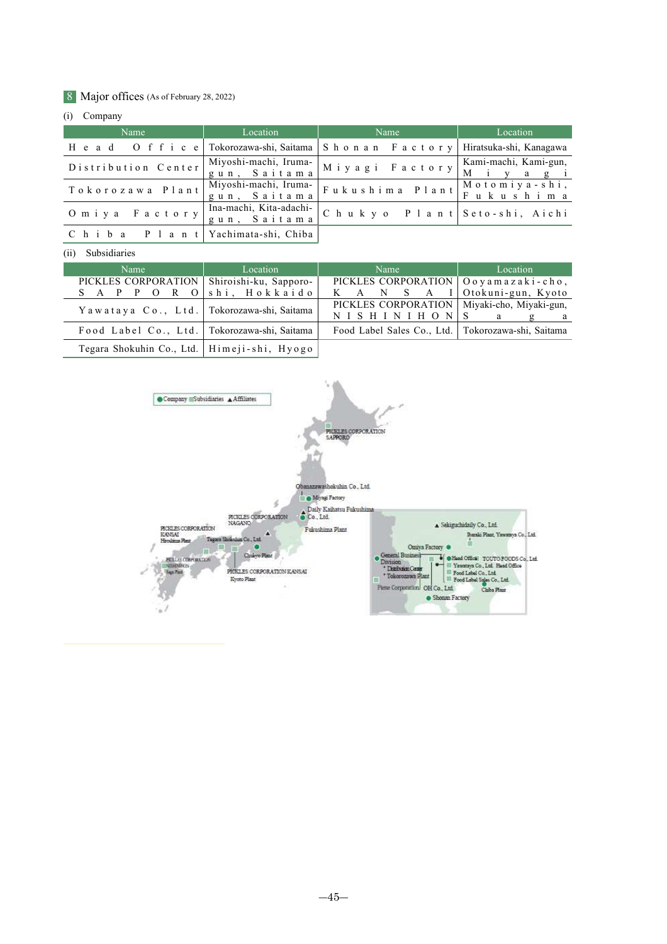## 8 Major offices (As of February 28, 2022)

#### (i) Company

| Name                             | Location     | Name                                                                                                | Location    |
|----------------------------------|--------------|-----------------------------------------------------------------------------------------------------|-------------|
|                                  |              | H e a d O f f i c e   Tokorozawa-shi, Saitama   S h o n a n F a c t o r y   Hiratsuka-shi, Kanagawa |             |
|                                  | gun, Saitama | Distribution Center Miyoshi-machi, Iruma- Miyagi Factory Kami-machi, Kami-gun,                      | M i y a g i |
|                                  | gun, Saitama | Tokorozawa Plant Miyoshi-machi, Iruma-<br>Tokorozawa Plant gun, Saitama Fukushima Plant Fukushima   |             |
| Omiya Factory                    |              | [Ina-machi, Kita-adachi-   C h u k y o P l a n t   S e t o - s h i, A i c h i                       |             |
| Chiba Plant Yachimata-shi, Chiba |              |                                                                                                     |             |

(ii) Subsidiaries

| Name                                          | Location      | Name                                                          | Location           |  |
|-----------------------------------------------|---------------|---------------------------------------------------------------|--------------------|--|
| PICKLES CORPORATION   Shiroishi-ku, Sapporo-  |               | PICKLES CORPORATION                                           | $Ooyamazaki-cho,$  |  |
| $S$ A P P O R O                               | shi, Hokkaido | K A N<br>- S<br>A I                                           | Otokuni-gun, Kyoto |  |
| Yawataya Co., Ltd. Tokorozawa-shi, Saitama    |               | PICKLES CORPORATION   Miyaki-cho, Miyaki-gun,<br>NISHINIHONIS | a a                |  |
| Food Label Co., Ltd. Tokorozawa-shi, Saitama  |               | Food Label Sales Co., Ltd.   Tokorozawa-shi, Saitama          |                    |  |
| Tegara Shokuhin Co., Ltd.   Himeji-shi, Hyogo |               |                                                               |                    |  |

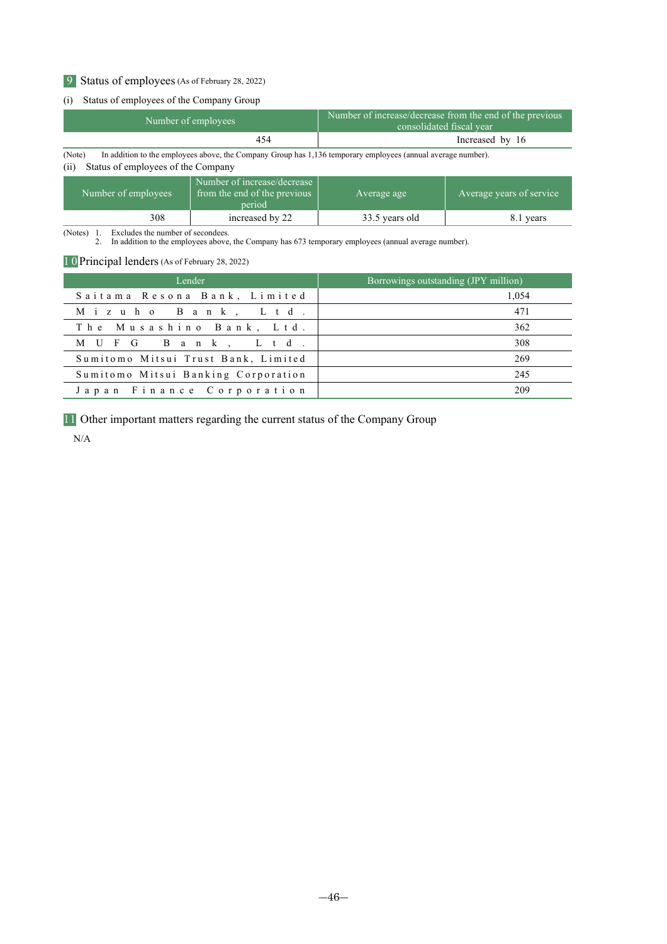## 9 Status of employees(As of February 28, 2022)

#### (i) Status of employees of the Company Group

| Number of employees | Number of increase/decrease from the end of the previous<br>consolidated fiscal vear |  |
|---------------------|--------------------------------------------------------------------------------------|--|
| 454                 | Increased by 16                                                                      |  |

(Note) In addition to the employees above, the Company Group has 1,136 temporary employees (annual average number). (ii) Status of employees of the Company

| Number of employees | Number of increase/decrease<br>from the end of the previous<br>period |                | Average years of service |
|---------------------|-----------------------------------------------------------------------|----------------|--------------------------|
| 308                 | increased by 22                                                       | 33.5 years old | 8.1 years                |

(Notes) 1. Excludes the number of secondees. 2. In addition to the employees above, the Company has 673 temporary employees (annual average number).

## 1 0 Principal lenders(As of February 28, 2022)

| Lender                              | Borrowings outstanding (JPY million) |
|-------------------------------------|--------------------------------------|
| Saitama Resona Bank, Limited        | 1.054                                |
| Mizuho Bank, Ltd.                   | 471                                  |
| The Musashino Bank, Ltd.            | 362                                  |
| MUFG Bank, Ltd.                     | 308                                  |
| Sumitomo Mitsui Trust Bank, Limited | 269                                  |
| Sumitomo Mitsui Banking Corporation | 245                                  |
| Japan Finance Corporation           | 209                                  |

11 Other important matters regarding the current status of the Company Group

N/A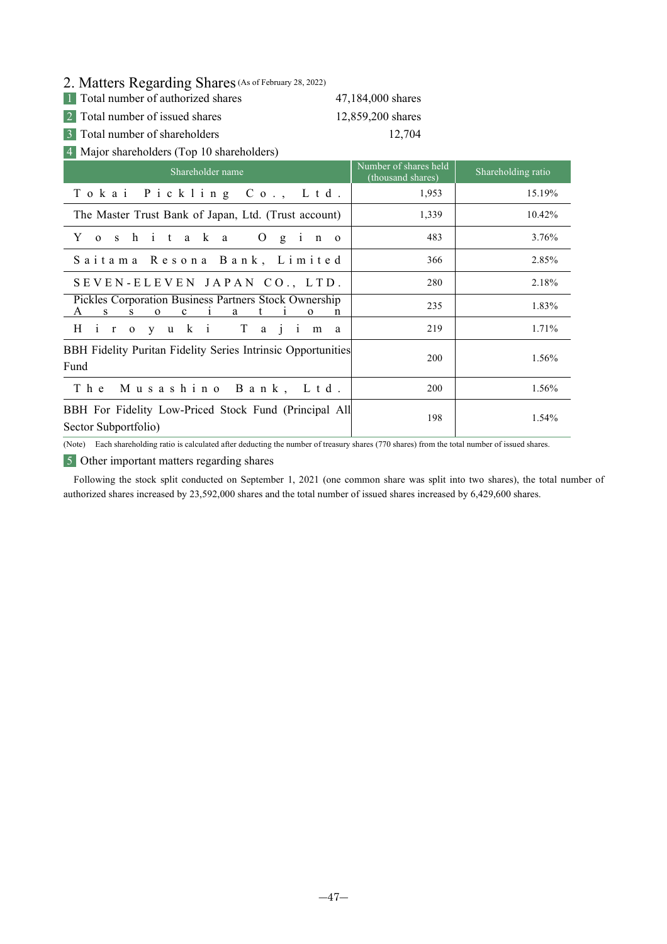# 2. Matters Regarding Shares (As of February 28, 2022)

| <b>1</b> Total number of authorized shares | 47,184,000 shares |
|--------------------------------------------|-------------------|
| 2 Total number of issued shares            | 12,859,200 shares |
| 3 Total number of shareholders             | 12.704            |

4 Major shareholders (Top 10 shareholders)

| Shareholder name                                                                                                                | Number of shares held<br>(thousand shares) | Shareholding ratio |
|---------------------------------------------------------------------------------------------------------------------------------|--------------------------------------------|--------------------|
| Tokai Pickling Co., Ltd.                                                                                                        | 1,953                                      | 15.19%             |
| The Master Trust Bank of Japan, Ltd. (Trust account)                                                                            | 1,339                                      | 10.42%             |
| Y o shitaka O gino                                                                                                              | 483                                        | 3.76%              |
| Saitama Resona Bank, Limited                                                                                                    | 366                                        | 2.85%              |
| SEVEN-ELEVEN JAPAN CO., LTD.                                                                                                    | 280                                        | 2.18%              |
| Pickles Corporation Business Partners Stock Ownership<br>A<br>a t<br>$S$ $S$ $O$ $C$ $1$<br>$\mathbf{O}$<br>$\blacksquare$<br>n | 235                                        | 1.83%              |
| Hiroyuki Taji<br>m a                                                                                                            | 219                                        | 1.71%              |
| <b>BBH Fidelity Puritan Fidelity Series Intrinsic Opportunities</b><br>Fund                                                     | <b>200</b>                                 | 1.56%              |
| The Musashino Bank, Ltd.                                                                                                        | 200                                        | 1.56%              |
| BBH For Fidelity Low-Priced Stock Fund (Principal All<br>Sector Subportfolio)                                                   | 198                                        | 1.54%              |

(Note) Each shareholding ratio is calculated after deducting the number of treasury shares (770 shares) from the total number of issued shares.

5 Other important matters regarding shares

Following the stock split conducted on September 1, 2021 (one common share was split into two shares), the total number of authorized shares increased by 23,592,000 shares and the total number of issued shares increased by 6,429,600 shares.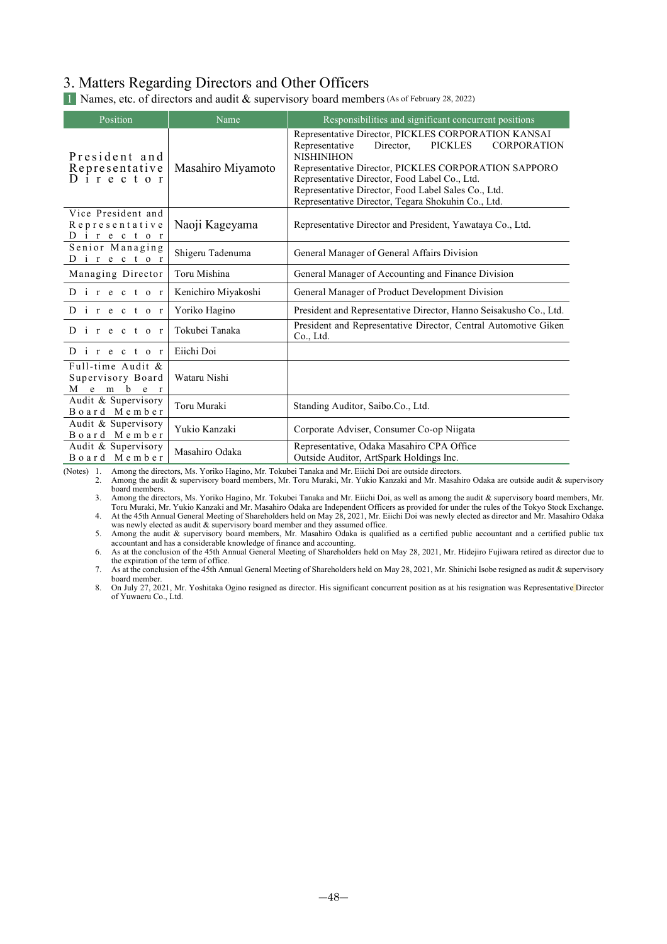## 3. Matters Regarding Directors and Other Officers

1 Names, etc. of directors and audit & supervisory board members (As of February 28, 2022)

| Position                                         | Name                | Responsibilities and significant concurrent positions                                                                                                                                                                                                                                                                                                          |  |  |
|--------------------------------------------------|---------------------|----------------------------------------------------------------------------------------------------------------------------------------------------------------------------------------------------------------------------------------------------------------------------------------------------------------------------------------------------------------|--|--|
| President and<br>Representative<br>Director      | Masahiro Miyamoto   | Representative Director, PICKLES CORPORATION KANSAI<br>PICKLES<br>Representative<br>Director,<br><b>CORPORATION</b><br><b>NISHINIHON</b><br>Representative Director, PICKLES CORPORATION SAPPORO<br>Representative Director, Food Label Co., Ltd.<br>Representative Director, Food Label Sales Co., Ltd.<br>Representative Director, Tegara Shokuhin Co., Ltd. |  |  |
| Vice President and<br>Representative<br>Director | Naoji Kageyama      | Representative Director and President, Yawataya Co., Ltd.                                                                                                                                                                                                                                                                                                      |  |  |
| Senior Managing<br>Director                      | Shigeru Tadenuma    | General Manager of General Affairs Division                                                                                                                                                                                                                                                                                                                    |  |  |
| Managing Director                                | Toru Mishina        | General Manager of Accounting and Finance Division                                                                                                                                                                                                                                                                                                             |  |  |
| Director                                         | Kenichiro Miyakoshi | General Manager of Product Development Division                                                                                                                                                                                                                                                                                                                |  |  |
| Director                                         | Yoriko Hagino       | President and Representative Director, Hanno Seisakusho Co., Ltd.                                                                                                                                                                                                                                                                                              |  |  |
| Director                                         | Tokubei Tanaka      | President and Representative Director, Central Automotive Giken<br>Co., Ltd.                                                                                                                                                                                                                                                                                   |  |  |
| D i r e c t o r                                  | Eiichi Doi          |                                                                                                                                                                                                                                                                                                                                                                |  |  |
| Full-time Audit &<br>Supervisory Board<br>Member | Wataru Nishi        |                                                                                                                                                                                                                                                                                                                                                                |  |  |
| Audit & Supervisory<br>Board Member              | Toru Muraki         | Standing Auditor, Saibo.Co., Ltd.                                                                                                                                                                                                                                                                                                                              |  |  |
| Audit & Supervisory<br>Board Member              | Yukio Kanzaki       | Corporate Adviser, Consumer Co-op Niigata                                                                                                                                                                                                                                                                                                                      |  |  |
| Audit & Supervisory<br>Board Member              | Masahiro Odaka      | Representative, Odaka Masahiro CPA Office<br>Outside Auditor, ArtSpark Holdings Inc.                                                                                                                                                                                                                                                                           |  |  |

(Notes) 1. Among the directors, Ms. Yoriko Hagino, Mr. Tokubei Tanaka and Mr. Eiichi Doi are outside directors.

2. Among the audit & supervisory board members, Mr. Toru Muraki, Mr. Yukio Kanzaki and Mr. Masahiro Odaka are outside audit & supervisory board members.

3. Among the directors, Ms. Yoriko Hagino, Mr. Tokubei Tanaka and Mr. Eiichi Doi, as well as among the audit & supervisory board members, Mr. Toru Muraki, Mr. Yukio Kanzaki and Mr. Masahiro Odaka are Independent Officers as provided for under the rules of the Tokyo Stock Exchange.<br>4. At the 45th Annual General Meeting of Shareholders held on May 28, 2021, Mr. Ei

was newly elected as audit & supervisory board member and they assumed office.

5. Among the audit & supervisory board members, Mr. Masahiro Odaka is qualified as a certified public accountant and a certified public tax accountant and has a considerable knowledge of finance and accounting.

6. As at the conclusion of the 45th Annual General Meeting of Shareholders held on May 28, 2021, Mr. Hidejiro Fujiwara retired as director due to the expiration of the term of office. 7. As at the conclusion of the 45th Annual General Meeting of Shareholders held on May 28, 2021, Mr. Shinichi Isobe resigned as audit & supervisory

board member.

8. On July 27, 2021, Mr. Yoshitaka Ogino resigned as director. His significant concurrent position as at his resignation was Representative Director of Yuwaeru Co., Ltd.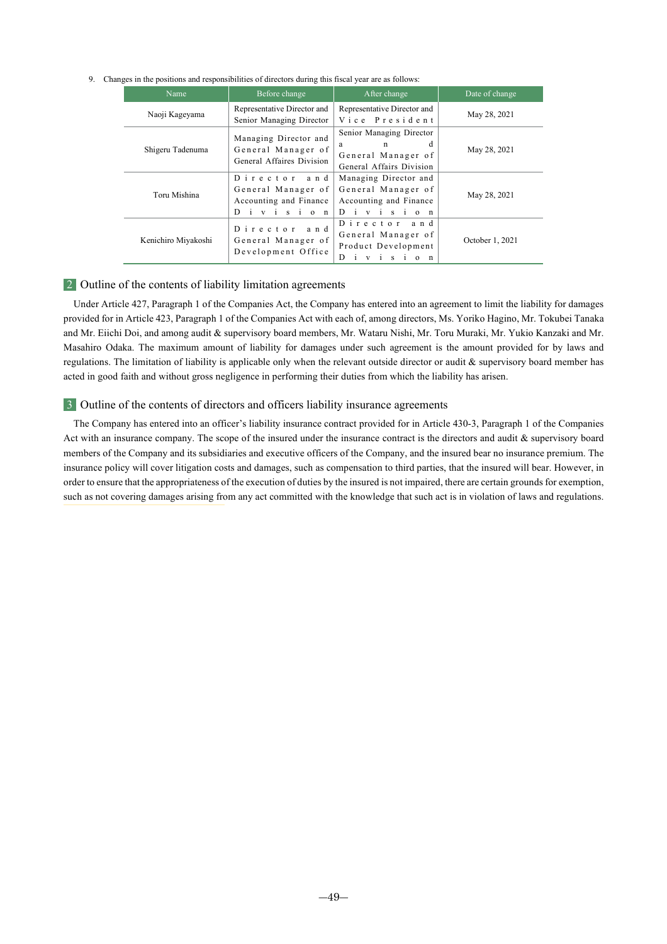| 9. Changes in the positions and responsibilities of directors during this fiscal year are as follows: |  |  |  |
|-------------------------------------------------------------------------------------------------------|--|--|--|
|                                                                                                       |  |  |  |

| Name                | Before change                                                               | After change                                                                                   | Date of change  |
|---------------------|-----------------------------------------------------------------------------|------------------------------------------------------------------------------------------------|-----------------|
| Naoji Kageyama      | Representative Director and<br>Senior Managing Director                     | Representative Director and<br>Vice President                                                  | May 28, 2021    |
| Shigeru Tadenuma    | Managing Director and<br>General Manager of<br>General Affaires Division    | Senior Managing Director<br>$\mathbf n$<br>a<br>General Manager of<br>General Affairs Division | May 28, 2021    |
| Toru Mishina        | Director and<br>General Manager of<br>Accounting and Finance<br>$D$ ivision | Managing Director and<br>General Manager of<br>Accounting and Finance<br>$D$ ivision           | May 28, 2021    |
| Kenichiro Miyakoshi | Director and<br>General Manager of<br>Development Office                    | Director and<br>General Manager of<br>Product Development<br>$v$ is ion<br>D.                  | October 1, 2021 |

#### 2 Outline of the contents of liability limitation agreements

Under Article 427, Paragraph 1 of the Companies Act, the Company has entered into an agreement to limit the liability for damages provided for in Article 423, Paragraph 1 of the Companies Act with each of, among directors, Ms. Yoriko Hagino, Mr. Tokubei Tanaka and Mr. Eiichi Doi, and among audit & supervisory board members, Mr. Wataru Nishi, Mr. Toru Muraki, Mr. Yukio Kanzaki and Mr. Masahiro Odaka. The maximum amount of liability for damages under such agreement is the amount provided for by laws and regulations. The limitation of liability is applicable only when the relevant outside director or audit & supervisory board member has acted in good faith and without gross negligence in performing their duties from which the liability has arisen.

#### 3 Outline of the contents of directors and officers liability insurance agreements

The Company has entered into an officer's liability insurance contract provided for in Article 430-3, Paragraph 1 of the Companies Act with an insurance company. The scope of the insured under the insurance contract is the directors and audit & supervisory board members of the Company and its subsidiaries and executive officers of the Company, and the insured bear no insurance premium. The insurance policy will cover litigation costs and damages, such as compensation to third parties, that the insured will bear. However, in order to ensure that the appropriateness of the execution of duties by the insured is not impaired, there are certain groundsfor exemption, such as not covering damages arising from any act committed with the knowledge that such act is in violation of laws and regulations.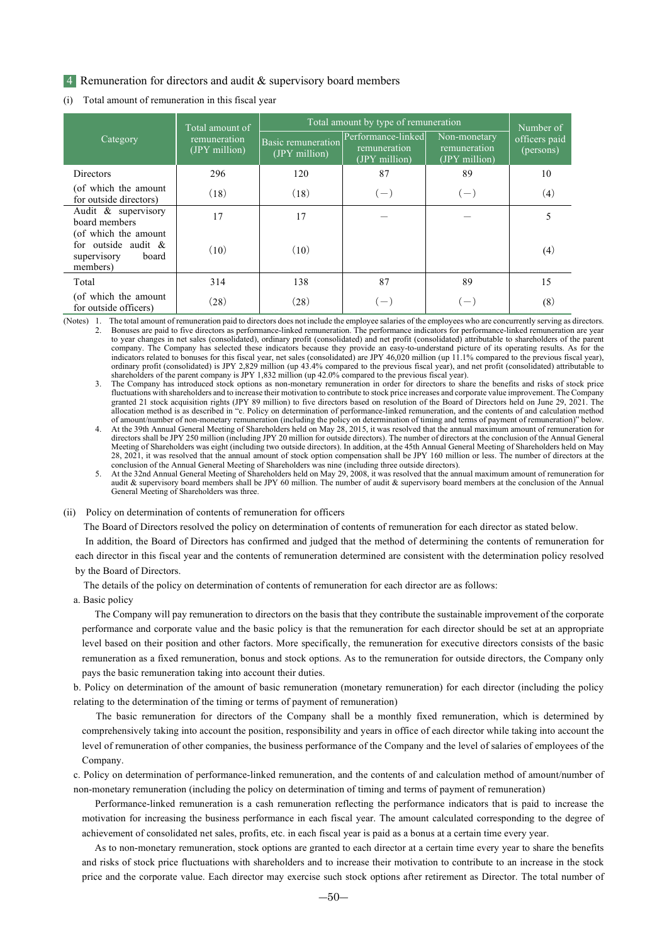#### 4 Remuneration for directors and audit & supervisory board members

(i) Total amount of remuneration in this fiscal year

|                                                                                    | Total amount of               | Total amount by type of remuneration | Number of                                           |                                               |                            |
|------------------------------------------------------------------------------------|-------------------------------|--------------------------------------|-----------------------------------------------------|-----------------------------------------------|----------------------------|
| Category                                                                           | remuneration<br>(JPY million) | Basic remuneration<br>(JPY million)  | Performance-linked<br>remuneration<br>(JPY million) | Non-monetary<br>remuneration<br>(JPY million) | officers paid<br>(persons) |
| Directors                                                                          | 296                           | 120                                  | 87                                                  | 89                                            | 10                         |
| (of which the amount<br>for outside directors)                                     | (18)                          | (18)                                 | $\frac{1}{2}$                                       | $\left( -\right)$                             | (4)                        |
| Audit & supervisory<br>board members                                               | 17                            | 17                                   |                                                     |                                               |                            |
| (of which the amount<br>for outside audit $\&$<br>board<br>supervisory<br>members) | (10)                          | (10)                                 |                                                     |                                               | (4)                        |
| Total                                                                              | 314                           | 138                                  | 87                                                  | 89                                            | 15                         |
| (of which the amount<br>for outside officers)                                      | (28)                          | (28)                                 | $\overline{\phantom{m}}$                            | $\overline{\phantom{m}}$                      | (8)                        |

(Notes) 1. The total amount of remuneration paid to directors does not include the employee salaries of the employees who are concurrently serving as directors.<br>2. Bonuses are paid to five directors as performance-linked r 2. Bonuses are paid to five directors as performance-linked remuneration. The performance indicators for performance-linked remuneration are year to year changes in net sales (consolidated), ordinary profit (consolidated) and net profit (consolidated) attributable to shareholders of the parent company. The Company has selected these indicators because they provide an easy-to-understand picture of its operating results. As for the indicators related to bonuses for this fiscal year, net sales (consolidated) are JPY 46,020 million (up 11.1% compared to the previous fiscal year), ordinary profit (consolidated) is JPY 2,829 million (up 43.4% compared to the previous fiscal year), and net profit (consolidated) attributable to shareholders of the parent company is JPY 1,832 million (up 42.0% compared to the previous fiscal year).

The Company has introduced stock options as non-monetary remuneration in order for directors to share the benefits and risks of stock price fluctuations with shareholders and to increase their motivation to contribute to stock price increases and corporate value improvement. The Company granted 21 stock acquisition rights (JPY 89 million) to five directors based on resolution of the Board of Directors held on June 29, 2021. allocation method is as described in "c. Policy on determination of performance-linked remuneration, and the contents of and calculation method of amount/number of non-monetary remuneration (including the policy on determination of timing and terms of payment of remuneration)" below.

4. At the 39th Annual General Meeting of Shareholders held on May 28, 2015, it was resolved that the annual maximum amount of remuneration for directors shall be JPY 250 million (including JPY 20 million for outside directors). The number of directors at the conclusion of the Annual General Meeting of Shareholders was eight (including two outside directors). In addition, at the 45th Annual General Meeting of Shareholders held on May 28, 2021, it was resolved that the annual amount of stock option compensation shall be JPY 160 million or less. The number of directors at the conclusion of the Annual General Meeting of Shareholders was nine (including three outside directors).

5. At the 32nd Annual General Meeting of Shareholders held on May 29, 2008, it was resolved that the annual maximum amount of remuneration for audit & supervisory board members shall be JPY 60 million. The number of audit & supervisory board members at the conclusion of the Annual General Meeting of Shareholders was three.

(ii) Policy on determination of contents of remuneration for officers

The Board of Directors resolved the policy on determination of contents of remuneration for each director as stated below.

In addition, the Board of Directors has confirmed and judged that the method of determining the contents of remuneration for each director in this fiscal year and the contents of remuneration determined are consistent with the determination policy resolved by the Board of Directors.

The details of the policy on determination of contents of remuneration for each director are as follows:

a. Basic policy

The Company will pay remuneration to directors on the basis that they contribute the sustainable improvement of the corporate performance and corporate value and the basic policy is that the remuneration for each director should be set at an appropriate level based on their position and other factors. More specifically, the remuneration for executive directors consists of the basic remuneration as a fixed remuneration, bonus and stock options. As to the remuneration for outside directors, the Company only pays the basic remuneration taking into account their duties.

b. Policy on determination of the amount of basic remuneration (monetary remuneration) for each director (including the policy relating to the determination of the timing or terms of payment of remuneration)

The basic remuneration for directors of the Company shall be a monthly fixed remuneration, which is determined by comprehensively taking into account the position, responsibility and years in office of each director while taking into account the level of remuneration of other companies, the business performance of the Company and the level of salaries of employees of the Company.

c. Policy on determination of performance-linked remuneration, and the contents of and calculation method of amount/number of non-monetary remuneration (including the policy on determination of timing and terms of payment of remuneration)

Performance-linked remuneration is a cash remuneration reflecting the performance indicators that is paid to increase the motivation for increasing the business performance in each fiscal year. The amount calculated corresponding to the degree of achievement of consolidated net sales, profits, etc. in each fiscal year is paid as a bonus at a certain time every year.

As to non-monetary remuneration, stock options are granted to each director at a certain time every year to share the benefits and risks of stock price fluctuations with shareholders and to increase their motivation to contribute to an increase in the stock price and the corporate value. Each director may exercise such stock options after retirement as Director. The total number of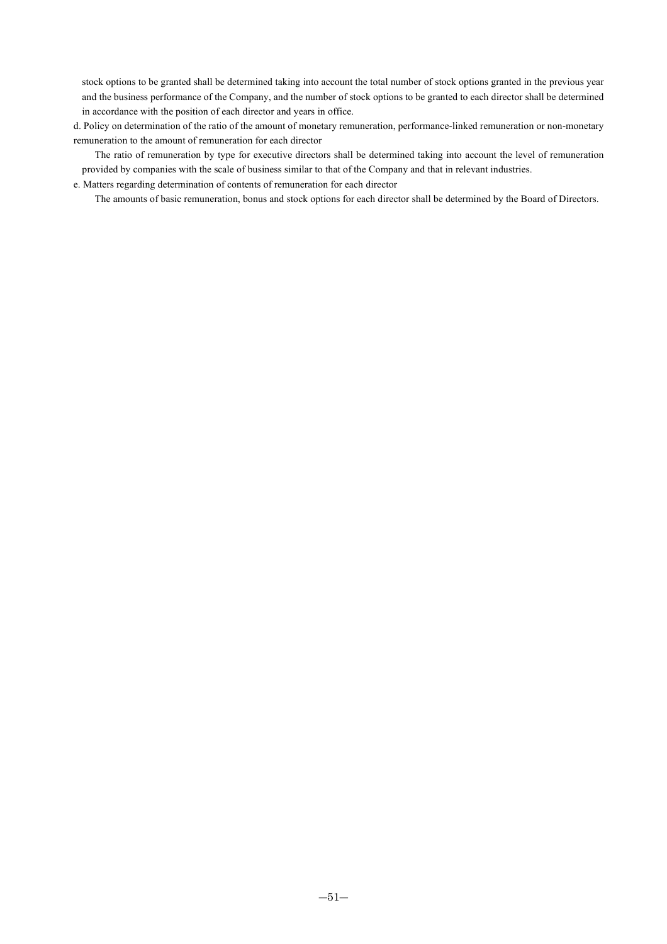stock options to be granted shall be determined taking into account the total number of stock options granted in the previous year and the business performance of the Company, and the number of stock options to be granted to each director shall be determined in accordance with the position of each director and years in office.

d. Policy on determination of the ratio of the amount of monetary remuneration, performance-linked remuneration or non-monetary remuneration to the amount of remuneration for each director

The ratio of remuneration by type for executive directors shall be determined taking into account the level of remuneration provided by companies with the scale of business similar to that of the Company and that in relevant industries.

e. Matters regarding determination of contents of remuneration for each director

The amounts of basic remuneration, bonus and stock options for each director shall be determined by the Board of Directors.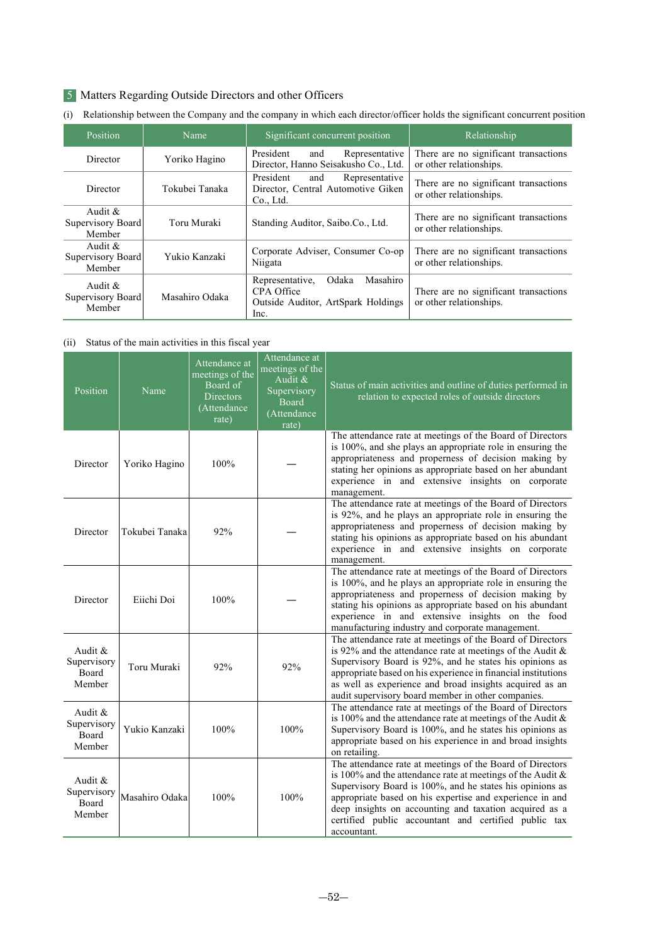## 5 Matters Regarding Outside Directors and other Officers

| Position                                  | Name           | Significant concurrent position                                                                  | Relationship                                                     |
|-------------------------------------------|----------------|--------------------------------------------------------------------------------------------------|------------------------------------------------------------------|
| Director                                  | Yoriko Hagino  | President<br>Representative<br>and<br>Director, Hanno Seisakusho Co., Ltd.                       | There are no significant transactions<br>or other relationships. |
| Director                                  | Tokubei Tanaka | President<br>Representative<br>and<br>Director, Central Automotive Giken<br>Co., Ltd.            | There are no significant transactions<br>or other relationships. |
| Audit $\&$<br>Supervisory Board<br>Member | Toru Muraki    | Standing Auditor, Saibo.Co., Ltd.                                                                | There are no significant transactions<br>or other relationships. |
| Audit $\&$<br>Supervisory Board<br>Member | Yukio Kanzaki  | Corporate Adviser, Consumer Co-op<br>Niigata                                                     | There are no significant transactions<br>or other relationships. |
| Audit &<br>Supervisory Board<br>Member    | Masahiro Odaka | Odaka<br>Masahiro<br>Representative,<br>CPA Office<br>Outside Auditor, ArtSpark Holdings<br>Inc. | There are no significant transactions<br>or other relationships. |

(i) Relationship between the Company and the company in which each director/officer holds the significant concurrent position

### (ii) Status of the main activities in this fiscal year

| Position                                  | Name           | Attendance at<br>meetings of the<br>Board of<br><b>Directors</b><br>(Attendance<br>rate) | Attendance at<br>meetings of the<br>Audit &<br>Supervisory<br>Board<br>(Attendance<br>rate) | Status of main activities and outline of duties performed in<br>relation to expected roles of outside directors                                                                                                                                                                                                                                                                     |
|-------------------------------------------|----------------|------------------------------------------------------------------------------------------|---------------------------------------------------------------------------------------------|-------------------------------------------------------------------------------------------------------------------------------------------------------------------------------------------------------------------------------------------------------------------------------------------------------------------------------------------------------------------------------------|
| Director                                  | Yoriko Hagino  | 100%                                                                                     |                                                                                             | The attendance rate at meetings of the Board of Directors<br>is 100%, and she plays an appropriate role in ensuring the<br>appropriateness and properness of decision making by<br>stating her opinions as appropriate based on her abundant<br>experience in and extensive insights on corporate<br>management.                                                                    |
| Director                                  | Tokubei Tanaka | 92%                                                                                      |                                                                                             | The attendance rate at meetings of the Board of Directors<br>is 92%, and he plays an appropriate role in ensuring the<br>appropriateness and properness of decision making by<br>stating his opinions as appropriate based on his abundant<br>experience in and extensive insights on corporate<br>management.                                                                      |
| Director                                  | Eiichi Doi     | 100%                                                                                     |                                                                                             | The attendance rate at meetings of the Board of Directors<br>is 100%, and he plays an appropriate role in ensuring the<br>appropriateness and properness of decision making by<br>stating his opinions as appropriate based on his abundant<br>experience in and extensive insights on the food<br>manufacturing industry and corporate management.                                 |
| Audit &<br>Supervisory<br>Board<br>Member | Toru Muraki    | 92%                                                                                      | 92%                                                                                         | The attendance rate at meetings of the Board of Directors<br>is 92% and the attendance rate at meetings of the Audit $\&$<br>Supervisory Board is 92%, and he states his opinions as<br>appropriate based on his experience in financial institutions<br>as well as experience and broad insights acquired as an<br>audit supervisory board member in other companies.              |
| Audit &<br>Supervisory<br>Board<br>Member | Yukio Kanzaki  | 100%                                                                                     | 100%                                                                                        | The attendance rate at meetings of the Board of Directors<br>is 100% and the attendance rate at meetings of the Audit $\&$<br>Supervisory Board is 100%, and he states his opinions as<br>appropriate based on his experience in and broad insights<br>on retailing.                                                                                                                |
| Audit &<br>Supervisory<br>Board<br>Member | Masahiro Odaka | 100%                                                                                     | 100%                                                                                        | The attendance rate at meetings of the Board of Directors<br>is 100% and the attendance rate at meetings of the Audit $\&$<br>Supervisory Board is 100%, and he states his opinions as<br>appropriate based on his expertise and experience in and<br>deep insights on accounting and taxation acquired as a<br>certified public accountant and certified public tax<br>accountant. |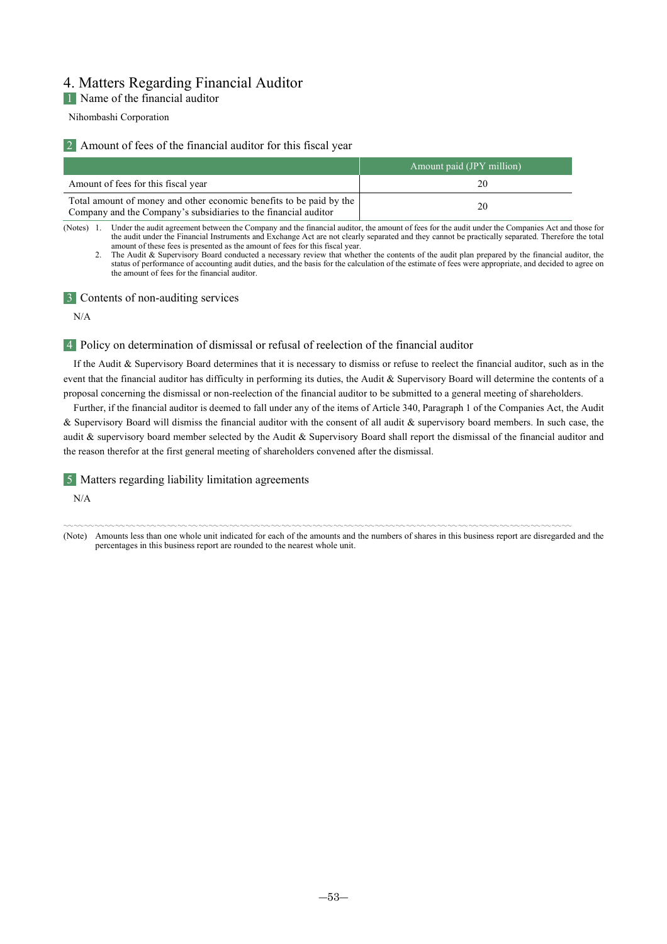# 4. Matters Regarding Financial Auditor

### 1 Name of the financial auditor

Nihombashi Corporation

### 2 Amount of fees of the financial auditor for this fiscal year

|                                                                                                                                        | Amount paid (JPY million) |
|----------------------------------------------------------------------------------------------------------------------------------------|---------------------------|
| Amount of fees for this fiscal year                                                                                                    | 20                        |
| Total amount of money and other economic benefits to be paid by the<br>Company and the Company's subsidiaries to the financial auditor | 20                        |

(Notes) 1. Under the audit agreement between the Company and the financial auditor, the amount of fees for the audit under the Companies Act and those for the audit under the Financial Instruments and Exchange Act are not clearly separated and they cannot be practically separated. Therefore the total amount of these fees is presented as the amount of fees for this fiscal year.

2. The Audit & Supervisory Board conducted a necessary review that whether the contents of the audit plan prepared by the financial auditor, the status of performance of accounting audit duties, and the basis for the calculation of the estimate of fees were appropriate, and decided to agree on the amount of fees for the financial auditor.

3 Contents of non-auditing services

N/A

4 Policy on determination of dismissal or refusal of reelection of the financial auditor

If the Audit & Supervisory Board determines that it is necessary to dismiss or refuse to reelect the financial auditor, such as in the event that the financial auditor has difficulty in performing its duties, the Audit & Supervisory Board will determine the contents of a proposal concerning the dismissal or non-reelection of the financial auditor to be submitted to a general meeting of shareholders.

Further, if the financial auditor is deemed to fall under any of the items of Article 340, Paragraph 1 of the Companies Act, the Audit & Supervisory Board will dismiss the financial auditor with the consent of all audit & supervisory board members. In such case, the audit & supervisory board member selected by the Audit & Supervisory Board shall report the dismissal of the financial auditor and the reason therefor at the first general meeting of shareholders convened after the dismissal.

### 5 Matters regarding liability limitation agreements

N/A

〰〰〰〰〰〰〰〰〰〰〰〰〰〰〰〰〰〰〰〰〰〰〰〰〰〰〰〰〰〰〰〰〰〰〰〰〰〰〰〰〰〰〰〰〰〰〰〰〰 (Note) Amounts less than one whole unit indicated for each of the amounts and the numbers of shares in this business report are disregarded and the percentages in this business report are rounded to the nearest whole unit.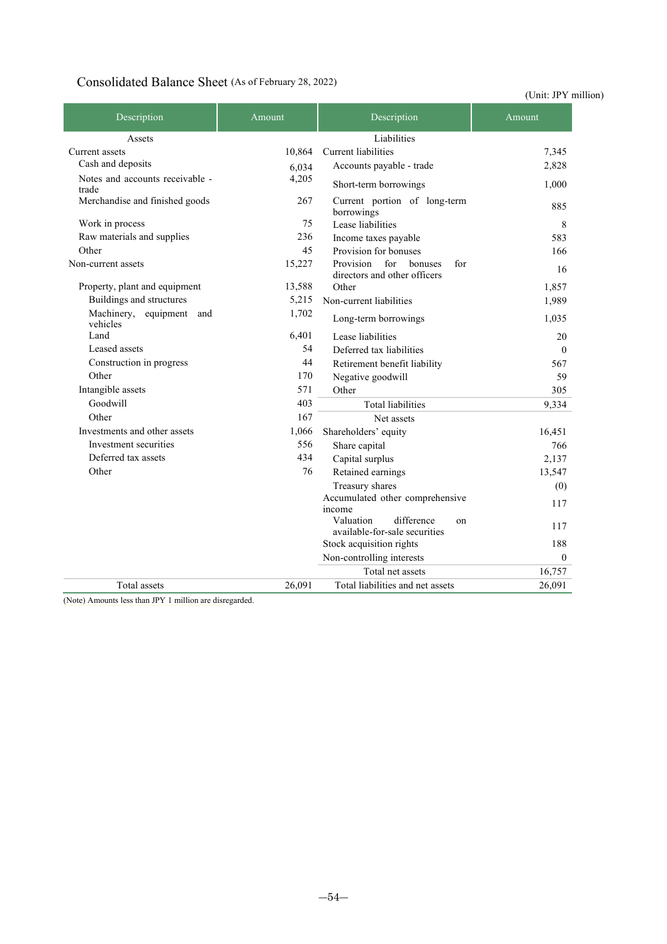# Consolidated Balance Sheet (As of February 28, 2022)

(Unit: JPY million)

| Description                              | Amount | Description                                                        | Amount       |
|------------------------------------------|--------|--------------------------------------------------------------------|--------------|
| Assets                                   |        | Liabilities                                                        |              |
| Current assets                           | 10.864 | Current liabilities                                                | 7,345        |
| Cash and deposits                        | 6,034  | Accounts payable - trade                                           | 2,828        |
| Notes and accounts receivable -<br>trade | 4,205  | Short-term borrowings                                              | 1,000        |
| Merchandise and finished goods           | 267    | Current portion of long-term<br>borrowings                         | 885          |
| Work in process                          | 75     | Lease liabilities                                                  | 8            |
| Raw materials and supplies               | 236    | Income taxes payable                                               | 583          |
| Other                                    | 45     | Provision for bonuses                                              | 166          |
| Non-current assets                       | 15,227 | Provision<br>for<br>bonuses<br>for<br>directors and other officers | 16           |
| Property, plant and equipment            | 13,588 | Other                                                              | 1,857        |
| Buildings and structures                 | 5,215  | Non-current liabilities                                            | 1,989        |
| Machinery,<br>equipment and<br>vehicles  | 1,702  | Long-term borrowings                                               | 1,035        |
| Land                                     | 6,401  | Lease liabilities                                                  | 20           |
| Leased assets                            | 54     | Deferred tax liabilities                                           | $\theta$     |
| Construction in progress                 | 44     | Retirement benefit liability                                       | 567          |
| Other                                    | 170    | Negative goodwill                                                  | 59           |
| Intangible assets                        | 571    | Other                                                              | 305          |
| Goodwill                                 | 403    | <b>Total liabilities</b>                                           | 9,334        |
| Other                                    | 167    | Net assets                                                         |              |
| Investments and other assets             | 1,066  | Shareholders' equity                                               | 16,451       |
| Investment securities                    | 556    | Share capital                                                      | 766          |
| Deferred tax assets                      | 434    | Capital surplus                                                    | 2,137        |
| Other                                    | 76     | Retained earnings                                                  | 13,547       |
|                                          |        | Treasury shares                                                    | (0)          |
|                                          |        | Accumulated other comprehensive<br>income                          | 117          |
|                                          |        | Valuation<br>difference<br>on<br>available-for-sale securities     | 117          |
|                                          |        | Stock acquisition rights                                           | 188          |
|                                          |        | Non-controlling interests                                          | $\mathbf{0}$ |
|                                          |        | Total net assets                                                   | 16,757       |
| Total assets                             | 26.091 | Total liabilities and net assets                                   | 26,091       |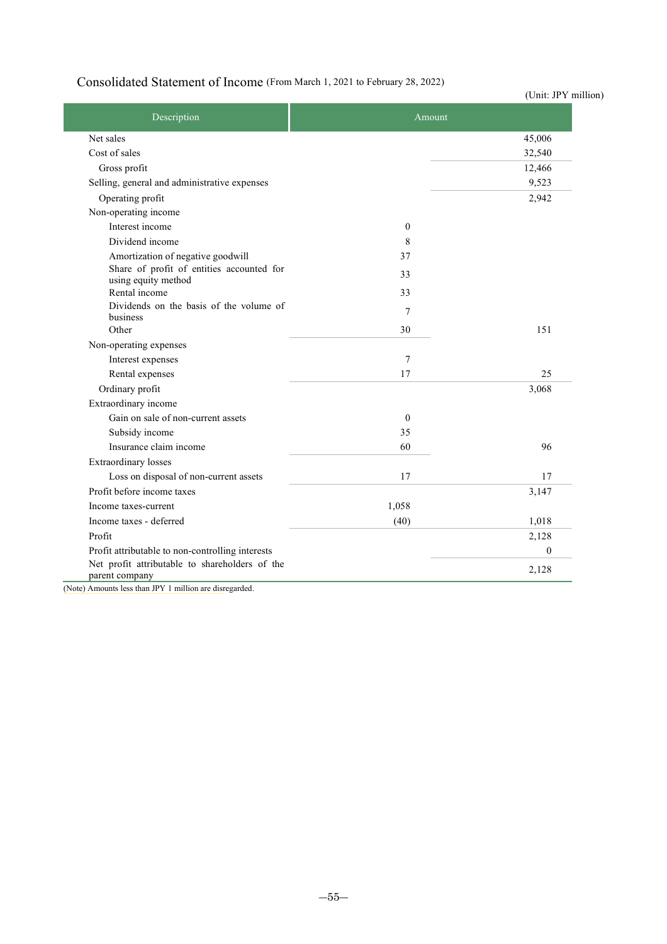# Consolidated Statement of Income (From March 1, 2021 to February 28, 2022)

|                                                                  |              | (Unit: JPY million) |
|------------------------------------------------------------------|--------------|---------------------|
| Description                                                      | Amount       |                     |
| Net sales                                                        |              | 45,006              |
| Cost of sales                                                    |              | 32,540              |
| Gross profit                                                     |              | 12,466              |
| Selling, general and administrative expenses                     |              | 9,523               |
| Operating profit                                                 |              | 2,942               |
| Non-operating income                                             |              |                     |
| Interest income                                                  | $\mathbf{0}$ |                     |
| Dividend income                                                  | 8            |                     |
| Amortization of negative goodwill                                | 37           |                     |
| Share of profit of entities accounted for<br>using equity method | 33           |                     |
| Rental income                                                    | 33           |                     |
| Dividends on the basis of the volume of<br>business              | 7            |                     |
| Other                                                            | 30           | 151                 |
| Non-operating expenses                                           |              |                     |
| Interest expenses                                                | $\tau$       |                     |
| Rental expenses                                                  | 17           | 25                  |
| Ordinary profit                                                  |              | 3,068               |
| Extraordinary income                                             |              |                     |
| Gain on sale of non-current assets                               | $\mathbf{0}$ |                     |
| Subsidy income                                                   | 35           |                     |
| Insurance claim income                                           | 60           | 96                  |
| <b>Extraordinary</b> losses                                      |              |                     |
| Loss on disposal of non-current assets                           | 17           | 17                  |
| Profit before income taxes                                       |              | 3,147               |
| Income taxes-current                                             | 1,058        |                     |
| Income taxes - deferred                                          | (40)         | 1,018               |
| Profit                                                           |              | 2,128               |
| Profit attributable to non-controlling interests                 |              | $\mathbf{0}$        |
| Net profit attributable to shareholders of the<br>parent company |              | 2,128               |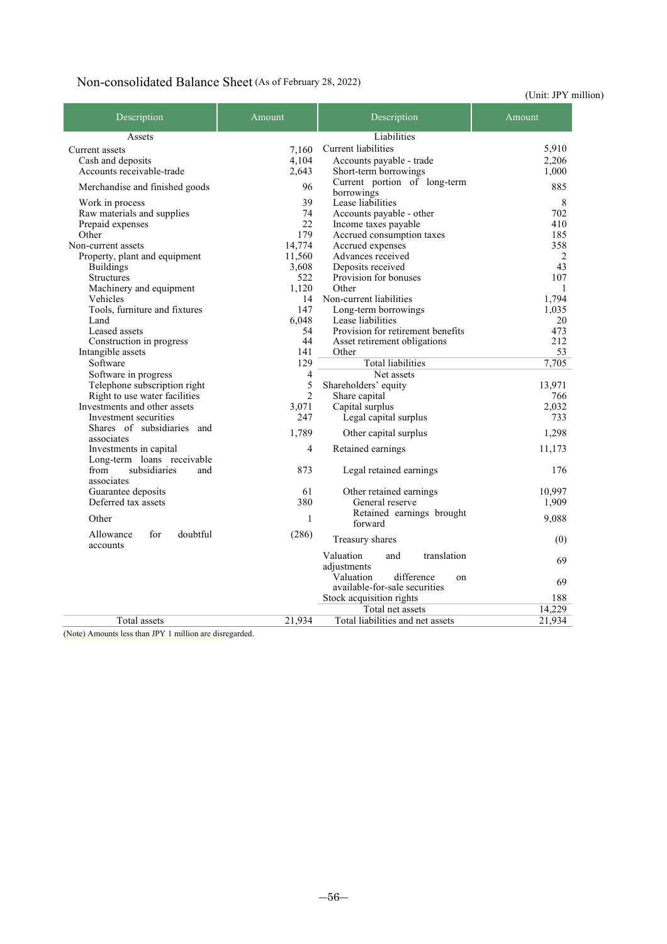# Non-consolidated Balance Sheet (As of February 28, 2022)

(Unit: JPY million)

| Description                              | Amount         | Description                                | Amount |
|------------------------------------------|----------------|--------------------------------------------|--------|
| Assets                                   |                | Liabilities                                |        |
| Current assets                           | 7.160          | Current liabilities                        | 5,910  |
| Cash and deposits                        | 4,104          | Accounts payable - trade                   | 2.206  |
| Accounts receivable-trade                | 2,643          | Short-term borrowings                      | 1,000  |
| Merchandise and finished goods           | 96             | Current portion of long-term<br>borrowings | 885    |
| Work in process                          | 39             | Lease liabilities                          | 8      |
| Raw materials and supplies               | 74             | Accounts payable - other                   | 702    |
| Prepaid expenses                         | 22             | Income taxes payable                       | 410    |
| Other                                    | 179            | Accrued consumption taxes                  | 185    |
| Non-current assets                       | 14,774         | Accrued expenses                           | 358    |
| Property, plant and equipment            | 11,560         | Advances received                          | 2      |
| <b>Buildings</b>                         | 3,608          | Deposits received                          | 43     |
| Structures                               | 522            | Provision for bonuses                      | 107    |
| Machinery and equipment                  | 1.120          | Other                                      | 1      |
| Vehicles                                 | 14             | Non-current liabilities                    | 1,794  |
| Tools, furniture and fixtures            | 147            | Long-term borrowings                       | 1,035  |
| Land                                     | 6.048          | Lease liabilities                          | 20     |
| Leased assets                            | 54             | Provision for retirement benefits          | 473    |
| Construction in progress                 | 44             | Asset retirement obligations               | 212    |
| Intangible assets                        | 141            | Other                                      | 53     |
| Software                                 | 129            | <b>Total liabilities</b>                   | 7,705  |
| Software in progress                     | $\overline{4}$ | Net assets                                 |        |
| Telephone subscription right             | 5              | Shareholders' equity                       | 13,971 |
| Right to use water facilities            | $\overline{2}$ | Share capital                              | 766    |
| Investments and other assets             | 3.071          | Capital surplus                            | 2.032  |
| Investment securities                    | 247            | Legal capital surplus                      | 733    |
| Shares of subsidiaries and<br>associates | 1,789          | Other capital surplus                      | 1,298  |
| Investments in capital                   | $\overline{4}$ | Retained earnings                          | 11,173 |
| Long-term loans receivable               |                |                                            |        |
| from<br>subsidiaries<br>and              | 873            | Legal retained earnings                    | 176    |
| associates                               |                |                                            |        |
| Guarantee deposits                       | 61             | Other retained earnings                    | 10.997 |
| Deferred tax assets                      | 380            | General reserve                            | 1,909  |
|                                          |                | Retained earnings brought                  |        |
| Other                                    | $\mathbf{1}$   | forward                                    | 9,088  |
| doubtful<br>Allowance<br>for             | (286)          | Treasury shares                            | (0)    |
| accounts                                 |                |                                            |        |
|                                          |                | Valuation<br>translation<br>and            | 69     |
|                                          |                | adjustments                                |        |
|                                          |                | Valuation<br>difference<br><sub>on</sub>   | 69     |
|                                          |                | available-for-sale securities              |        |
|                                          |                | Stock acquisition rights                   | 188    |
|                                          |                | Total net assets                           | 14,229 |
| Total assets                             | 21,934         | Total liabilities and net assets           | 21,934 |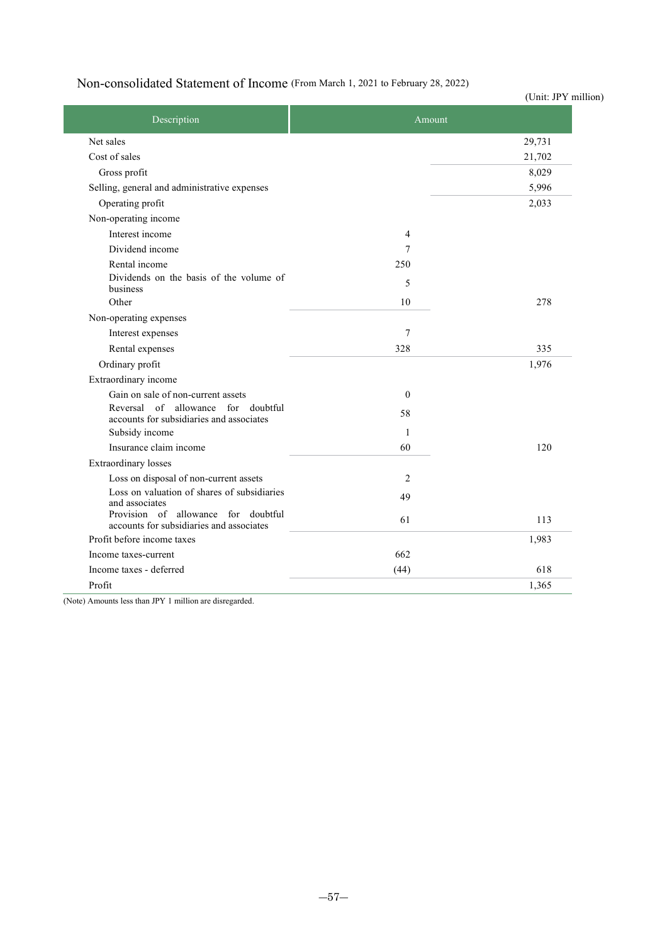# Non-consolidated Statement of Income (From March 1, 2021 to February 28, 2022)

|                                                                                 |                | (Unit: JPY million) |
|---------------------------------------------------------------------------------|----------------|---------------------|
| Description                                                                     | Amount         |                     |
| Net sales                                                                       |                | 29,731              |
| Cost of sales                                                                   |                | 21,702              |
| Gross profit                                                                    |                | 8,029               |
| Selling, general and administrative expenses                                    |                | 5,996               |
| Operating profit                                                                |                | 2,033               |
| Non-operating income                                                            |                |                     |
| Interest income                                                                 | $\overline{4}$ |                     |
| Dividend income                                                                 | 7              |                     |
| Rental income                                                                   | 250            |                     |
| Dividends on the basis of the volume of<br>business                             | 5              |                     |
| Other                                                                           | 10             | 278                 |
| Non-operating expenses                                                          |                |                     |
| Interest expenses                                                               | 7              |                     |
| Rental expenses                                                                 | 328            | 335                 |
| Ordinary profit                                                                 |                | 1,976               |
| Extraordinary income                                                            |                |                     |
| Gain on sale of non-current assets                                              | $\mathbf{0}$   |                     |
| Reversal of allowance for doubtful<br>accounts for subsidiaries and associates  | 58             |                     |
| Subsidy income                                                                  | $\mathbf{1}$   |                     |
| Insurance claim income                                                          | 60             | 120                 |
| <b>Extraordinary</b> losses                                                     |                |                     |
| Loss on disposal of non-current assets                                          | $\overline{c}$ |                     |
| Loss on valuation of shares of subsidiaries<br>and associates                   | 49             |                     |
| Provision of allowance for doubtful<br>accounts for subsidiaries and associates | 61             | 113                 |
| Profit before income taxes                                                      |                | 1,983               |
| Income taxes-current                                                            | 662            |                     |
| Income taxes - deferred                                                         | (44)           | 618                 |
| Profit                                                                          |                | 1,365               |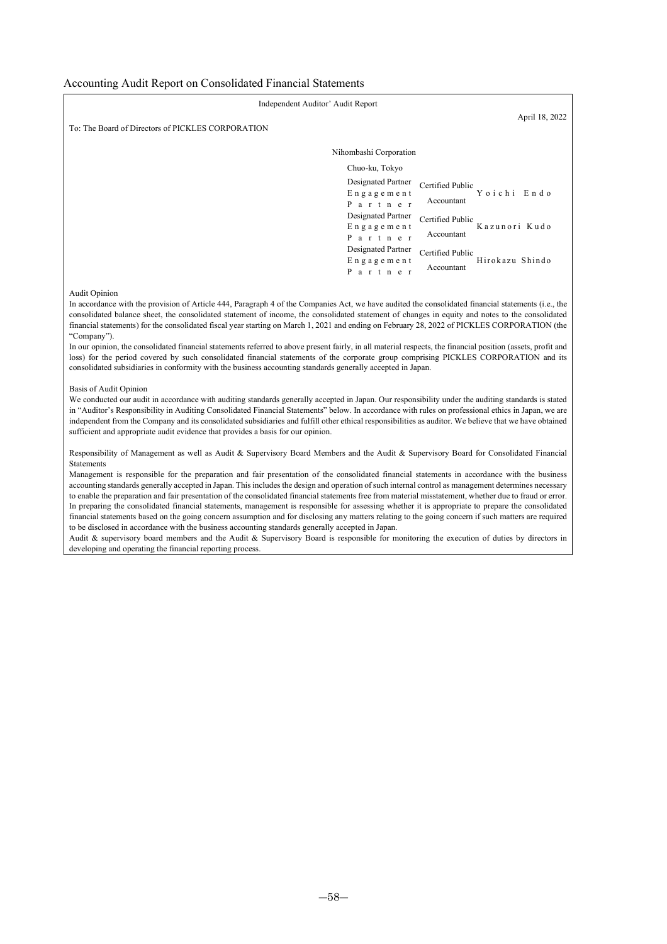#### Accounting Audit Report on Consolidated Financial Statements

|                                                   | Independent Auditor' Audit Report                                                                                                         |                                                                                                    |                                                 |
|---------------------------------------------------|-------------------------------------------------------------------------------------------------------------------------------------------|----------------------------------------------------------------------------------------------------|-------------------------------------------------|
| To: The Board of Directors of PICKLES CORPORATION |                                                                                                                                           |                                                                                                    | April 18, 2022                                  |
|                                                   | Nihombashi Corporation<br>Chuo-ku, Tokyo                                                                                                  |                                                                                                    |                                                 |
|                                                   | Designated Partner<br>Engagement<br>Partner<br>Designated Partner<br>Engagement<br>Partner<br>Designated Partner<br>Engagement<br>Partner | Certified Public<br>Accountant<br>Certified Public<br>Accountant<br>Certified Public<br>Accountant | Yoichi Endo<br>Kazunori Kudo<br>Hirokazu Shindo |

Audit Opinion

In accordance with the provision of Article 444, Paragraph 4 of the Companies Act, we have audited the consolidated financial statements (i.e., the consolidated balance sheet, the consolidated statement of income, the consolidated statement of changes in equity and notes to the consolidated financial statements) for the consolidated fiscal year starting on March 1, 2021 and ending on February 28, 2022 of PICKLES CORPORATION (the "Company").

In our opinion, the consolidated financial statements referred to above present fairly, in all material respects, the financial position (assets, profit and loss) for the period covered by such consolidated financial statements of the corporate group comprising PICKLES CORPORATION and its consolidated subsidiaries in conformity with the business accounting standards generally accepted in Japan.

#### Basis of Audit Opinion

We conducted our audit in accordance with auditing standards generally accepted in Japan. Our responsibility under the auditing standards is stated in "Auditor's Responsibility in Auditing Consolidated Financial Statements" below. In accordance with rules on professional ethics in Japan, we are independent from the Company and its consolidated subsidiaries and fulfill other ethical responsibilities as auditor. We believe that we have obtained sufficient and appropriate audit evidence that provides a basis for our opinion.

Responsibility of Management as well as Audit & Supervisory Board Members and the Audit & Supervisory Board for Consolidated Financial Statements

Management is responsible for the preparation and fair presentation of the consolidated financial statements in accordance with the business accounting standards generally accepted in Japan. This includes the design and operation of such internal control as management determines necessary to enable the preparation and fair presentation of the consolidated financial statements free from material misstatement, whether due to fraud or error. In preparing the consolidated financial statements, management is responsible for assessing whether it is appropriate to prepare the consolidated financial statements based on the going concern assumption and for disclosing any matters relating to the going concern if such matters are required to be disclosed in accordance with the business accounting standards generally accepted in Japan.

Audit & supervisory board members and the Audit & Supervisory Board is responsible for monitoring the execution of duties by directors in developing and operating the financial reporting process.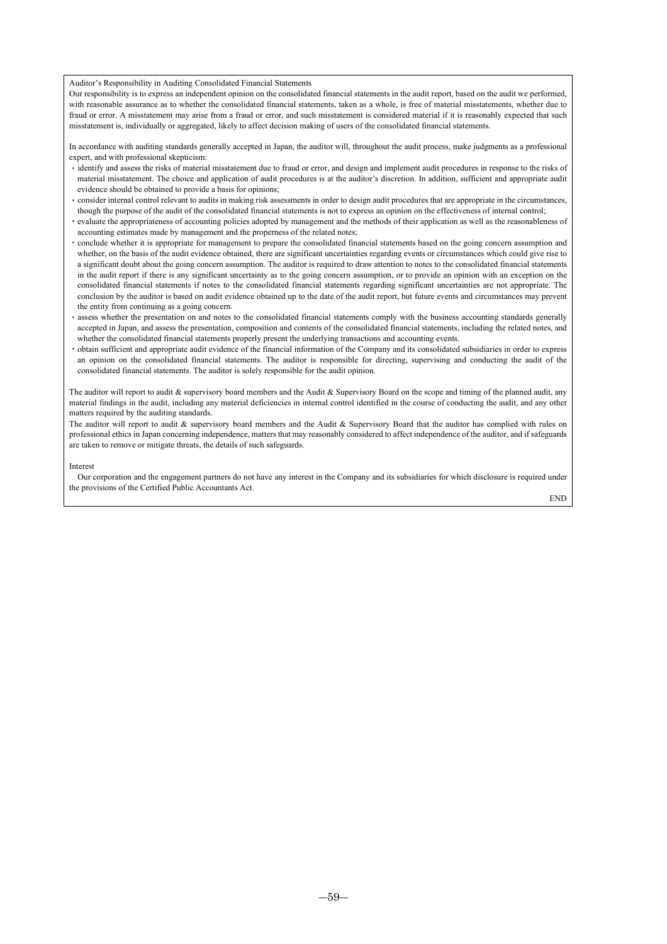#### Auditor's Responsibility in Auditing Consolidated Financial Statements

Our responsibility is to express an independent opinion on the consolidated financial statements in the audit report, based on the audit we performed, with reasonable assurance as to whether the consolidated financial statements, taken as a whole, is free of material misstatements, whether due to fraud or error. A misstatement may arise from a fraud or error, and such misstatement is considered material if it is reasonably expected that such misstatement is, individually or aggregated, likely to affect decision making of users of the consolidated financial statements.

In accordance with auditing standards generally accepted in Japan, the auditor will, throughout the audit process, make judgments as a professional expert, and with professional skepticism:

- ・identify and assess the risks of material misstatement due to fraud or error, and design and implement audit procedures in response to the risks of material misstatement. The choice and application of audit procedures is at the auditor's discretion. In addition, sufficient and appropriate audit evidence should be obtained to provide a basis for opinions;
- ・consider internal control relevant to audits in making risk assessments in order to design audit procedures that are appropriate in the circumstances, though the purpose of the audit of the consolidated financial statements is not to express an opinion on the effectiveness of internal control;
- ・evaluate the appropriateness of accounting policies adopted by management and the methods of their application as well as the reasonableness of accounting estimates made by management and the properness of the related notes;
- ・conclude whether it is appropriate for management to prepare the consolidated financial statements based on the going concern assumption and whether, on the basis of the audit evidence obtained, there are significant uncertainties regarding events or circumstances which could give rise to a significant doubt about the going concern assumption. The auditor is required to draw attention to notes to the consolidated financial statements in the audit report if there is any significant uncertainty as to the going concern assumption, or to provide an opinion with an exception on the consolidated financial statements if notes to the consolidated financial statements regarding significant uncertainties are not appropriate. The conclusion by the auditor is based on audit evidence obtained up to the date of the audit report, but future events and circumstances may prevent the entity from continuing as a going concern.
- assess whether the presentation on and notes to the consolidated financial statements comply with the business accounting standards generally accepted in Japan, and assess the presentation, composition and contents of the consolidated financial statements, including the related notes, and whether the consolidated financial statements properly present the underlying transactions and accounting events.
- ・obtain sufficient and appropriate audit evidence of the financial information of the Company and its consolidated subsidiaries in order to express an opinion on the consolidated financial statements. The auditor is responsible for directing, supervising and conducting the audit of the consolidated financial statements. The auditor is solely responsible for the audit opinion.

The auditor will report to audit & supervisory board members and the Audit & Supervisory Board on the scope and timing of the planned audit, any material findings in the audit, including any material deficiencies in internal control identified in the course of conducting the audit, and any other matters required by the auditing standards.

The auditor will report to audit & supervisory board members and the Audit & Supervisory Board that the auditor has complied with rules on professional ethics in Japan concerning independence, matters that may reasonably considered to affect independence of the auditor, and if safeguards are taken to remove or mitigate threats, the details of such safeguards.

#### Interest

Our corporation and the engagement partners do not have any interest in the Company and its subsidiaries for which disclosure is required under the provisions of the Certified Public Accountants Act.

END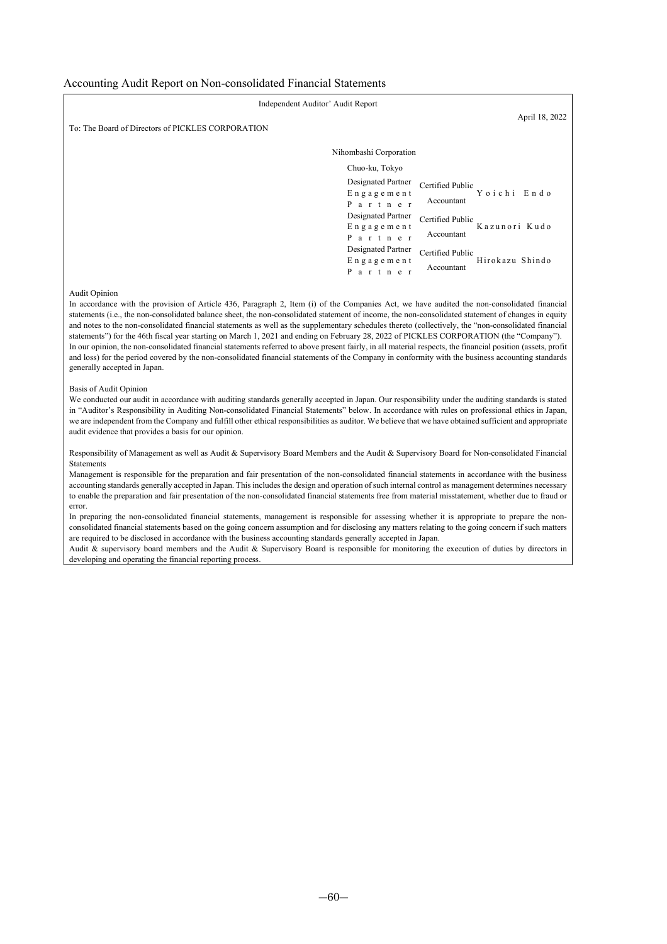Accounting Audit Report on Non-consolidated Financial Statements

| Independent Auditor' Audit Report                 |                                                                                                                                           |                                                                                                                                                       |  |
|---------------------------------------------------|-------------------------------------------------------------------------------------------------------------------------------------------|-------------------------------------------------------------------------------------------------------------------------------------------------------|--|
| To: The Board of Directors of PICKLES CORPORATION |                                                                                                                                           | April 18, 2022                                                                                                                                        |  |
|                                                   | Nihombashi Corporation                                                                                                                    |                                                                                                                                                       |  |
|                                                   | Chuo-ku, Tokyo                                                                                                                            |                                                                                                                                                       |  |
|                                                   | Designated Partner<br>Engagement<br>Partner<br>Designated Partner<br>Engagement<br>Partner<br>Designated Partner<br>Engagement<br>Partner | Certified Public<br>Yoichi Endo<br>Accountant<br>Certified Public<br>Kazunori Kudo<br>Accountant<br>Certified Public<br>Hirokazu Shindo<br>Accountant |  |

#### Audit Opinion

In accordance with the provision of Article 436, Paragraph 2, Item (i) of the Companies Act, we have audited the non-consolidated financial statements (i.e., the non-consolidated balance sheet, the non-consolidated statement of income, the non-consolidated statement of changes in equity and notes to the non-consolidated financial statements as well as the supplementary schedules thereto (collectively, the "non-consolidated financial statements") for the 46th fiscal year starting on March 1, 2021 and ending on February 28, 2022 of PICKLES CORPORATION (the "Company"). In our opinion, the non-consolidated financial statements referred to above present fairly, in all material respects, the financial position (assets, profit and loss) for the period covered by the non-consolidated financial statements of the Company in conformity with the business accounting standards generally accepted in Japan.

#### Basis of Audit Opinion

We conducted our audit in accordance with auditing standards generally accepted in Japan. Our responsibility under the auditing standards is stated in "Auditor's Responsibility in Auditing Non-consolidated Financial Statements" below. In accordance with rules on professional ethics in Japan, we are independent from the Company and fulfill other ethical responsibilities as auditor. We believe that we have obtained sufficient and appropriate audit evidence that provides a basis for our opinion.

Responsibility of Management as well as Audit & Supervisory Board Members and the Audit & Supervisory Board for Non-consolidated Financial Statements

Management is responsible for the preparation and fair presentation of the non-consolidated financial statements in accordance with the business accounting standards generally accepted in Japan. This includes the design and operation of such internal control as management determines necessary to enable the preparation and fair presentation of the non-consolidated financial statements free from material misstatement, whether due to fraud or error.

In preparing the non-consolidated financial statements, management is responsible for assessing whether it is appropriate to prepare the nonconsolidated financial statements based on the going concern assumption and for disclosing any matters relating to the going concern if such matters are required to be disclosed in accordance with the business accounting standards generally accepted in Japan.

Audit & supervisory board members and the Audit & Supervisory Board is responsible for monitoring the execution of duties by directors in developing and operating the financial reporting process.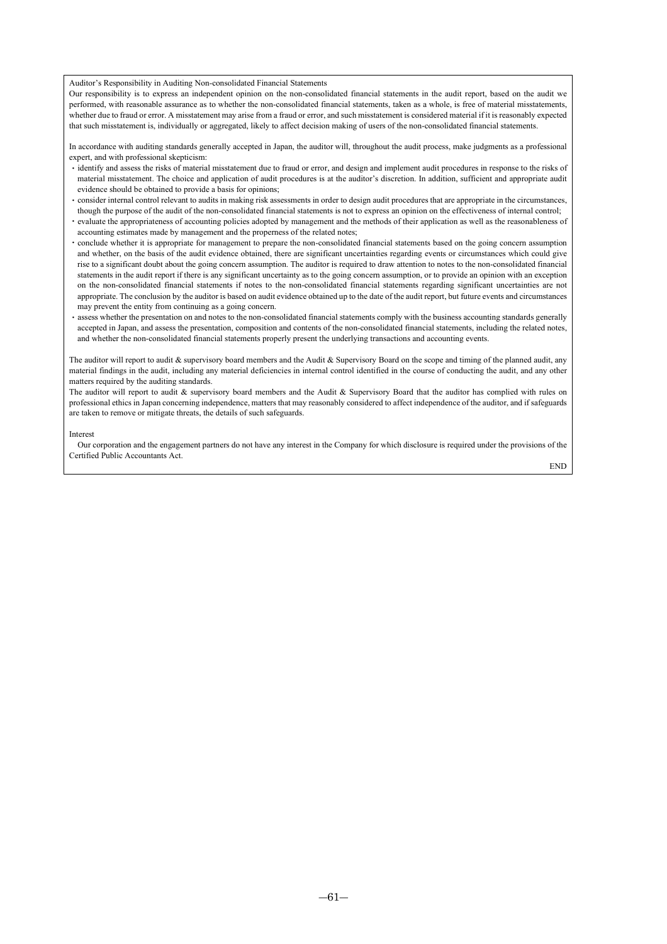#### Auditor's Responsibility in Auditing Non-consolidated Financial Statements

Our responsibility is to express an independent opinion on the non-consolidated financial statements in the audit report, based on the audit we performed, with reasonable assurance as to whether the non-consolidated financial statements, taken as a whole, is free of material misstatements, whether due to fraud or error. A misstatement may arise from a fraud or error, and such misstatement is considered material if it is reasonably expected that such misstatement is, individually or aggregated, likely to affect decision making of users of the non-consolidated financial statements.

In accordance with auditing standards generally accepted in Japan, the auditor will, throughout the audit process, make judgments as a professional expert, and with professional skepticism:

- ・identify and assess the risks of material misstatement due to fraud or error, and design and implement audit procedures in response to the risks of material misstatement. The choice and application of audit procedures is at the auditor's discretion. In addition, sufficient and appropriate audit evidence should be obtained to provide a basis for opinions;
- ・consider internal control relevant to audits in making risk assessments in order to design audit procedures that are appropriate in the circumstances, though the purpose of the audit of the non-consolidated financial statements is not to express an opinion on the effectiveness of internal control;
- ・evaluate the appropriateness of accounting policies adopted by management and the methods of their application as well as the reasonableness of accounting estimates made by management and the properness of the related notes;
- ・conclude whether it is appropriate for management to prepare the non-consolidated financial statements based on the going concern assumption and whether, on the basis of the audit evidence obtained, there are significant uncertainties regarding events or circumstances which could give rise to a significant doubt about the going concern assumption. The auditor is required to draw attention to notes to the non-consolidated financial statements in the audit report if there is any significant uncertainty as to the going concern assumption, or to provide an opinion with an exception on the non-consolidated financial statements if notes to the non-consolidated financial statements regarding significant uncertainties are not appropriate. The conclusion by the auditor is based on audit evidence obtained up to the date of the audit report, but future events and circumstances may prevent the entity from continuing as a going concern.
- assess whether the presentation on and notes to the non-consolidated financial statements comply with the business accounting standards generally accepted in Japan, and assess the presentation, composition and contents of the non-consolidated financial statements, including the related notes, and whether the non-consolidated financial statements properly present the underlying transactions and accounting events.

The auditor will report to audit & supervisory board members and the Audit & Supervisory Board on the scope and timing of the planned audit, any material findings in the audit, including any material deficiencies in internal control identified in the course of conducting the audit, and any other matters required by the auditing standards.

The auditor will report to audit & supervisory board members and the Audit & Supervisory Board that the auditor has complied with rules on professional ethics in Japan concerning independence, matters that may reasonably considered to affect independence of the auditor, and if safeguards are taken to remove or mitigate threats, the details of such safeguards.

#### Interest

Our corporation and the engagement partners do not have any interest in the Company for which disclosure is required under the provisions of the Certified Public Accountants Act.

END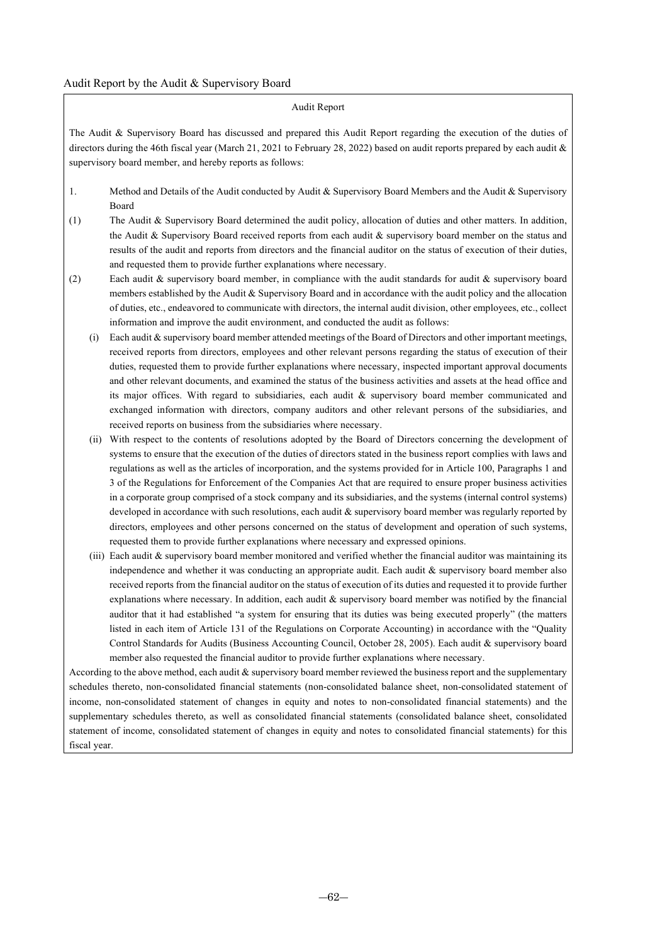#### Audit Report

The Audit & Supervisory Board has discussed and prepared this Audit Report regarding the execution of the duties of directors during the 46th fiscal year (March 21, 2021 to February 28, 2022) based on audit reports prepared by each audit  $\&$ supervisory board member, and hereby reports as follows:

- 1. Method and Details of the Audit conducted by Audit & Supervisory Board Members and the Audit & Supervisory Board
- (1) The Audit & Supervisory Board determined the audit policy, allocation of duties and other matters. In addition, the Audit & Supervisory Board received reports from each audit & supervisory board member on the status and results of the audit and reports from directors and the financial auditor on the status of execution of their duties, and requested them to provide further explanations where necessary.
- (2) Each audit & supervisory board member, in compliance with the audit standards for audit & supervisory board members established by the Audit & Supervisory Board and in accordance with the audit policy and the allocation of duties, etc., endeavored to communicate with directors, the internal audit division, other employees, etc., collect information and improve the audit environment, and conducted the audit as follows:
	- (i) Each audit & supervisory board member attended meetings of the Board of Directors and other important meetings, received reports from directors, employees and other relevant persons regarding the status of execution of their duties, requested them to provide further explanations where necessary, inspected important approval documents and other relevant documents, and examined the status of the business activities and assets at the head office and its major offices. With regard to subsidiaries, each audit & supervisory board member communicated and exchanged information with directors, company auditors and other relevant persons of the subsidiaries, and received reports on business from the subsidiaries where necessary.
	- (ii) With respect to the contents of resolutions adopted by the Board of Directors concerning the development of systems to ensure that the execution of the duties of directors stated in the business report complies with laws and regulations as well as the articles of incorporation, and the systems provided for in Article 100, Paragraphs 1 and 3 of the Regulations for Enforcement of the Companies Act that are required to ensure proper business activities in a corporate group comprised of a stock company and its subsidiaries, and the systems (internal control systems) developed in accordance with such resolutions, each audit & supervisory board member was regularly reported by directors, employees and other persons concerned on the status of development and operation of such systems, requested them to provide further explanations where necessary and expressed opinions.
	- (iii) Each audit & supervisory board member monitored and verified whether the financial auditor was maintaining its independence and whether it was conducting an appropriate audit. Each audit & supervisory board member also received reports from the financial auditor on the status of execution of its duties and requested it to provide further explanations where necessary. In addition, each audit & supervisory board member was notified by the financial auditor that it had established "a system for ensuring that its duties was being executed properly" (the matters listed in each item of Article 131 of the Regulations on Corporate Accounting) in accordance with the "Quality Control Standards for Audits (Business Accounting Council, October 28, 2005). Each audit & supervisory board member also requested the financial auditor to provide further explanations where necessary.

According to the above method, each audit  $&$  supervisory board member reviewed the business report and the supplementary schedules thereto, non-consolidated financial statements (non-consolidated balance sheet, non-consolidated statement of income, non-consolidated statement of changes in equity and notes to non-consolidated financial statements) and the supplementary schedules thereto, as well as consolidated financial statements (consolidated balance sheet, consolidated statement of income, consolidated statement of changes in equity and notes to consolidated financial statements) for this fiscal year.